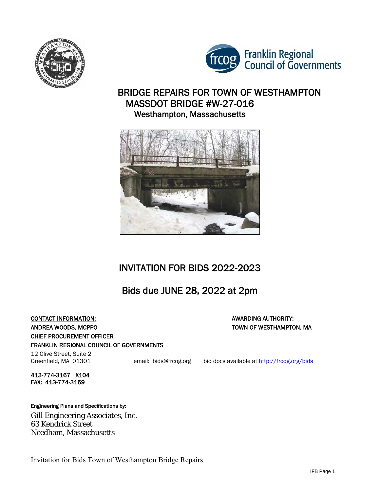



## BRIDGE REPAIRS FOR TOWN OF WESTHAMPTON MASSDOT BRIDGE #W-27-016 Westhampton, Massachusetts



# INVITATION FOR BIDS 2022-2023

# Bids due JUNE 28, 2022 at 2pm

#### **CONTACT INFORMATION:** AWARDING AUTHORITY: ANDREA WOODS, MCPPO TOWN OF WESTHAMPTON, MA CHIEF PROCUREMENT OFFICER FRANKLIN REGIONAL COUNCIL OF GOVERNMENTS

12 Olive Street, Suite 2

Greenfield, MA 01301 email: bids@frcog.org bid docs available at http://frcog.org/bids

413-774-3167 X104 FAX: 413-774-3169

#### Engineering Plans and Specifications by:

Gill Engineering Associates, Inc. 63 Kendrick Street Needham, Massachusetts

Invitation for Bids Town of Westhampton Bridge Repairs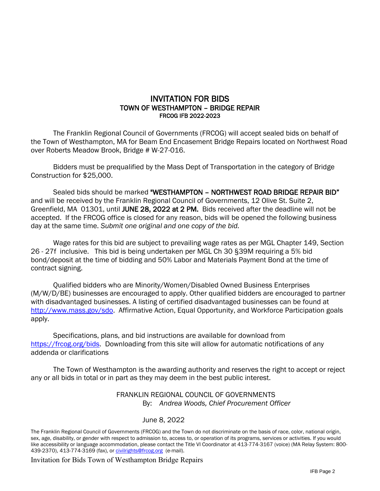#### INVITATION FOR BIDS TOWN OF WESTHAMPTON – BRIDGE REPAIR FRCOG IFB 2022-2023

The Franklin Regional Council of Governments (FRCOG) will accept sealed bids on behalf of the Town of Westhampton, MA for Beam End Encasement Bridge Repairs located on Northwest Road over Roberts Meadow Brook, Bridge # W-27-016.

Bidders must be prequalified by the Mass Dept of Transportation in the category of Bridge Construction for \$25,000.

Sealed bids should be marked "WESTHAMPTON - NORTHWEST ROAD BRIDGE REPAIR BID" and will be received by the Franklin Regional Council of Governments, 12 Olive St. Suite 2, Greenfield, MA 01301, until JUNE 28, 2022 at 2 PM. Bids received after the deadline will not be accepted. If the FRCOG office is closed for any reason, bids will be opened the following business day at the same time. *Submit one original and one copy of the bid.*

Wage rates for this bid are subject to prevailing wage rates as per MGL Chapter 149, Section 26 - 27f inclusive. This bid is being undertaken per MGL Ch 30 §39M requiring a 5% bid bond/deposit at the time of bidding and 50% Labor and Materials Payment Bond at the time of contract signing.

Qualified bidders who are Minority/Women/Disabled Owned Business Enterprises (M/W/D/BE) businesses are encouraged to apply. Other qualified bidders are encouraged to partner with disadvantaged businesses. A listing of certified disadvantaged businesses can be found at [http://www.mass.gov/sdo.](http://www.mass.gov/sdo) Affirmative Action, Equal Opportunity, and Workforce Participation goals apply.

Specifications, plans, and bid instructions are available for download from [https://frcog.org/bids.](https://frcog.org/bids) Downloading from this site will allow for automatic notifications of any addenda or clarifications

The Town of Westhampton is the awarding authority and reserves the right to accept or reject any or all bids in total or in part as they may deem in the best public interest.

#### FRANKLIN REGIONAL COUNCIL OF GOVERNMENTS By: *Andrea Woods, Chief Procurement Officer*

#### June 8, 2022

Invitation for Bids Town of Westhampton Bridge Repairs

The Franklin Regional Council of Governments (FRCOG) and the Town do not discriminate on the basis of race, color, national origin, sex, age, disability, or gender with respect to admission to, access to, or operation of its programs, services or activities. If you would like accessibility or language accommodation, please contact the Title VI Coordinator at 413-774-3167 (voice) (MA Relay System: 800- 439-2370), 413-774-3169 (fax), o[r civilrights@frcog.org](mailto:civilrights@frcog.org) (e-mail).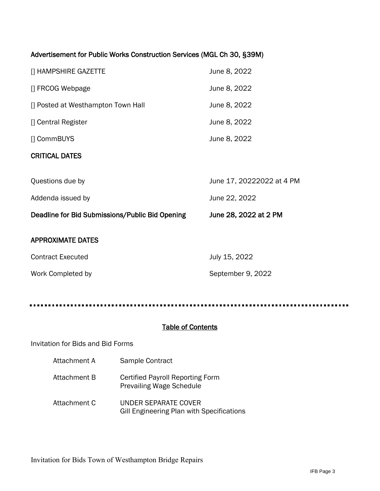### Advertisement for Public Works Construction Services (MGL Ch 30, §39M)

| <b>CRITICAL DATES</b>              |              |
|------------------------------------|--------------|
| [] CommBUYS                        | June 8, 2022 |
| [] Central Register                | June 8, 2022 |
| [] Posted at Westhampton Town Hall | June 8, 2022 |
| [] FRCOG Webpage                   | June 8, 2022 |
| [] HAMPSHIRE GAZETTE               | June 8, 2022 |

| Deadline for Bid Submissions/Public Bid Opening | June 28, 2022 at 2 PM     |
|-------------------------------------------------|---------------------------|
| Addenda issued by                               | June 22, 2022             |
| Questions due by                                | June 17, 20222022 at 4 PM |

#### APPROXIMATE DATES

| <b>Contract Executed</b> | July 15, 2022     |
|--------------------------|-------------------|
| Work Completed by        | September 9, 2022 |

. . . . . . . . .

## Table of Contents

#### Invitation for Bids and Bid Forms

- Attachment A Sample Contract
- Attachment B Certified Payroll Reporting Form Prevailing Wage Schedule
- Attachment C UNDER SEPARATE COVER Gill Engineering Plan with Specifications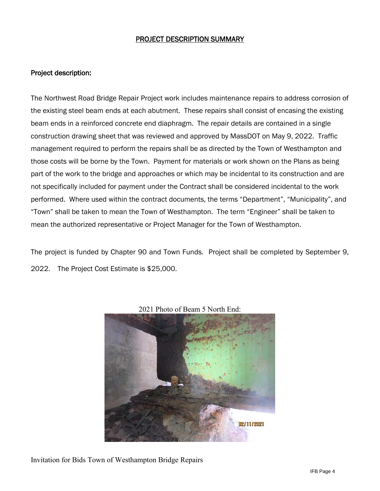#### PROJECT DESCRIPTION SUMMARY

#### Project description:

The Northwest Road Bridge Repair Project work includes maintenance repairs to address corrosion of the existing steel beam ends at each abutment. These repairs shall consist of encasing the existing beam ends in a reinforced concrete end diaphragm. The repair details are contained in a single construction drawing sheet that was reviewed and approved by MassDOT on May 9, 2022. Traffic management required to perform the repairs shall be as directed by the Town of Westhampton and those costs will be borne by the Town. Payment for materials or work shown on the Plans as being part of the work to the bridge and approaches or which may be incidental to its construction and are not specifically included for payment under the Contract shall be considered incidental to the work performed. Where used within the contract documents, the terms "Department", "Municipality", and "Town" shall be taken to mean the Town of Westhampton. The term "Engineer" shall be taken to mean the authorized representative or Project Manager for the Town of Westhampton.

The project is funded by Chapter 90 and Town Funds. Project shall be completed by September 9, 2022. The Project Cost Estimate is \$25,000.



2021 Photo of Beam 5 North End:

Invitation for Bids Town of Westhampton Bridge Repairs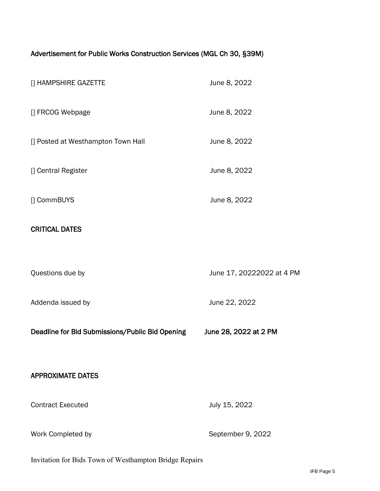## Advertisement for Public Works Construction Services (MGL Ch 30, §39M)

| [] HAMPSHIRE GAZETTE                            | June 8, 2022              |
|-------------------------------------------------|---------------------------|
| [] FRCOG Webpage                                | June 8, 2022              |
| [] Posted at Westhampton Town Hall              | June 8, 2022              |
| [] Central Register                             | June 8, 2022              |
| [] CommBUYS                                     | June 8, 2022              |
| <b>CRITICAL DATES</b>                           |                           |
|                                                 |                           |
| Questions due by                                | June 17, 20222022 at 4 PM |
| Addenda issued by                               | June 22, 2022             |
| Deadline for Bid Submissions/Public Bid Opening | June 28, 2022 at 2 PM     |
|                                                 |                           |
| <b>APPROXIMATE DATES</b>                        |                           |
| <b>Contract Executed</b>                        | July 15, 2022             |
| Work Completed by                               | September 9, 2022         |

Invitation for Bids Town of Westhampton Bridge Repairs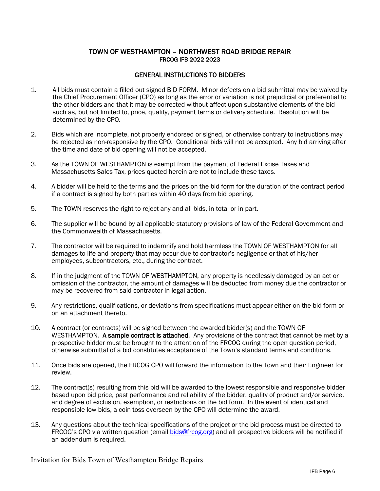#### TOWN OF WESTHAMPTON – NORTHWEST ROAD BRIDGE REPAIR FRCOG IFB 2022 2023

#### GENERAL INSTRUCTIONS TO BIDDERS

- 1. All bids must contain a filled out signed BID FORM. Minor defects on a bid submittal may be waived by the Chief Procurement Officer (CPO) as long as the error or variation is not prejudicial or preferential to the other bidders and that it may be corrected without affect upon substantive elements of the bid such as, but not limited to, price, quality, payment terms or delivery schedule. Resolution will be determined by the CPO.
- 2. Bids which are incomplete, not properly endorsed or signed, or otherwise contrary to instructions may be rejected as non-responsive by the CPO. Conditional bids will not be accepted. Any bid arriving after the time and date of bid opening will not be accepted.
- 3. As the TOWN OF WESTHAMPTON is exempt from the payment of Federal Excise Taxes and Massachusetts Sales Tax, prices quoted herein are not to include these taxes.
- 4. A bidder will be held to the terms and the prices on the bid form for the duration of the contract period if a contract is signed by both parties within 40 days from bid opening.
- 5. The TOWN reserves the right to reject any and all bids, in total or in part.
- 6. The supplier will be bound by all applicable statutory provisions of law of the Federal Government and the Commonwealth of Massachusetts.
- 7. The contractor will be required to indemnify and hold harmless the TOWN OF WESTHAMPTON for all damages to life and property that may occur due to contractor's negligence or that of his/her employees, subcontractors, etc., during the contract.
- 8. If in the judgment of the TOWN OF WESTHAMPTON, any property is needlessly damaged by an act or omission of the contractor, the amount of damages will be deducted from money due the contractor or may be recovered from said contractor in legal action.
- 9. Any restrictions, qualifications, or deviations from specifications must appear either on the bid form or on an attachment thereto.
- 10. A contract (or contracts) will be signed between the awarded bidder(s) and the TOWN OF WESTHAMPTON. A sample contract is attached. Any provisions of the contract that cannot be met by a prospective bidder must be brought to the attention of the FRCOG during the open question period, otherwise submittal of a bid constitutes acceptance of the Town's standard terms and conditions.
- 11. Once bids are opened, the FRCOG CPO will forward the information to the Town and their Engineer for review.
- 12. The contract(s) resulting from this bid will be awarded to the lowest responsible and responsive bidder based upon bid price, past performance and reliability of the bidder, quality of product and/or service, and degree of exclusion, exemption, or restrictions on the bid form. In the event of identical and responsible low bids, a coin toss overseen by the CPO will determine the award.
- 13. Any questions about the technical specifications of the project or the bid process must be directed to FRCOG's CPO via written question (email [bids@frcog.org\)](mailto:bids@frcog.org) and all prospective bidders will be notified if an addendum is required.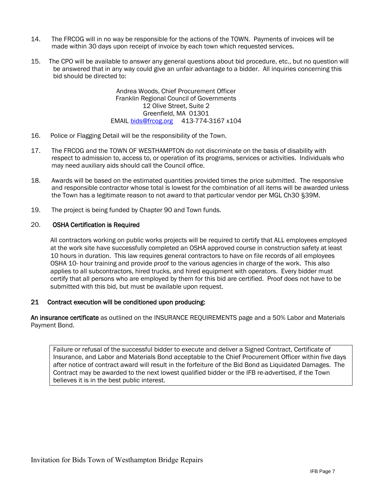- 14. The FRCOG will in no way be responsible for the actions of the TOWN. Payments of invoices will be made within 30 days upon receipt of invoice by each town which requested services.
- 15. The CPO will be available to answer any general questions about bid procedure, etc., but no question will be answered that in any way could give an unfair advantage to a bidder. All inquiries concerning this bid should be directed to:

Andrea Woods, Chief Procurement Officer Franklin Regional Council of Governments 12 Olive Street, Suite 2 Greenfield, MA 01301 EMAIL [bids@frcog.org](mailto:bids@frcog.org) 413-774-3167 x104

- 16. Police or Flagging Detail will be the responsibility of the Town.
- 17. The FRCOG and the TOWN OF WESTHAMPTON do not discriminate on the basis of disability with respect to admission to, access to, or operation of its programs, services or activities. Individuals who may need auxiliary aids should call the Council office.
- 18. Awards will be based on the estimated quantities provided times the price submitted. The responsive and responsible contractor whose total is lowest for the combination of all items will be awarded unless the Town has a legitimate reason to not award to that particular vendor per MGL Ch30 §39M.
- 19. The project is being funded by Chapter 90 and Town funds.

#### 20. OSHA Certification is Required

All contractors working on public works projects will be required to certify that ALL employees employed at the work site have successfully completed an OSHA approved course in construction safety at least 10 hours in duration. This law requires general contractors to have on file records of all employees OSHA 10- hour training and provide proof to the various agencies in charge of the work. This also applies to all subcontractors, hired trucks, and hired equipment with operators. Every bidder must certify that all persons who are employed by them for this bid are certified. Proof does not have to be submitted with this bid, but must be available upon request.

#### 21 Contract execution will be conditioned upon producing:

An insurance certificate as outlined on the INSURANCE REQUIREMENTS page and a 50% Labor and Materials Payment Bond.

Failure or refusal of the successful bidder to execute and deliver a Signed Contract, Certificate of Insurance, and Labor and Materials Bond acceptable to the Chief Procurement Officer within five days after notice of contract award will result in the forfeiture of the Bid Bond as Liquidated Damages. The Contract may be awarded to the next lowest qualified bidder or the IFB re-advertised, if the Town believes it is in the best public interest.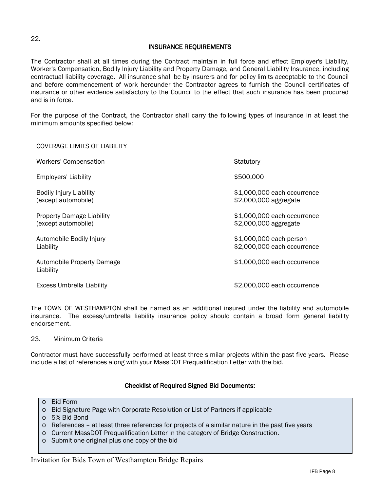#### INSURANCE REQUIREMENTS

The Contractor shall at all times during the Contract maintain in full force and effect Employer's Liability, Worker's Compensation, Bodily Injury Liability and Property Damage, and General Liability Insurance, including contractual liability coverage. All insurance shall be by insurers and for policy limits acceptable to the Council and before commencement of work hereunder the Contractor agrees to furnish the Council certificates of insurance or other evidence satisfactory to the Council to the effect that such insurance has been procured and is in force.

For the purpose of the Contract, the Contractor shall carry the following types of insurance in at least the minimum amounts specified below:

#### COVERAGE LIMITS OF LIABILITY

| <b>Workers' Compensation</b>                            | Statutory                                              |
|---------------------------------------------------------|--------------------------------------------------------|
| <b>Employers' Liability</b>                             | \$500,000                                              |
| <b>Bodily Injury Liability</b><br>(except automobile)   | \$1,000,000 each occurrence<br>\$2,000,000 aggregate   |
| <b>Property Damage Liability</b><br>(except automobile) | \$1,000,000 each occurrence<br>\$2,000,000 aggregate   |
| Automobile Bodily Injury<br>Liability                   | \$1,000,000 each person<br>\$2,000,000 each occurrence |
| <b>Automobile Property Damage</b><br>Liability          | \$1,000,000 each occurrence                            |
| <b>Excess Umbrella Liability</b>                        | \$2,000,000 each occurrence                            |

The TOWN OF WESTHAMPTON shall be named as an additional insured under the liability and automobile insurance. The excess/umbrella liability insurance policy should contain a broad form general liability endorsement.

23. Minimum Criteria

Contractor must have successfully performed at least three similar projects within the past five years. Please include a list of references along with your MassDOT Prequalification Letter with the bid.

#### Checklist of Required Signed Bid Documents:

- o Bid Form
- o Bid Signature Page with Corporate Resolution or List of Partners if applicable
- o 5% Bid Bond
- o References at least three references for projects of a similar nature in the past five years
- o Current MassDOT Prequalification Letter in the category of Bridge Construction.
- o Submit one original plus one copy of the bid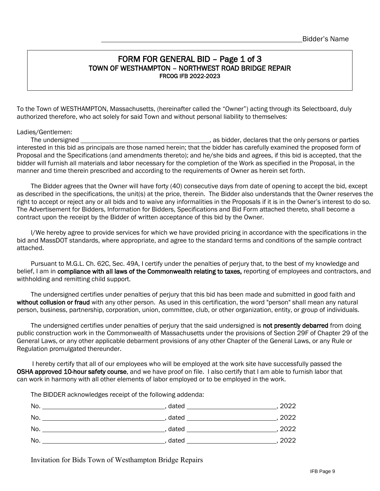## FORM FOR GENERAL BID – Page 1 of 3 TOWN OF WESTHAMPTON – NORTHWEST ROAD BRIDGE REPAIR FRCOG IFB 2022-2023

To the Town of WESTHAMPTON, Massachusetts, (hereinafter called the "Owner") acting through its Selectboard, duly authorized therefore, who act solely for said Town and without personal liability to themselves:

Ladies/Gentlemen: The undersigned **contained** , as bidder, declares that the only persons or parties interested in this bid as principals are those named herein; that the bidder has carefully examined the proposed form of Proposal and the Specifications (and amendments thereto); and he/she bids and agrees, if this bid is accepted, that the bidder will furnish all materials and labor necessary for the completion of the Work as specified in the Proposal, in the manner and time therein prescribed and according to the requirements of Owner as herein set forth.

The Bidder agrees that the Owner will have forty (40) consecutive days from date of opening to accept the bid, except as described in the specifications, the unit(s) at the price, therein. The Bidder also understands that the Owner reserves the right to accept or reject any or all bids and to waive any informalities in the Proposals if it is in the Owner's interest to do so. The Advertisement for Bidders, Information for Bidders, Specifications and Bid Form attached thereto, shall become a contract upon the receipt by the Bidder of written acceptance of this bid by the Owner.

I/We hereby agree to provide services for which we have provided pricing in accordance with the specifications in the bid and MassDOT standards, where appropriate, and agree to the standard terms and conditions of the sample contract attached.

Pursuant to M.G.L. Ch. 62C, Sec. 49A, I certify under the penalties of perjury that, to the best of my knowledge and belief, I am in compliance with all laws of the Commonwealth relating to taxes, reporting of employees and contractors, and withholding and remitting child support.

The undersigned certifies under penalties of perjury that this bid has been made and submitted in good faith and without collusion or fraud with any other person. As used in this certification, the word "person" shall mean any natural person, business, partnership, corporation, union, committee, club, or other organization, entity, or group of individuals.

The undersigned certifies under penalties of perjury that the said undersigned is **not presently debarred** from doing public construction work in the Commonwealth of Massachusetts under the provisions of Section 29F of Chapter 29 of the General Laws, or any other applicable debarment provisions of any other Chapter of the General Laws, or any Rule or Regulation promulgated thereunder.

 I hereby certify that all of our employees who will be employed at the work site have successfully passed the OSHA approved 10-hour safety course, and we have proof on file. I also certify that I am able to furnish labor that can work in harmony with all other elements of labor employed or to be employed in the work.

The BIDDER acknowledges receipt of the following addenda:

| No. | dated | 2022 |
|-----|-------|------|
| No. | dated | 2022 |
| No. | dated | 2022 |
| No. | dated | 2022 |

Invitation for Bids Town of Westhampton Bridge Repairs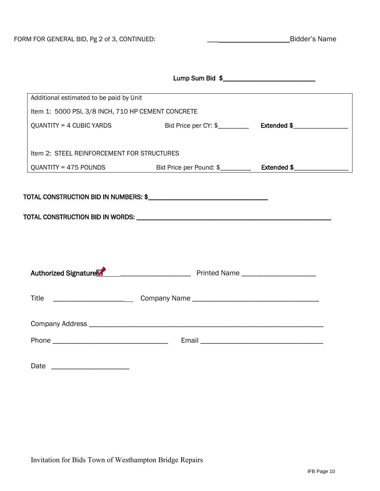|                                                    | Lump Sum Bid \$                                                                  |  |
|----------------------------------------------------|----------------------------------------------------------------------------------|--|
| Additional estimated to be paid by Unit            |                                                                                  |  |
| Item 1: 5000 PSI, 3/8 INCH, 710 HP CEMENT CONCRETE |                                                                                  |  |
| $QUANTITY = 4 CUBIC YARDS$                         |                                                                                  |  |
|                                                    |                                                                                  |  |
| Item 2: STEEL REINFORCEMENT FOR STRUCTURES         |                                                                                  |  |
|                                                    |                                                                                  |  |
|                                                    |                                                                                  |  |
|                                                    |                                                                                  |  |
|                                                    |                                                                                  |  |
|                                                    |                                                                                  |  |
|                                                    |                                                                                  |  |
|                                                    |                                                                                  |  |
|                                                    |                                                                                  |  |
|                                                    |                                                                                  |  |
|                                                    | Title ____________________________Company Name _________________________________ |  |
|                                                    |                                                                                  |  |
|                                                    |                                                                                  |  |
|                                                    |                                                                                  |  |
|                                                    |                                                                                  |  |
|                                                    |                                                                                  |  |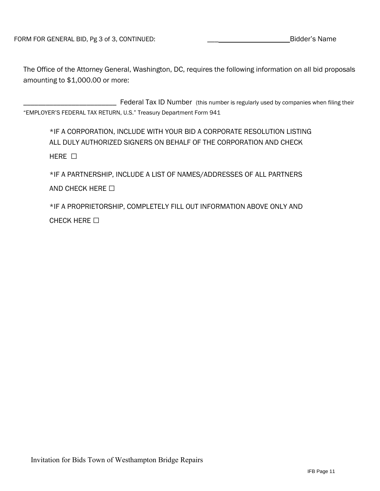The Office of the Attorney General, Washington, DC, requires the following information on all bid proposals amounting to \$1,000.00 or more:

\_\_\_\_\_\_\_\_\_\_\_\_\_\_\_\_\_\_\_\_\_\_\_\_\_ Federal Tax ID Number (this number is regularly used by companies when filing their "EMPLOYER'S FEDERAL TAX RETURN, U.S." Treasury Department Form 941

\*IF A CORPORATION, INCLUDE WITH YOUR BID A CORPORATE RESOLUTION LISTING ALL DULY AUTHORIZED SIGNERS ON BEHALF OF THE CORPORATION AND CHECK HERE □

\*IF A PARTNERSHIP, INCLUDE A LIST OF NAMES/ADDRESSES OF ALL PARTNERS AND CHECK HERE  $\Box$ 

\*IF A PROPRIETORSHIP, COMPLETELY FILL OUT INFORMATION ABOVE ONLY AND CHECK HERE □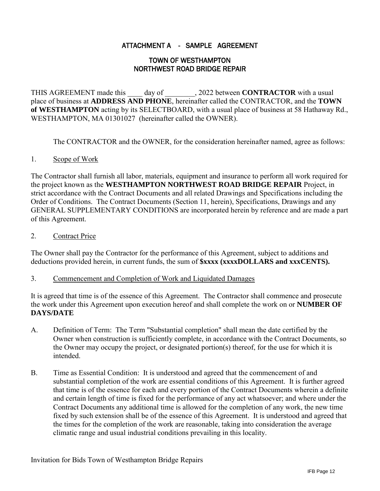## ATTACHMENT A - SAMPLE AGREEMENT

#### TOWN OF WESTHAMPTON NORTHWEST ROAD BRIDGE REPAIR

THIS AGREEMENT made this day of . 2022 between **CONTRACTOR** with a usual place of business at **ADDRESS AND PHONE**, hereinafter called the CONTRACTOR, and the **TOWN of WESTHAMPTON** acting by its SELECTBOARD, with a usual place of business at 58 Hathaway Rd., WESTHAMPTON, MA 01301027 (hereinafter called the OWNER).

The CONTRACTOR and the OWNER, for the consideration hereinafter named, agree as follows:

#### 1. Scope of Work

The Contractor shall furnish all labor, materials, equipment and insurance to perform all work required for the project known as the **WESTHAMPTON NORTHWEST ROAD BRIDGE REPAIR** Project, in strict accordance with the Contract Documents and all related Drawings and Specifications including the Order of Conditions. The Contract Documents (Section 11, herein), Specifications, Drawings and any GENERAL SUPPLEMENTARY CONDITIONS are incorporated herein by reference and are made a part of this Agreement.

#### 2. Contract Price

The Owner shall pay the Contractor for the performance of this Agreement, subject to additions and deductions provided herein, in current funds, the sum of **\$xxxx (xxxxDOLLARS and xxxCENTS).**

#### 3. Commencement and Completion of Work and Liquidated Damages

It is agreed that time is of the essence of this Agreement. The Contractor shall commence and prosecute the work under this Agreement upon execution hereof and shall complete the work on or **NUMBER OF DAYS/DATE**

- A. Definition of Term: The Term "Substantial completion" shall mean the date certified by the Owner when construction is sufficiently complete, in accordance with the Contract Documents, so the Owner may occupy the project, or designated portion(s) thereof, for the use for which it is intended.
- B. Time as Essential Condition: It is understood and agreed that the commencement of and substantial completion of the work are essential conditions of this Agreement. It is further agreed that time is of the essence for each and every portion of the Contract Documents wherein a definite and certain length of time is fixed for the performance of any act whatsoever; and where under the Contract Documents any additional time is allowed for the completion of any work, the new time fixed by such extension shall be of the essence of this Agreement. It is understood and agreed that the times for the completion of the work are reasonable, taking into consideration the average climatic range and usual industrial conditions prevailing in this locality.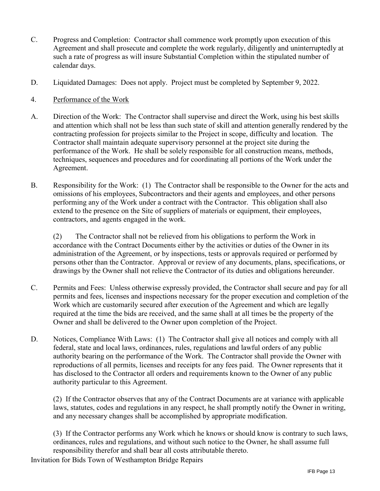- C. Progress and Completion: Contractor shall commence work promptly upon execution of this Agreement and shall prosecute and complete the work regularly, diligently and uninterruptedly at such a rate of progress as will insure Substantial Completion within the stipulated number of calendar days.
- D. Liquidated Damages: Does not apply. Project must be completed by September 9, 2022.

#### 4. Performance of the Work

- A. Direction of the Work: The Contractor shall supervise and direct the Work, using his best skills and attention which shall not be less than such state of skill and attention generally rendered by the contracting profession for projects similar to the Project in scope, difficulty and location. The Contractor shall maintain adequate supervisory personnel at the project site during the performance of the Work. He shall be solely responsible for all construction means, methods, techniques, sequences and procedures and for coordinating all portions of the Work under the Agreement.
- B. Responsibility for the Work: (1) The Contractor shall be responsible to the Owner for the acts and omissions of his employees, Subcontractors and their agents and employees, and other persons performing any of the Work under a contract with the Contractor. This obligation shall also extend to the presence on the Site of suppliers of materials or equipment, their employees, contractors, and agents engaged in the work.

(2) The Contractor shall not be relieved from his obligations to perform the Work in accordance with the Contract Documents either by the activities or duties of the Owner in its administration of the Agreement, or by inspections, tests or approvals required or performed by persons other than the Contractor. Approval or review of any documents, plans, specifications, or drawings by the Owner shall not relieve the Contractor of its duties and obligations hereunder.

- C. Permits and Fees: Unless otherwise expressly provided, the Contractor shall secure and pay for all permits and fees, licenses and inspections necessary for the proper execution and completion of the Work which are customarily secured after execution of the Agreement and which are legally required at the time the bids are received, and the same shall at all times be the property of the Owner and shall be delivered to the Owner upon completion of the Project.
- D. Notices, Compliance With Laws: (1) The Contractor shall give all notices and comply with all federal, state and local laws, ordinances, rules, regulations and lawful orders of any public authority bearing on the performance of the Work. The Contractor shall provide the Owner with reproductions of all permits, licenses and receipts for any fees paid. The Owner represents that it has disclosed to the Contractor all orders and requirements known to the Owner of any public authority particular to this Agreement.

(2) If the Contractor observes that any of the Contract Documents are at variance with applicable laws, statutes, codes and regulations in any respect, he shall promptly notify the Owner in writing, and any necessary changes shall be accomplished by appropriate modification.

(3) If the Contractor performs any Work which he knows or should know is contrary to such laws, ordinances, rules and regulations, and without such notice to the Owner, he shall assume full responsibility therefor and shall bear all costs attributable thereto.

Invitation for Bids Town of Westhampton Bridge Repairs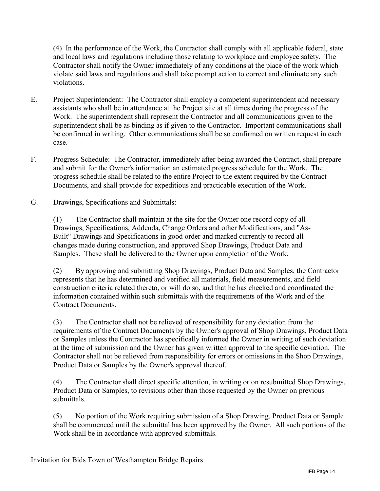(4) In the performance of the Work, the Contractor shall comply with all applicable federal, state and local laws and regulations including those relating to workplace and employee safety. The Contractor shall notify the Owner immediately of any conditions at the place of the work which violate said laws and regulations and shall take prompt action to correct and eliminate any such violations.

- E. Project Superintendent: The Contractor shall employ a competent superintendent and necessary assistants who shall be in attendance at the Project site at all times during the progress of the Work. The superintendent shall represent the Contractor and all communications given to the superintendent shall be as binding as if given to the Contractor. Important communications shall be confirmed in writing. Other communications shall be so confirmed on written request in each case.
- F. Progress Schedule: The Contractor, immediately after being awarded the Contract, shall prepare and submit for the Owner's information an estimated progress schedule for the Work. The progress schedule shall be related to the entire Project to the extent required by the Contract Documents, and shall provide for expeditious and practicable execution of the Work.
- G. Drawings, Specifications and Submittals:

(1) The Contractor shall maintain at the site for the Owner one record copy of all Drawings, Specifications, Addenda, Change Orders and other Modifications, and "As-Built" Drawings and Specifications in good order and marked currently to record all changes made during construction, and approved Shop Drawings, Product Data and Samples. These shall be delivered to the Owner upon completion of the Work.

(2) By approving and submitting Shop Drawings, Product Data and Samples, the Contractor represents that he has determined and verified all materials, field measurements, and field construction criteria related thereto, or will do so, and that he has checked and coordinated the information contained within such submittals with the requirements of the Work and of the Contract Documents.

(3) The Contractor shall not be relieved of responsibility for any deviation from the requirements of the Contract Documents by the Owner's approval of Shop Drawings, Product Data or Samples unless the Contractor has specifically informed the Owner in writing of such deviation at the time of submission and the Owner has given written approval to the specific deviation. The Contractor shall not be relieved from responsibility for errors or omissions in the Shop Drawings, Product Data or Samples by the Owner's approval thereof.

(4) The Contractor shall direct specific attention, in writing or on resubmitted Shop Drawings, Product Data or Samples, to revisions other than those requested by the Owner on previous submittals.

(5) No portion of the Work requiring submission of a Shop Drawing, Product Data or Sample shall be commenced until the submittal has been approved by the Owner. All such portions of the Work shall be in accordance with approved submittals.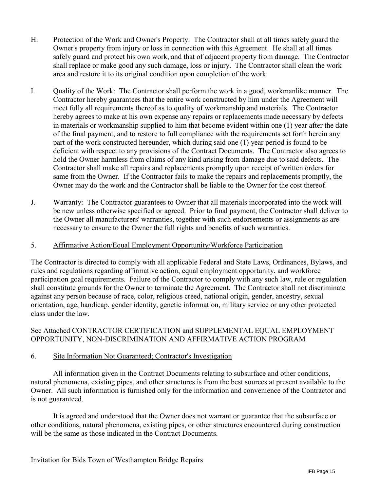- H. Protection of the Work and Owner's Property: The Contractor shall at all times safely guard the Owner's property from injury or loss in connection with this Agreement. He shall at all times safely guard and protect his own work, and that of adjacent property from damage. The Contractor shall replace or make good any such damage, loss or injury. The Contractor shall clean the work area and restore it to its original condition upon completion of the work.
- I. Quality of the Work: The Contractor shall perform the work in a good, workmanlike manner. The Contractor hereby guarantees that the entire work constructed by him under the Agreement will meet fully all requirements thereof as to quality of workmanship and materials. The Contractor hereby agrees to make at his own expense any repairs or replacements made necessary by defects in materials or workmanship supplied to him that become evident within one (1) year after the date of the final payment, and to restore to full compliance with the requirements set forth herein any part of the work constructed hereunder, which during said one (1) year period is found to be deficient with respect to any provisions of the Contract Documents. The Contractor also agrees to hold the Owner harmless from claims of any kind arising from damage due to said defects. The Contractor shall make all repairs and replacements promptly upon receipt of written orders for same from the Owner. If the Contractor fails to make the repairs and replacements promptly, the Owner may do the work and the Contractor shall be liable to the Owner for the cost thereof.
- J. Warranty: The Contractor guarantees to Owner that all materials incorporated into the work will be new unless otherwise specified or agreed. Prior to final payment, the Contractor shall deliver to the Owner all manufacturers' warranties, together with such endorsements or assignments as are necessary to ensure to the Owner the full rights and benefits of such warranties.

#### 5. Affirmative Action/Equal Employment Opportunity/Workforce Participation

The Contractor is directed to comply with all applicable Federal and State Laws, Ordinances, Bylaws, and rules and regulations regarding affirmative action, equal employment opportunity, and workforce participation goal requirements. Failure of the Contractor to comply with any such law, rule or regulation shall constitute grounds for the Owner to terminate the Agreement. The Contractor shall not discriminate against any person because of race, color, religious creed, national origin, gender, ancestry, sexual orientation, age, handicap, gender identity, genetic information, military service or any other protected class under the law.

#### See Attached CONTRACTOR CERTIFICATION and SUPPLEMENTAL EQUAL EMPLOYMENT OPPORTUNITY, NON-DISCRIMINATION AND AFFIRMATIVE ACTION PROGRAM

#### 6. Site Information Not Guaranteed; Contractor's Investigation

All information given in the Contract Documents relating to subsurface and other conditions, natural phenomena, existing pipes, and other structures is from the best sources at present available to the Owner. All such information is furnished only for the information and convenience of the Contractor and is not guaranteed.

It is agreed and understood that the Owner does not warrant or guarantee that the subsurface or other conditions, natural phenomena, existing pipes, or other structures encountered during construction will be the same as those indicated in the Contract Documents.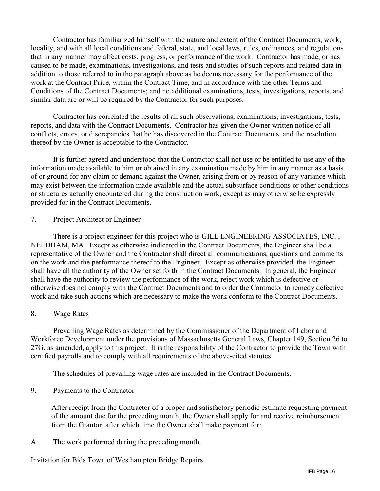Contractor has familiarized himself with the nature and extent of the Contract Documents, work, locality, and with all local conditions and federal, state, and local laws, rules, ordinances, and regulations that in any manner may affect costs, progress, or performance of the work. Contractor has made, or has caused to be made, examinations, investigations, and tests and studies of such reports and related data in addition to those referred to in the paragraph above as he deems necessary for the performance of the work at the Contract Price, within the Contract Time, and in accordance with the other Terms and Conditions of the Contract Documents; and no additional examinations, tests, investigations, reports, and similar data are or will be required by the Contractor for such purposes.

Contractor has correlated the results of all such observations, examinations, investigations, tests, reports, and data with the Contract Documents. Contractor has given the Owner written notice of all conflicts, errors, or discrepancies that he has discovered in the Contract Documents, and the resolution thereof by the Owner is acceptable to the Contractor.

It is further agreed and understood that the Contractor shall not use or be entitled to use any of the information made available to him or obtained in any examination made by him in any manner as a basis of or ground for any claim or demand against the Owner, arising from or by reason of any variance which may exist between the information made available and the actual subsurface conditions or other conditions or structures actually encountered during the construction work, except as may otherwise be expressly provided for in the Contract Documents.

#### 7. Project Architect or Engineer

There is a project engineer for this project who is GILL ENGINEERING ASSOCIATES, INC. , NEEDHAM, MA Except as otherwise indicated in the Contract Documents, the Engineer shall be a representative of the Owner and the Contractor shall direct all communications, questions and comments on the work and the performance thereof to the Engineer. Except as otherwise provided, the Engineer shall have all the authority of the Owner set forth in the Contract Documents. In general, the Engineer shall have the authority to review the performance of the work, reject work which is defective or otherwise does not comply with the Contract Documents and to order the Contractor to remedy defective work and take such actions which are necessary to make the work conform to the Contract Documents.

#### 8. Wage Rates

Prevailing Wage Rates as determined by the Commissioner of the Department of Labor and Workforce Development under the provisions of Massachusetts General Laws, Chapter 149, Section 26 to 27G, as amended, apply to this project. It is the responsibility of the Contractor to provide the Town with certified payrolls and to comply with all requirements of the above-cited statutes.

The schedules of prevailing wage rates are included in the Contract Documents.

#### 9. Payments to the Contractor

After receipt from the Contractor of a proper and satisfactory periodic estimate requesting payment of the amount due for the preceding month, the Owner shall apply for and receive reimbursement from the Grantor, after which time the Owner shall make payment for:

A. The work performed during the preceding month.

Invitation for Bids Town of Westhampton Bridge Repairs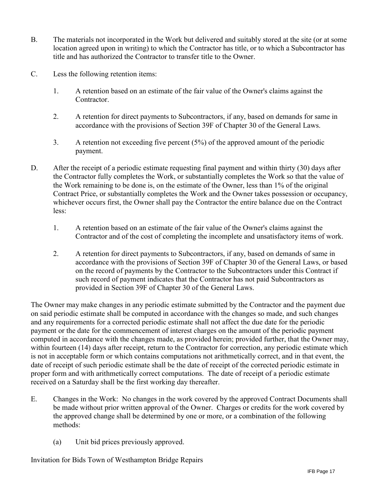- B. The materials not incorporated in the Work but delivered and suitably stored at the site (or at some location agreed upon in writing) to which the Contractor has title, or to which a Subcontractor has title and has authorized the Contractor to transfer title to the Owner.
- C. Less the following retention items:
	- 1. A retention based on an estimate of the fair value of the Owner's claims against the Contractor.
	- 2. A retention for direct payments to Subcontractors, if any, based on demands for same in accordance with the provisions of Section 39F of Chapter 30 of the General Laws.
	- 3. A retention not exceeding five percent (5%) of the approved amount of the periodic payment.
- D. After the receipt of a periodic estimate requesting final payment and within thirty (30) days after the Contractor fully completes the Work, or substantially completes the Work so that the value of the Work remaining to be done is, on the estimate of the Owner, less than 1% of the original Contract Price, or substantially completes the Work and the Owner takes possession or occupancy, whichever occurs first, the Owner shall pay the Contractor the entire balance due on the Contract less:
	- 1. A retention based on an estimate of the fair value of the Owner's claims against the Contractor and of the cost of completing the incomplete and unsatisfactory items of work.
	- 2. A retention for direct payments to Subcontractors, if any, based on demands of same in accordance with the provisions of Section 39F of Chapter 30 of the General Laws, or based on the record of payments by the Contractor to the Subcontractors under this Contract if such record of payment indicates that the Contractor has not paid Subcontractors as provided in Section 39F of Chapter 30 of the General Laws.

The Owner may make changes in any periodic estimate submitted by the Contractor and the payment due on said periodic estimate shall be computed in accordance with the changes so made, and such changes and any requirements for a corrected periodic estimate shall not affect the due date for the periodic payment or the date for the commencement of interest charges on the amount of the periodic payment computed in accordance with the changes made, as provided herein; provided further, that the Owner may, within fourteen (14) days after receipt, return to the Contractor for correction, any periodic estimate which is not in acceptable form or which contains computations not arithmetically correct, and in that event, the date of receipt of such periodic estimate shall be the date of receipt of the corrected periodic estimate in proper form and with arithmetically correct computations. The date of receipt of a periodic estimate received on a Saturday shall be the first working day thereafter.

- E. Changes in the Work: No changes in the work covered by the approved Contract Documents shall be made without prior written approval of the Owner. Charges or credits for the work covered by the approved change shall be determined by one or more, or a combination of the following methods:
	- (a) Unit bid prices previously approved.

Invitation for Bids Town of Westhampton Bridge Repairs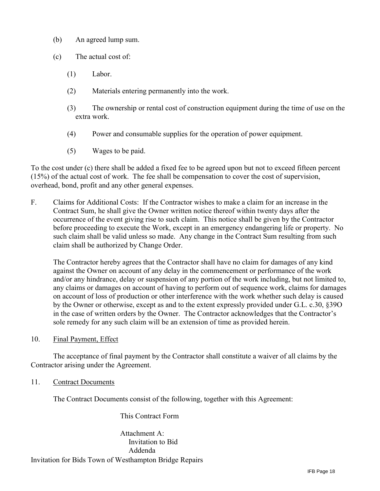- (b) An agreed lump sum.
- (c) The actual cost of:
	- (1) Labor.
	- (2) Materials entering permanently into the work.
	- (3) The ownership or rental cost of construction equipment during the time of use on the extra work.
	- (4) Power and consumable supplies for the operation of power equipment.
	- (5) Wages to be paid.

To the cost under (c) there shall be added a fixed fee to be agreed upon but not to exceed fifteen percent (15%) of the actual cost of work. The fee shall be compensation to cover the cost of supervision, overhead, bond, profit and any other general expenses.

F. Claims for Additional Costs: If the Contractor wishes to make a claim for an increase in the Contract Sum, he shall give the Owner written notice thereof within twenty days after the occurrence of the event giving rise to such claim. This notice shall be given by the Contractor before proceeding to execute the Work, except in an emergency endangering life or property. No such claim shall be valid unless so made. Any change in the Contract Sum resulting from such claim shall be authorized by Change Order.

The Contractor hereby agrees that the Contractor shall have no claim for damages of any kind against the Owner on account of any delay in the commencement or performance of the work and/or any hindrance, delay or suspension of any portion of the work including, but not limited to, any claims or damages on account of having to perform out of sequence work, claims for damages on account of loss of production or other interference with the work whether such delay is caused by the Owner or otherwise, except as and to the extent expressly provided under G.L. c.30, §39O in the case of written orders by the Owner. The Contractor acknowledges that the Contractor's sole remedy for any such claim will be an extension of time as provided herein.

10. Final Payment, Effect

The acceptance of final payment by the Contractor shall constitute a waiver of all claims by the Contractor arising under the Agreement.

11. Contract Documents

The Contract Documents consist of the following, together with this Agreement:

This Contract Form

Invitation for Bids Town of Westhampton Bridge Repairs Attachment A: Invitation to Bid Addenda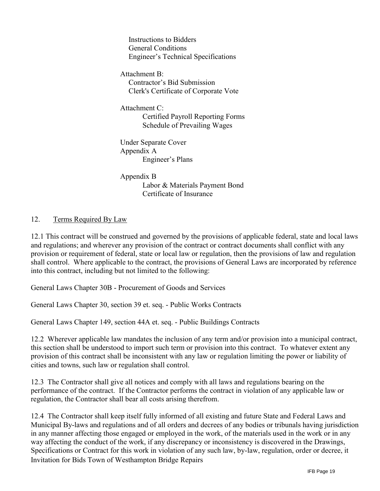Instructions to Bidders General Conditions Engineer's Technical Specifications

Attachment B: Contractor's Bid Submission Clerk's Certificate of Corporate Vote

Attachment C: Certified Payroll Reporting Forms Schedule of Prevailing Wages

Under Separate Cover Appendix A Engineer's Plans

Appendix B Labor & Materials Payment Bond Certificate of Insurance

## 12. Terms Required By Law

12.1 This contract will be construed and governed by the provisions of applicable federal, state and local laws and regulations; and wherever any provision of the contract or contract documents shall conflict with any provision or requirement of federal, state or local law or regulation, then the provisions of law and regulation shall control. Where applicable to the contract, the provisions of General Laws are incorporated by reference into this contract, including but not limited to the following:

General Laws Chapter 30B - Procurement of Goods and Services

General Laws Chapter 30, section 39 et. seq. - Public Works Contracts

General Laws Chapter 149, section 44A et. seq. - Public Buildings Contracts

12.2 Wherever applicable law mandates the inclusion of any term and/or provision into a municipal contract, this section shall be understood to import such term or provision into this contract. To whatever extent any provision of this contract shall be inconsistent with any law or regulation limiting the power or liability of cities and towns, such law or regulation shall control.

12.3 The Contractor shall give all notices and comply with all laws and regulations bearing on the performance of the contract. If the Contractor performs the contract in violation of any applicable law or regulation, the Contractor shall bear all costs arising therefrom.

Invitation for Bids Town of Westhampton Bridge Repairs 12.4 The Contractor shall keep itself fully informed of all existing and future State and Federal Laws and Municipal By-laws and regulations and of all orders and decrees of any bodies or tribunals having jurisdiction in any manner affecting those engaged or employed in the work, of the materials used in the work or in any way affecting the conduct of the work, if any discrepancy or inconsistency is discovered in the Drawings, Specifications or Contract for this work in violation of any such law, by-law, regulation, order or decree, it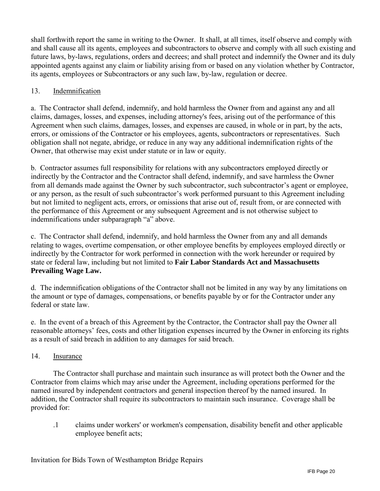shall forthwith report the same in writing to the Owner. It shall, at all times, itself observe and comply with and shall cause all its agents, employees and subcontractors to observe and comply with all such existing and future laws, by-laws, regulations, orders and decrees; and shall protect and indemnify the Owner and its duly appointed agents against any claim or liability arising from or based on any violation whether by Contractor, its agents, employees or Subcontractors or any such law, by-law, regulation or decree.

## 13. Indemnification

a. The Contractor shall defend, indemnify, and hold harmless the Owner from and against any and all claims, damages, losses, and expenses, including attorney's fees, arising out of the performance of this Agreement when such claims, damages, losses, and expenses are caused, in whole or in part, by the acts, errors, or omissions of the Contractor or his employees, agents, subcontractors or representatives. Such obligation shall not negate, abridge, or reduce in any way any additional indemnification rights of the Owner, that otherwise may exist under statute or in law or equity.

b. Contractor assumes full responsibility for relations with any subcontractors employed directly or indirectly by the Contractor and the Contractor shall defend, indemnify, and save harmless the Owner from all demands made against the Owner by such subcontractor, such subcontractor's agent or employee, or any person, as the result of such subcontractor's work performed pursuant to this Agreement including but not limited to negligent acts, errors, or omissions that arise out of, result from, or are connected with the performance of this Agreement or any subsequent Agreement and is not otherwise subject to indemnifications under subparagraph "a" above.

c. The Contractor shall defend, indemnify, and hold harmless the Owner from any and all demands relating to wages, overtime compensation, or other employee benefits by employees employed directly or indirectly by the Contractor for work performed in connection with the work hereunder or required by state or federal law, including but not limited to **Fair Labor Standards Act and Massachusetts Prevailing Wage Law.**

d. The indemnification obligations of the Contractor shall not be limited in any way by any limitations on the amount or type of damages, compensations, or benefits payable by or for the Contractor under any federal or state law.

e. In the event of a breach of this Agreement by the Contractor, the Contractor shall pay the Owner all reasonable attorneys' fees, costs and other litigation expenses incurred by the Owner in enforcing its rights as a result of said breach in addition to any damages for said breach.

#### 14. Insurance

The Contractor shall purchase and maintain such insurance as will protect both the Owner and the Contractor from claims which may arise under the Agreement, including operations performed for the named insured by independent contractors and general inspection thereof by the named insured. In addition, the Contractor shall require its subcontractors to maintain such insurance. Coverage shall be provided for:

.1 claims under workers' or workmen's compensation, disability benefit and other applicable employee benefit acts;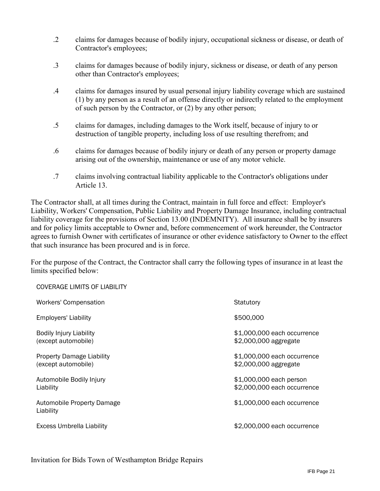- .2 claims for damages because of bodily injury, occupational sickness or disease, or death of Contractor's employees;
- .3 claims for damages because of bodily injury, sickness or disease, or death of any person other than Contractor's employees;
- .4 claims for damages insured by usual personal injury liability coverage which are sustained (1) by any person as a result of an offense directly or indirectly related to the employment of such person by the Contractor, or (2) by any other person;
- .5 claims for damages, including damages to the Work itself, because of injury to or destruction of tangible property, including loss of use resulting therefrom; and
- .6 claims for damages because of bodily injury or death of any person or property damage arising out of the ownership, maintenance or use of any motor vehicle.
- .7 claims involving contractual liability applicable to the Contractor's obligations under Article 13.

The Contractor shall, at all times during the Contract, maintain in full force and effect: Employer's Liability, Workers' Compensation, Public Liability and Property Damage Insurance, including contractual liability coverage for the provisions of Section 13.00 (INDEMNITY). All insurance shall be by insurers and for policy limits acceptable to Owner and, before commencement of work hereunder, the Contractor agrees to furnish Owner with certificates of insurance or other evidence satisfactory to Owner to the effect that such insurance has been procured and is in force.

For the purpose of the Contract, the Contractor shall carry the following types of insurance in at least the limits specified below:

| <b>COVERAGE LIMITS OF LIABILITY</b>                     |                                                        |
|---------------------------------------------------------|--------------------------------------------------------|
| <b>Workers' Compensation</b>                            | Statutory                                              |
| <b>Employers' Liability</b>                             | \$500,000                                              |
| <b>Bodily Injury Liability</b><br>(except automobile)   | \$1,000,000 each occurrence<br>\$2,000,000 aggregate   |
| <b>Property Damage Liability</b><br>(except automobile) | \$1,000,000 each occurrence<br>\$2,000,000 aggregate   |
| Automobile Bodily Injury<br>Liability                   | \$1,000,000 each person<br>\$2,000,000 each occurrence |
| Automobile Property Damage<br>Liability                 | \$1,000,000 each occurrence                            |
| <b>Excess Umbrella Liability</b>                        | \$2,000,000 each occurrence                            |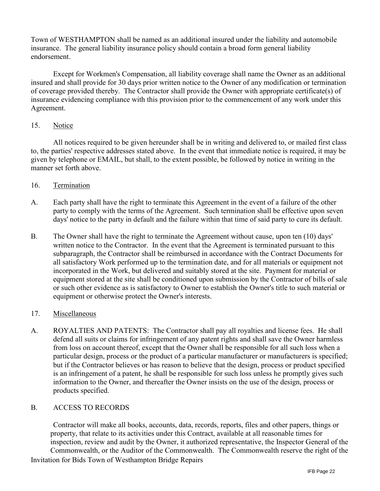Town of WESTHAMPTON shall be named as an additional insured under the liability and automobile insurance. The general liability insurance policy should contain a broad form general liability endorsement.

Except for Workmen's Compensation, all liability coverage shall name the Owner as an additional insured and shall provide for 30 days prior written notice to the Owner of any modification or termination of coverage provided thereby. The Contractor shall provide the Owner with appropriate certificate(s) of insurance evidencing compliance with this provision prior to the commencement of any work under this Agreement.

#### 15. Notice

All notices required to be given hereunder shall be in writing and delivered to, or mailed first class to, the parties' respective addresses stated above. In the event that immediate notice is required, it may be given by telephone or EMAIL, but shall, to the extent possible, be followed by notice in writing in the manner set forth above.

#### 16. Termination

- A. Each party shall have the right to terminate this Agreement in the event of a failure of the other party to comply with the terms of the Agreement. Such termination shall be effective upon seven days' notice to the party in default and the failure within that time of said party to cure its default.
- B. The Owner shall have the right to terminate the Agreement without cause, upon ten (10) days' written notice to the Contractor. In the event that the Agreement is terminated pursuant to this subparagraph, the Contractor shall be reimbursed in accordance with the Contract Documents for all satisfactory Work performed up to the termination date, and for all materials or equipment not incorporated in the Work, but delivered and suitably stored at the site. Payment for material or equipment stored at the site shall be conditioned upon submission by the Contractor of bills of sale or such other evidence as is satisfactory to Owner to establish the Owner's title to such material or equipment or otherwise protect the Owner's interests.

#### 17. Miscellaneous

A. ROYALTIES AND PATENTS: The Contractor shall pay all royalties and license fees. He shall defend all suits or claims for infringement of any patent rights and shall save the Owner harmless from loss on account thereof, except that the Owner shall be responsible for all such loss when a particular design, process or the product of a particular manufacturer or manufacturers is specified; but if the Contractor believes or has reason to believe that the design, process or product specified is an infringement of a patent, he shall be responsible for such loss unless he promptly gives such information to the Owner, and thereafter the Owner insists on the use of the design, process or products specified.

#### B. ACCESS TO RECORDS

Contractor will make all books, accounts, data, records, reports, files and other papers, things or property, that relate to its activities under this Contract, available at all reasonable times for inspection, review and audit by the Owner, it authorized representative, the Inspector General of the Commonwealth, or the Auditor of the Commonwealth. The Commonwealth reserve the right of the

Invitation for Bids Town of Westhampton Bridge Repairs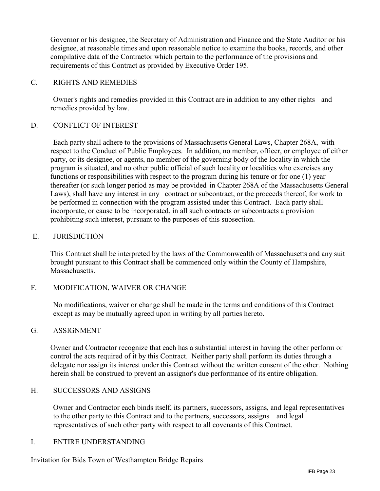Governor or his designee, the Secretary of Administration and Finance and the State Auditor or his designee, at reasonable times and upon reasonable notice to examine the books, records, and other compilative data of the Contractor which pertain to the performance of the provisions and requirements of this Contract as provided by Executive Order 195.

#### C. RIGHTS AND REMEDIES

Owner's rights and remedies provided in this Contract are in addition to any other rights and remedies provided by law.

#### D. CONFLICT OF INTEREST

Each party shall adhere to the provisions of Massachusetts General Laws, Chapter 268A, with respect to the Conduct of Public Employees. In addition, no member, officer, or employee of either party, or its designee, or agents, no member of the governing body of the locality in which the program is situated, and no other public official of such locality or localities who exercises any functions or responsibilities with respect to the program during his tenure or for one (1) year thereafter (or such longer period as may be provided in Chapter 268A of the Massachusetts General Laws), shall have any interest in any contract or subcontract, or the proceeds thereof, for work to be performed in connection with the program assisted under this Contract. Each party shall incorporate, or cause to be incorporated, in all such contracts or subcontracts a provision prohibiting such interest, pursuant to the purposes of this subsection.

#### E. JURISDICTION

This Contract shall be interpreted by the laws of the Commonwealth of Massachusetts and any suit brought pursuant to this Contract shall be commenced only within the County of Hampshire, Massachusetts.

#### F. MODIFICATION, WAIVER OR CHANGE

No modifications, waiver or change shall be made in the terms and conditions of this Contract except as may be mutually agreed upon in writing by all parties hereto.

#### G. ASSIGNMENT

Owner and Contractor recognize that each has a substantial interest in having the other perform or control the acts required of it by this Contract. Neither party shall perform its duties through a delegate nor assign its interest under this Contract without the written consent of the other. Nothing herein shall be construed to prevent an assignor's due performance of its entire obligation.

#### H. SUCCESSORS AND ASSIGNS

Owner and Contractor each binds itself, its partners, successors, assigns, and legal representatives to the other party to this Contract and to the partners, successors, assigns and legal representatives of such other party with respect to all covenants of this Contract.

#### I. ENTIRE UNDERSTANDING

Invitation for Bids Town of Westhampton Bridge Repairs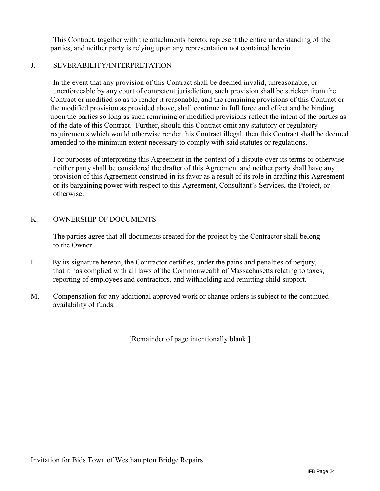This Contract, together with the attachments hereto, represent the entire understanding of the parties, and neither party is relying upon any representation not contained herein.

#### J. SEVERABILITY/INTERPRETATION

In the event that any provision of this Contract shall be deemed invalid, unreasonable, or unenforceable by any court of competent jurisdiction, such provision shall be stricken from the Contract or modified so as to render it reasonable, and the remaining provisions of this Contract or the modified provision as provided above, shall continue in full force and effect and be binding upon the parties so long as such remaining or modified provisions reflect the intent of the parties as of the date of this Contract. Further, should this Contract omit any statutory or regulatory requirements which would otherwise render this Contract illegal, then this Contract shall be deemed amended to the minimum extent necessary to comply with said statutes or regulations.

For purposes of interpreting this Agreement in the context of a dispute over its terms or otherwise neither party shall be considered the drafter of this Agreement and neither party shall have any provision of this Agreement construed in its favor as a result of its role in drafting this Agreement or its bargaining power with respect to this Agreement, Consultant's Services, the Project, or otherwise.

#### K. OWNERSHIP OF DOCUMENTS

The parties agree that all documents created for the project by the Contractor shall belong to the Owner.

- L. By its signature hereon, the Contractor certifies, under the pains and penalties of perjury, that it has complied with all laws of the Commonwealth of Massachusetts relating to taxes, reporting of employees and contractors, and withholding and remitting child support.
- M. Compensation for any additional approved work or change orders is subject to the continued availability of funds.

[Remainder of page intentionally blank.]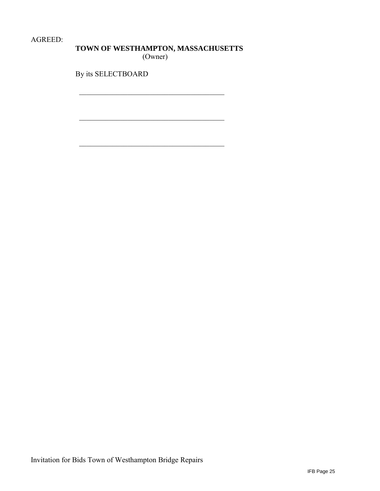AGREED:

# **TOWN OF WESTHAMPTON, MASSACHUSETTS**

(Owner)

 $\overline{\phantom{a}}$ 

 $\overline{\phantom{a}}$ 

 $\overline{\phantom{a}}$ 

By its SELECTBOARD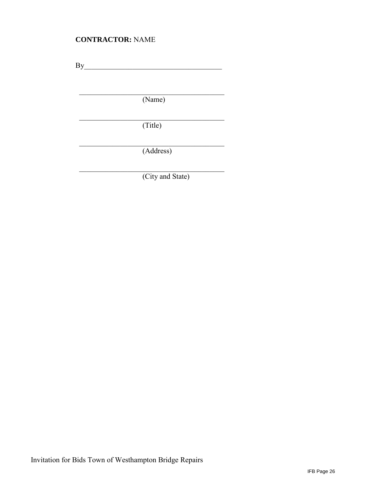## **CONTRACTOR:** NAME

 $By$ 

(Name)

 $\frac{1}{2}$  ,  $\frac{1}{2}$  ,  $\frac{1}{2}$  ,  $\frac{1}{2}$  ,  $\frac{1}{2}$  ,  $\frac{1}{2}$  ,  $\frac{1}{2}$  ,  $\frac{1}{2}$  ,  $\frac{1}{2}$  ,  $\frac{1}{2}$ 

 $\mathcal{L}_\text{max}$ 

 $\overline{\phantom{a}}$ (Title)

(Address)

(City and State)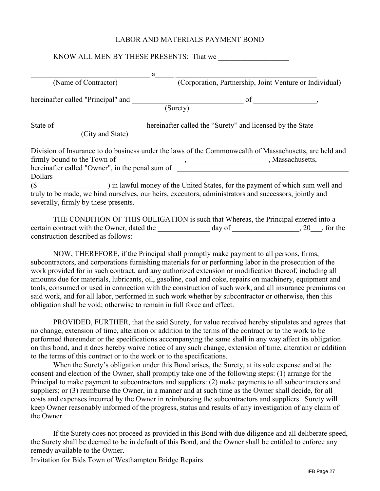#### LABOR AND MATERIALS PAYMENT BOND

|                                                 | a                                                                                                      |
|-------------------------------------------------|--------------------------------------------------------------------------------------------------------|
| (Name of Contractor)                            | (Corporation, Partnership, Joint Venture or Individual)                                                |
| hereinafter called "Principal" and              | of                                                                                                     |
|                                                 | (Surety)                                                                                               |
| State of                                        | hereinafter called the "Surety" and licensed by the State                                              |
| (City and State)                                |                                                                                                        |
|                                                 | Division of Insurance to do business under the laws of the Commonwealth of Massachusetts, are held and |
| firmly bound to the Town of                     | , Massachusetts,                                                                                       |
| hereinafter called "Owner", in the penal sum of |                                                                                                        |
| <b>Dollars</b>                                  |                                                                                                        |
| (S <sup>2</sup> )                               | ) in lawful money of the United States, for the payment of which sum well and                          |
|                                                 | truly to be made, we bind ourselves, our heirs, executors, administrators and successors, jointly and  |
|                                                 |                                                                                                        |

THE CONDITION OF THIS OBLIGATION is such that Whereas, the Principal entered into a certain contract with the Owner, dated the day of the day of the set of the set of the contract with the Owner, dated the construction described as follows:

NOW, THEREFORE, if the Principal shall promptly make payment to all persons, firms, subcontractors, and corporations furnishing materials for or performing labor in the prosecution of the work provided for in such contract, and any authorized extension or modification thereof, including all amounts due for materials, lubricants, oil, gasoline, coal and coke, repairs on machinery, equipment and tools, consumed or used in connection with the construction of such work, and all insurance premiums on said work, and for all labor, performed in such work whether by subcontractor or otherwise, then this obligation shall be void; otherwise to remain in full force and effect.

PROVIDED, FURTHER, that the said Surety, for value received hereby stipulates and agrees that no change, extension of time, alteration or addition to the terms of the contract or to the work to be performed thereunder or the specifications accompanying the same shall in any way affect its obligation on this bond, and it does hereby waive notice of any such change, extension of time, alteration or addition to the terms of this contract or to the work or to the specifications.

When the Surety's obligation under this Bond arises, the Surety, at its sole expense and at the consent and election of the Owner, shall promptly take one of the following steps: (1) arrange for the Principal to make payment to subcontractors and suppliers: (2) make payments to all subcontractors and suppliers; or (3) reimburse the Owner, in a manner and at such time as the Owner shall decide, for all costs and expenses incurred by the Owner in reimbursing the subcontractors and suppliers. Surety will keep Owner reasonably informed of the progress, status and results of any investigation of any claim of the Owner.

If the Surety does not proceed as provided in this Bond with due diligence and all deliberate speed, the Surety shall be deemed to be in default of this Bond, and the Owner shall be entitled to enforce any remedy available to the Owner.

Invitation for Bids Town of Westhampton Bridge Repairs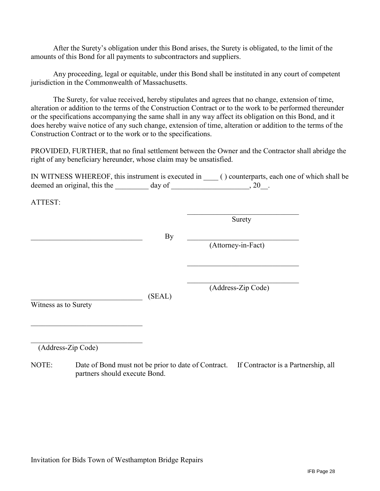After the Surety's obligation under this Bond arises, the Surety is obligated, to the limit of the amounts of this Bond for all payments to subcontractors and suppliers.

Any proceeding, legal or equitable, under this Bond shall be instituted in any court of competent jurisdiction in the Commonwealth of Massachusetts.

The Surety, for value received, hereby stipulates and agrees that no change, extension of time, alteration or addition to the terms of the Construction Contract or to the work to be performed thereunder or the specifications accompanying the same shall in any way affect its obligation on this Bond, and it does hereby waive notice of any such change, extension of time, alteration or addition to the terms of the Construction Contract or to the work or to the specifications.

PROVIDED, FURTHER, that no final settlement between the Owner and the Contractor shall abridge the right of any beneficiary hereunder, whose claim may be unsatisfied.

IN WITNESS WHEREOF, this instrument is executed in \_\_\_\_ ( ) counterparts, each one of which shall be deemed an original, this the  $\_\_\_\_\$  day of  $\_\_\_\_\_\_\_$ , 20 $\_\_\_\_\$ .

ATTEST:

|                      |        | Surety             |
|----------------------|--------|--------------------|
|                      | By     | (Attorney-in-Fact) |
|                      |        |                    |
|                      |        |                    |
|                      | (SEAL) | (Address-Zip Code) |
| Witness as to Surety |        |                    |
|                      |        |                    |
| (Address-Zip Code)   |        |                    |

NOTE: Date of Bond must not be prior to date of Contract. If Contractor is a Partnership, all partners should execute Bond.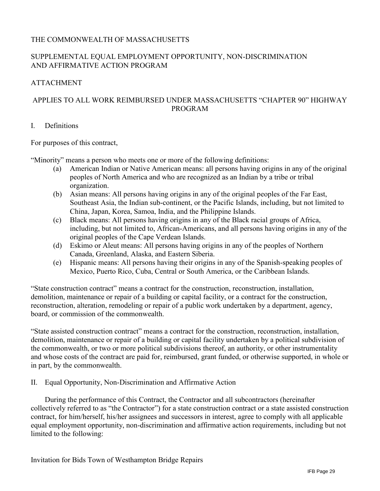#### THE COMMONWEALTH OF MASSACHUSETTS

#### SUPPLEMENTAL EQUAL EMPLOYMENT OPPORTUNITY, NON-DISCRIMINATION AND AFFIRMATIVE ACTION PROGRAM

#### ATTACHMENT

#### APPLIES TO ALL WORK REIMBURSED UNDER MASSACHUSETTS "CHAPTER 90" HIGHWAY PROGRAM

#### I. Definitions

For purposes of this contract,

"Minority" means a person who meets one or more of the following definitions:

- (a) American Indian or Native American means: all persons having origins in any of the original peoples of North America and who are recognized as an Indian by a tribe or tribal organization.
- (b) Asian means: All persons having origins in any of the original peoples of the Far East, Southeast Asia, the Indian sub-continent, or the Pacific Islands, including, but not limited to China, Japan, Korea, Samoa, India, and the Philippine Islands.
- (c) Black means: All persons having origins in any of the Black racial groups of Africa, including, but not limited to, African-Americans, and all persons having origins in any of the original peoples of the Cape Verdean Islands.
- (d) Eskimo or Aleut means: All persons having origins in any of the peoples of Northern Canada, Greenland, Alaska, and Eastern Siberia.
- (e) Hispanic means: All persons having their origins in any of the Spanish-speaking peoples of Mexico, Puerto Rico, Cuba, Central or South America, or the Caribbean Islands.

"State construction contract" means a contract for the construction, reconstruction, installation, demolition, maintenance or repair of a building or capital facility, or a contract for the construction, reconstruction, alteration, remodeling or repair of a public work undertaken by a department, agency, board, or commission of the commonwealth.

"State assisted construction contract" means a contract for the construction, reconstruction, installation, demolition, maintenance or repair of a building or capital facility undertaken by a political subdivision of the commonwealth, or two or more political subdivisions thereof, an authority, or other instrumentality and whose costs of the contract are paid for, reimbursed, grant funded, or otherwise supported, in whole or in part, by the commonwealth.

II. Equal Opportunity, Non-Discrimination and Affirmative Action

During the performance of this Contract, the Contractor and all subcontractors (hereinafter collectively referred to as "the Contractor") for a state construction contract or a state assisted construction contract, for him/herself, his/her assignees and successors in interest, agree to comply with all applicable equal employment opportunity, non-discrimination and affirmative action requirements, including but not limited to the following: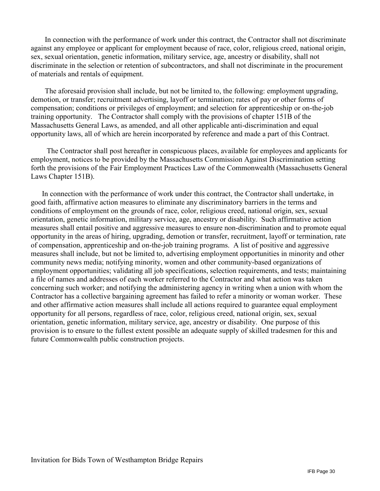In connection with the performance of work under this contract, the Contractor shall not discriminate against any employee or applicant for employment because of race, color, religious creed, national origin, sex, sexual orientation, genetic information, military service, age, ancestry or disability, shall not discriminate in the selection or retention of subcontractors, and shall not discriminate in the procurement of materials and rentals of equipment.

The aforesaid provision shall include, but not be limited to, the following: employment upgrading, demotion, or transfer; recruitment advertising, layoff or termination; rates of pay or other forms of compensation; conditions or privileges of employment; and selection for apprenticeship or on-the-job training opportunity. The Contractor shall comply with the provisions of chapter 151B of the Massachusetts General Laws, as amended, and all other applicable anti-discrimination and equal opportunity laws, all of which are herein incorporated by reference and made a part of this Contract.

The Contractor shall post hereafter in conspicuous places, available for employees and applicants for employment, notices to be provided by the Massachusetts Commission Against Discrimination setting forth the provisions of the Fair Employment Practices Law of the Commonwealth (Massachusetts General Laws Chapter 151B).

In connection with the performance of work under this contract, the Contractor shall undertake, in good faith, affirmative action measures to eliminate any discriminatory barriers in the terms and conditions of employment on the grounds of race, color, religious creed, national origin, sex, sexual orientation, genetic information, military service, age, ancestry or disability. Such affirmative action measures shall entail positive and aggressive measures to ensure non-discrimination and to promote equal opportunity in the areas of hiring, upgrading, demotion or transfer, recruitment, layoff or termination, rate of compensation, apprenticeship and on-the-job training programs. A list of positive and aggressive measures shall include, but not be limited to, advertising employment opportunities in minority and other community news media; notifying minority, women and other community-based organizations of employment opportunities; validating all job specifications, selection requirements, and tests; maintaining a file of names and addresses of each worker referred to the Contractor and what action was taken concerning such worker; and notifying the administering agency in writing when a union with whom the Contractor has a collective bargaining agreement has failed to refer a minority or woman worker. These and other affirmative action measures shall include all actions required to guarantee equal employment opportunity for all persons, regardless of race, color, religious creed, national origin, sex, sexual orientation, genetic information, military service, age, ancestry or disability. One purpose of this provision is to ensure to the fullest extent possible an adequate supply of skilled tradesmen for this and future Commonwealth public construction projects.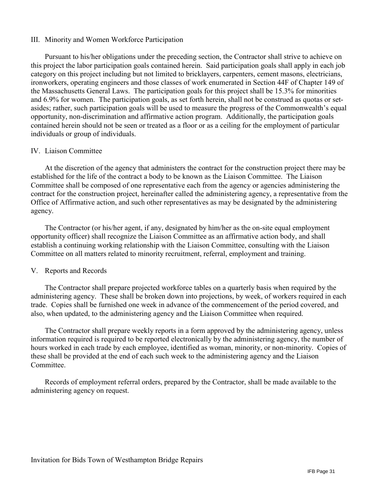#### III. Minority and Women Workforce Participation

Pursuant to his/her obligations under the preceding section, the Contractor shall strive to achieve on this project the labor participation goals contained herein. Said participation goals shall apply in each job category on this project including but not limited to bricklayers, carpenters, cement masons, electricians, ironworkers, operating engineers and those classes of work enumerated in Section 44F of Chapter 149 of the Massachusetts General Laws. The participation goals for this project shall be 15.3% for minorities and 6.9% for women. The participation goals, as set forth herein, shall not be construed as quotas or setasides; rather, such participation goals will be used to measure the progress of the Commonwealth's equal opportunity, non-discrimination and affirmative action program. Additionally, the participation goals contained herein should not be seen or treated as a floor or as a ceiling for the employment of particular individuals or group of individuals.

#### IV. Liaison Committee

At the discretion of the agency that administers the contract for the construction project there may be established for the life of the contract a body to be known as the Liaison Committee. The Liaison Committee shall be composed of one representative each from the agency or agencies administering the contract for the construction project, hereinafter called the administering agency, a representative from the Office of Affirmative action, and such other representatives as may be designated by the administering agency.

The Contractor (or his/her agent, if any, designated by him/her as the on-site equal employment opportunity officer) shall recognize the Liaison Committee as an affirmative action body, and shall establish a continuing working relationship with the Liaison Committee, consulting with the Liaison Committee on all matters related to minority recruitment, referral, employment and training.

#### V. Reports and Records

The Contractor shall prepare projected workforce tables on a quarterly basis when required by the administering agency. These shall be broken down into projections, by week, of workers required in each trade. Copies shall be furnished one week in advance of the commencement of the period covered, and also, when updated, to the administering agency and the Liaison Committee when required.

The Contractor shall prepare weekly reports in a form approved by the administering agency, unless information required is required to be reported electronically by the administering agency, the number of hours worked in each trade by each employee, identified as woman, minority, or non-minority. Copies of these shall be provided at the end of each such week to the administering agency and the Liaison Committee.

Records of employment referral orders, prepared by the Contractor, shall be made available to the administering agency on request.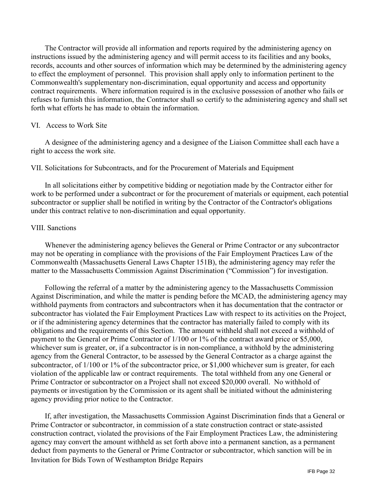The Contractor will provide all information and reports required by the administering agency on instructions issued by the administering agency and will permit access to its facilities and any books, records, accounts and other sources of information which may be determined by the administering agency to effect the employment of personnel. This provision shall apply only to information pertinent to the Commonwealth's supplementary non-discrimination, equal opportunity and access and opportunity contract requirements. Where information required is in the exclusive possession of another who fails or refuses to furnish this information, the Contractor shall so certify to the administering agency and shall set forth what efforts he has made to obtain the information.

#### VI. Access to Work Site

A designee of the administering agency and a designee of the Liaison Committee shall each have a right to access the work site.

#### VII. Solicitations for Subcontracts, and for the Procurement of Materials and Equipment

In all solicitations either by competitive bidding or negotiation made by the Contractor either for work to be performed under a subcontract or for the procurement of materials or equipment, each potential subcontractor or supplier shall be notified in writing by the Contractor of the Contractor's obligations under this contract relative to non-discrimination and equal opportunity.

#### VIII. Sanctions

 Whenever the administering agency believes the General or Prime Contractor or any subcontractor may not be operating in compliance with the provisions of the Fair Employment Practices Law of the Commonwealth (Massachusetts General Laws Chapter 151B), the administering agency may refer the matter to the Massachusetts Commission Against Discrimination ("Commission") for investigation.

Following the referral of a matter by the administering agency to the Massachusetts Commission Against Discrimination, and while the matter is pending before the MCAD, the administering agency may withhold payments from contractors and subcontractors when it has documentation that the contractor or subcontractor has violated the Fair Employment Practices Law with respect to its activities on the Project, or if the administering agency determines that the contractor has materially failed to comply with its obligations and the requirements of this Section. The amount withheld shall not exceed a withhold of payment to the General or Prime Contractor of 1/100 or 1% of the contract award price or \$5,000, whichever sum is greater, or, if a subcontractor is in non-compliance, a withhold by the administering agency from the General Contractor, to be assessed by the General Contractor as a charge against the subcontractor, of 1/100 or 1% of the subcontractor price, or \$1,000 whichever sum is greater, for each violation of the applicable law or contract requirements. The total withheld from any one General or Prime Contractor or subcontractor on a Project shall not exceed \$20,000 overall. No withhold of payments or investigation by the Commission or its agent shall be initiated without the administering agency providing prior notice to the Contractor.

Invitation for Bids Town of Westhampton Bridge Repairs If, after investigation, the Massachusetts Commission Against Discrimination finds that a General or Prime Contractor or subcontractor, in commission of a state construction contract or state-assisted construction contract, violated the provisions of the Fair Employment Practices Law, the administering agency may convert the amount withheld as set forth above into a permanent sanction, as a permanent deduct from payments to the General or Prime Contractor or subcontractor, which sanction will be in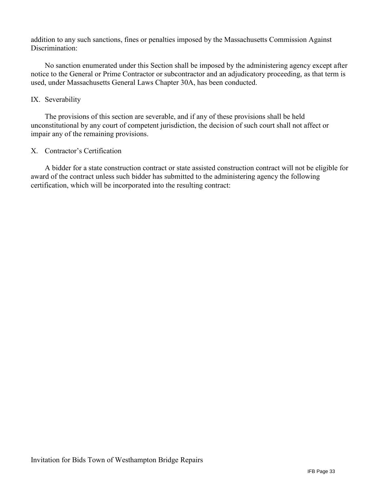addition to any such sanctions, fines or penalties imposed by the Massachusetts Commission Against Discrimination:

 No sanction enumerated under this Section shall be imposed by the administering agency except after notice to the General or Prime Contractor or subcontractor and an adjudicatory proceeding, as that term is used, under Massachusetts General Laws Chapter 30A, has been conducted.

#### IX. Severability

The provisions of this section are severable, and if any of these provisions shall be held unconstitutional by any court of competent jurisdiction, the decision of such court shall not affect or impair any of the remaining provisions.

#### X. Contractor's Certification

A bidder for a state construction contract or state assisted construction contract will not be eligible for award of the contract unless such bidder has submitted to the administering agency the following certification, which will be incorporated into the resulting contract: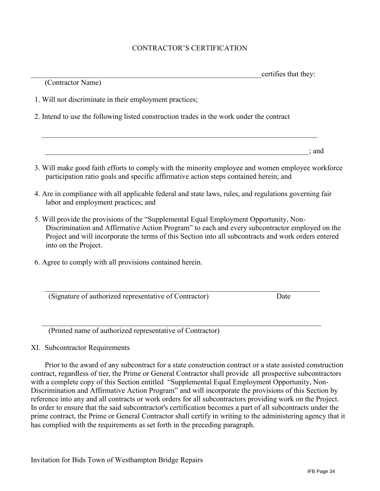#### CONTRACTOR'S CERTIFICATION

|                                                                                                                                                                                                                                                                                                  | certifies that they: |
|--------------------------------------------------------------------------------------------------------------------------------------------------------------------------------------------------------------------------------------------------------------------------------------------------|----------------------|
| (Contractor Name)                                                                                                                                                                                                                                                                                |                      |
| 1. Will not discriminate in their employment practices;                                                                                                                                                                                                                                          |                      |
| 2. Intend to use the following listed construction trades in the work under the contract                                                                                                                                                                                                         |                      |
|                                                                                                                                                                                                                                                                                                  |                      |
|                                                                                                                                                                                                                                                                                                  | ; and                |
| 3. Will make good faith efforts to comply with the minority employee and women employee workforce<br>participation ratio goals and specific affirmative action steps contained herein; and                                                                                                       |                      |
| 4. Are in compliance with all applicable federal and state laws, rules, and regulations governing fair<br>labor and employment practices; and                                                                                                                                                    |                      |
| 5. Will provide the provisions of the "Supplemental Equal Employment Opportunity, Non-<br>Discrimination and Affirmative Action Program" to each and every subcontractor employed on the<br>Project and will incorporate the terms of this Section into all subcontracts and work orders entered |                      |

6. Agree to comply with all provisions contained herein.

(Signature of authorized representative of Contractor) Date

(Printed name of authorized representative of Contractor)

XI. Subcontractor Requirements

into on the Project.

Prior to the award of any subcontract for a state construction contract or a state assisted construction contract, regardless of tier, the Prime or General Contractor shall provide all prospective subcontractors with a complete copy of this Section entitled "Supplemental Equal Employment Opportunity, Non-Discrimination and Affirmative Action Program" and will incorporate the provisions of this Section by reference into any and all contracts or work orders for all subcontractors providing work on the Project. In order to ensure that the said subcontractor's certification becomes a part of all subcontracts under the prime contract, the Prime or General Contractor shall certify in writing to the administering agency that it has complied with the requirements as set forth in the preceding paragraph.

 $\_$  , and the set of the set of the set of the set of the set of the set of the set of the set of the set of the set of the set of the set of the set of the set of the set of the set of the set of the set of the set of th

 $\mathcal{L}_\text{max}$  , and the set of the set of the set of the set of the set of the set of the set of the set of the set of the set of the set of the set of the set of the set of the set of the set of the set of the set of the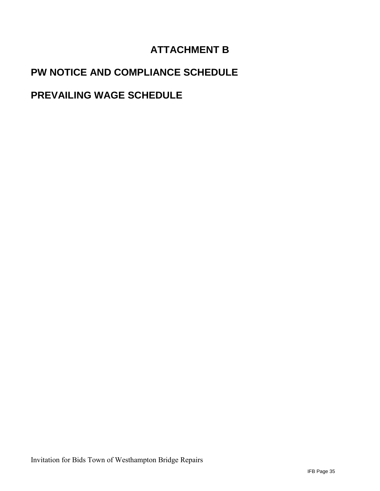# **ATTACHMENT B**

# **PW NOTICE AND COMPLIANCE SCHEDULE**

# **PREVAILING WAGE SCHEDULE**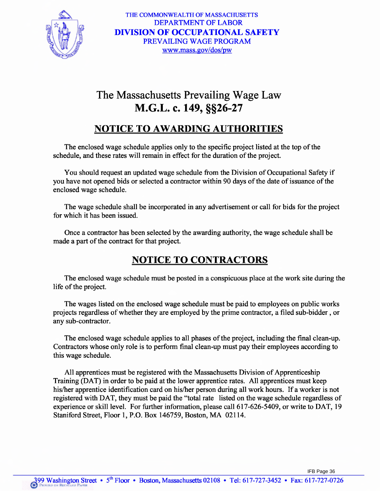

THE COMMONWEALTH OF MASSACHUSETTS **DEPARTMENT OF LABOR DIVISION OF OCCUPATIONAL SAFETY** PREVAILING WAGE PROGRAM www.mass.gov/dos/pw

# The Massachusetts Prevailing Wage Law M.G.L. c. 149, §§26-27

## **NOTICE TO AWARDING AUTHORITIES**

The enclosed wage schedule applies only to the specific project listed at the top of the schedule, and these rates will remain in effect for the duration of the project.

You should request an updated wage schedule from the Division of Occupational Safety if you have not opened bids or selected a contractor within 90 days of the date of issuance of the enclosed wage schedule.

The wage schedule shall be incorporated in any advertisement or call for bids for the project for which it has been issued.

Once a contractor has been selected by the awarding authority, the wage schedule shall be made a part of the contract for that project.

# **NOTICE TO CONTRACTORS**

The enclosed wage schedule must be posted in a conspicuous place at the work site during the life of the project.

The wages listed on the enclosed wage schedule must be paid to employees on public works projects regardless of whether they are employed by the prime contractor, a filed sub-bidder, or any sub-contractor.

The enclosed wage schedule applies to all phases of the project, including the final clean-up. Contractors whose only role is to perform final clean-up must pay their employees according to this wage schedule.

All apprentices must be registered with the Massachusetts Division of Apprenticeship Training (DAT) in order to be paid at the lower apprentice rates. All apprentices must keep his/her apprentice identification card on his/her person during all work hours. If a worker is not registered with DAT, they must be paid the "total rate listed on the wage schedule regardless of experience or skill level. For further information, please call 617-626-5409, or write to DAT, 19 Staniford Street, Floor 1, P.O. Box 146759, Boston, MA 02114.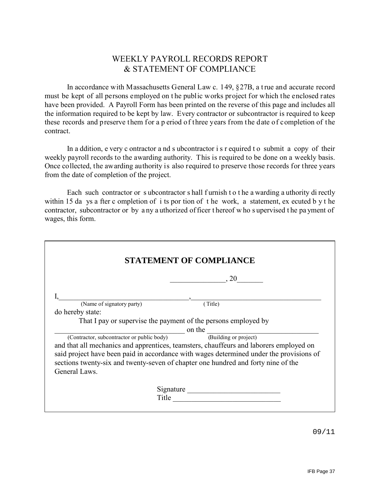## WEEKLY PAYROLL RECORDS REPORT & STATEMENT OF COMPLIANCE

In accordance with Massachusetts General Law c. 149, §27B, a t rue and accurate record must be kept of all persons employed on t he public works project for which the enclosed rates have been provided. A Payroll Form has been printed on the reverse of this page and includes all the information required to be kept by law. Every contractor or subcontractor is required to keep these records and preserve them for a p eriod of three years from the date of completion of the contract.

In a ddition, e very c ontractor a nd s ubcontractor i s r equired t o submit a copy of their weekly payroll records to the awarding authority. This is required to be done on a weekly basis. Once collected, the awarding authority is also required to preserve those records for three years from the date of completion of the project.

Each such contractor or s ubcontractor s hall f urnish t o t he a warding a uthority di rectly within 15 da ys a fter c ompletion of i ts por tion of t he work, a statement, ex ecuted b y t he contractor, subcontractor or by a ny a uthorized of ficer t hereof w ho s upervised t he pa yment of wages, this form.

|                                                                  | $\sim$ 0.20                                                                             |
|------------------------------------------------------------------|-----------------------------------------------------------------------------------------|
|                                                                  |                                                                                         |
| (Name of signatory party)                                        | (Title)                                                                                 |
| do hereby state:                                                 |                                                                                         |
|                                                                  | That I pay or supervise the payment of the persons employed by                          |
| $\frac{1}{\sqrt{1-\frac{1}{2}}}\$ on the                         |                                                                                         |
| (Contractor, subcontractor or public body) (Building or project) |                                                                                         |
|                                                                  | and that all mechanics and apprentices, teamsters, chauffeurs and laborers employed on  |
|                                                                  | said project have been paid in accordance with wages determined under the provisions of |
|                                                                  | sections twenty-six and twenty-seven of chapter one hundred and forty nine of the       |
| General Laws.                                                    |                                                                                         |
|                                                                  | Signature                                                                               |
|                                                                  | Title                                                                                   |

09/11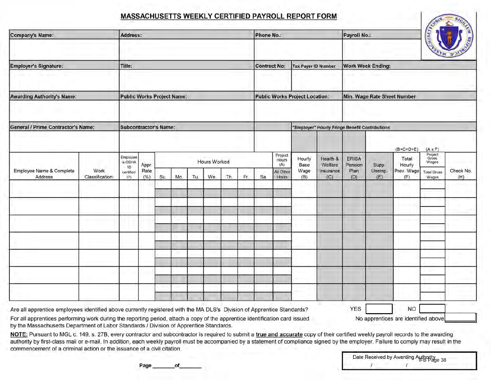## MASSACHUSETTS WEEKLY CERTIFIED PAYROLL REPORT FORM

| Company's Name:                                                                                                                                                                                                                                                                                                                                 |                         | Address:                                      |                      |     |     |     |                     |     |     | Phone No.: |                                                |                                |                                                | Payroll No.:                           |                          |                                                     | <b>AUSETA CARD</b>                                                         |                  |
|-------------------------------------------------------------------------------------------------------------------------------------------------------------------------------------------------------------------------------------------------------------------------------------------------------------------------------------------------|-------------------------|-----------------------------------------------|----------------------|-----|-----|-----|---------------------|-----|-----|------------|------------------------------------------------|--------------------------------|------------------------------------------------|----------------------------------------|--------------------------|-----------------------------------------------------|----------------------------------------------------------------------------|------------------|
| Employer's Signature:                                                                                                                                                                                                                                                                                                                           |                         | Title:                                        |                      |     |     |     |                     |     |     |            | <b>Contract No:</b>                            | <b>Tax Payer ID Number</b>     |                                                |                                        | <b>Work Week Ending:</b> |                                                     |                                                                            |                  |
| <b>Awarding Authority's Name:</b>                                                                                                                                                                                                                                                                                                               |                         | <b>Public Works Project Name:</b>             |                      |     |     |     |                     |     |     |            |                                                | Public Works Project Location: |                                                |                                        |                          | Min. Wage Rate Sheet Number                         |                                                                            |                  |
| General / Prime Contractor's Name:                                                                                                                                                                                                                                                                                                              |                         | <b>Subcontractor's Name:</b>                  |                      |     |     |     |                     |     |     |            |                                                |                                | 'Employer" Hourly Fringe Benefit Contributions |                                        |                          |                                                     |                                                                            |                  |
| Employee Name & Complete<br>Address                                                                                                                                                                                                                                                                                                             | Work<br>Classification: | Employee<br>is OSHA<br>10<br>certified<br>(?) | Appr.<br>Rate<br>(%) | Su. | Mo. | Tu. | Hours Worked<br>We. | Th. | Fr. | Sa         | Project<br>Hours<br>(A)<br>All Other<br>Hours. | Hourly<br>Base<br>Wage<br>(B)  | Health &<br>Welfare<br>Insurance<br>(C)        | <b>ERISA</b><br>Pension<br>Plan<br>(D) | Supp.<br>Unemp.<br>(E)   | $(B+C+D+E)$<br>Total<br>Hourly<br>Prev. Wage<br>(F) | $(A \times F)$<br>Project<br>Gross<br>Wages<br><b>Total Gross</b><br>Wages | Check No.<br>(H) |
|                                                                                                                                                                                                                                                                                                                                                 |                         |                                               |                      |     |     |     |                     |     |     |            |                                                |                                |                                                |                                        |                          |                                                     |                                                                            |                  |
|                                                                                                                                                                                                                                                                                                                                                 |                         |                                               |                      |     |     |     |                     |     |     |            |                                                |                                |                                                |                                        |                          |                                                     |                                                                            |                  |
|                                                                                                                                                                                                                                                                                                                                                 |                         |                                               |                      |     |     |     |                     |     |     |            |                                                |                                |                                                |                                        |                          |                                                     |                                                                            |                  |
|                                                                                                                                                                                                                                                                                                                                                 |                         |                                               |                      |     |     |     |                     |     |     |            |                                                |                                |                                                |                                        |                          |                                                     |                                                                            |                  |
| Are all apprentice employees identified above currently registered with the MA DLS's Division of Apprentice Standards?<br>For all apprentices performing work during the reporting period, attach a copy of the apprentice identification card issued<br>by the Massachusetts Department of Labor Standards / Division of Apprentice Standards. |                         |                                               |                      |     |     |     |                     |     |     |            |                                                |                                |                                                | <b>YES</b>                             |                          | <b>NO</b><br>No apprentices are identified above    |                                                                            |                  |

commencement of a criminal action or the issuance of a civil citation.

Date Received by Awarding Authority<br>IFB Page 38

Page \_of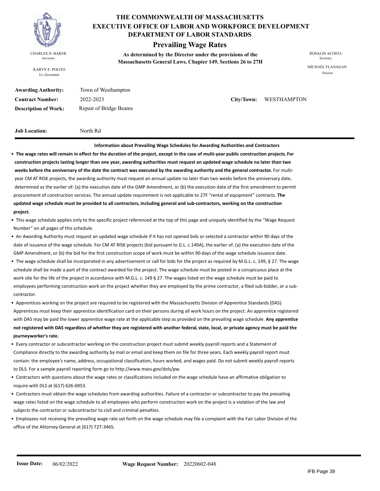

KARYN E. POLITO Lt. Governor

#### **THE COMMONWEALTH OF MASSACHUSETTS DEPARTMENT OF LABOR STANDARDS EXECUTIVE OFFICE OF LABOR AND WORKFORCE DEVELOPMENT**

#### **Prevailing Wage Rates**

**As determined by the Director under the provisions of the**  CHARLES D. BAKER ROSALIN ACOSTA Governor<br> **Massachusetts General Laws, Chapter 149, Sections 26 to 27H** 

MICHAEL FLANAGAN Director

| <b>Awarding Authority:</b>  | Town of Westhampton   |
|-----------------------------|-----------------------|
| <b>Contract Number:</b>     | 2022-2023             |
| <b>Description of Work:</b> | Repair of Bridge Beam |

 $City/Down:$  WESTHAMPTON

**Job Location:** North Rd

Beams

**Information about Prevailing Wage Schedules for Awarding Authorities and Contractors**  • **The wage rates will remain in effect for the duration of the project, except in the case of multi-year public construction projects. For construction projects lasting longer than one year, awarding authorities must request an updated wage schedule no later than two weeks before the anniversary of the date the contract was executed by the awarding authority and the general contractor.** For multi year CM AT RISK projects, the awarding authority must request an annual update no later than two weeks before the anniversary date, determined as the earlier of: (a) the execution date of the GMP Amendment, or (b) the execution date of the first amendment to permit procurement of construction services. The annual update requirement is not applicable to 27F "rental of equipment" contracts. **The updated wage schedule must be provided to all contractors, including general and sub-contractors, working on the construction project.**

• This wage schedule applies only to the specific project referenced at the top of this page and uniquely identified by the "Wage Request Number" on all pages of this schedule.

- An Awarding Authority must request an updated wage schedule if it has not opened bids or selected a contractor within 90 days of the date of issuance of the wage schedule. For CM AT RISK projects (bid pursuant to G.L. c.149A), the earlier of: (a) the execution date of the GMP Amendment, or (b) the bid for the first construction scope of work must be within 90-days of the wage schedule issuance date.
- The wage schedule shall be incorporated in any advertisement or call for bids for the project as required by M.G.L. c. 149, § 27. The wage schedule shall be made a part of the contract awarded for the project. The wage schedule must be posted in a conspicuous place at the work site for the life of the project in accordance with M.G.L. c. 149 § 27. The wages listed on the wage schedule must be paid to employees performing construction work on the project whether they are employed by the prime contractor, a filed sub-bidder, or a sub contractor.

• Apprentices working on the project are required to be registered with the Massachusetts Division of Apprentice Standards (DAS). Apprentices must keep their apprentice identification card on their persons during all work hours on the project. An apprentice registered with DAS may be paid the lower apprentice wage rate at the applicable step as provided on the prevailing wage schedule. **Any apprentice not registered with DAS regardless of whether they are registered with another federal, state, local, or private agency must be paid the journeyworker's rate.**

- Every contractor or subcontractor working on the construction project must submit weekly payroll reports and a Statement of Compliance directly to the awarding authority by mail or email and keep them on file for three years. Each weekly payroll report must contain: the employee's name, address, occupational classification, hours worked, and wages paid. Do not submit weekly payroll reports to DLS. For a sample payroll reporting form go to http://www.mass.gov/dols/pw.
- Contractors with questions about the wage rates or classifications included on the wage schedule have an affirmative obligation to inquire with DLS at (617) 626-6953.
- Contractors must obtain the wage schedules from awarding authorities. Failure of a contractor or subcontractor to pay the prevailing wage rates listed on the wage schedule to all employees who perform construction work on the project is a violation of the law and subjects the contractor or subcontractor to civil and criminal penalties.
- Employees not receiving the prevailing wage rate set forth on the wage schedule may file a complaint with the Fair Labor Division of the office of the Attorney General at (617) 727-3465.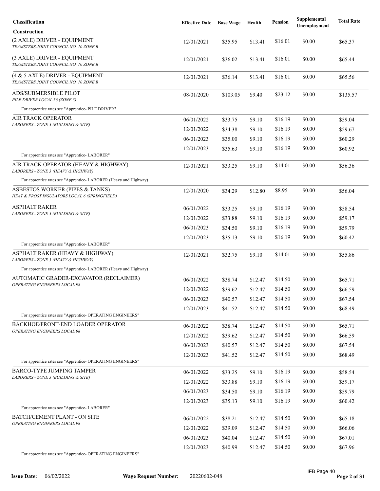| <b>Classification</b>                                                                                                         | <b>Effective Date</b> | <b>Base Wage</b> | Health  | <b>Pension</b> | Supplemental<br>Unemployment | <b>Total Rate</b> |
|-------------------------------------------------------------------------------------------------------------------------------|-----------------------|------------------|---------|----------------|------------------------------|-------------------|
| <b>Construction</b>                                                                                                           |                       |                  |         |                |                              |                   |
| (2 AXLE) DRIVER - EQUIPMENT<br>TEAMSTERS JOINT COUNCIL NO. 10 ZONE B                                                          | 12/01/2021            | \$35.95          | \$13.41 | \$16.01        | \$0.00                       | \$65.37           |
| (3 AXLE) DRIVER - EQUIPMENT<br>TEAMSTERS JOINT COUNCIL NO. 10 ZONE B                                                          | 12/01/2021            | \$36.02          | \$13.41 | \$16.01        | \$0.00                       | \$65.44           |
| (4 & 5 AXLE) DRIVER - EQUIPMENT<br>TEAMSTERS JOINT COUNCIL NO. 10 ZONE B                                                      | 12/01/2021            | \$36.14          | \$13.41 | \$16.01        | \$0.00                       | \$65.56           |
| ADS/SUBMERSIBLE PILOT<br>PILE DRIVER LOCAL 56 (ZONE 3)                                                                        | 08/01/2020            | \$103.05         | \$9.40  | \$23.12        | \$0.00                       | \$135.57          |
| For apprentice rates see "Apprentice- PILE DRIVER"                                                                            |                       |                  |         |                |                              |                   |
| AIR TRACK OPERATOR<br>LABORERS - ZONE 3 (BUILDING & SITE)                                                                     | 06/01/2022            | \$33.75          | \$9.10  | \$16.19        | \$0.00                       | \$59.04           |
|                                                                                                                               | 12/01/2022            | \$34.38          | \$9.10  | \$16.19        | \$0.00                       | \$59.67           |
|                                                                                                                               | 06/01/2023            | \$35.00          | \$9.10  | \$16.19        | \$0.00                       | \$60.29           |
|                                                                                                                               | 12/01/2023            | \$35.63          | \$9.10  | \$16.19        | \$0.00                       | \$60.92           |
| For apprentice rates see "Apprentice- LABORER"<br>AIR TRACK OPERATOR (HEAVY & HIGHWAY)<br>LABORERS - ZONE 3 (HEAVY & HIGHWAY) | 12/01/2021            | \$33.25          | \$9.10  | \$14.01        | \$0.00                       | \$56.36           |
| For apprentice rates see "Apprentice- LABORER (Heavy and Highway)                                                             |                       |                  |         |                |                              |                   |
| ASBESTOS WORKER (PIPES & TANKS)<br>HEAT & FROST INSULATORS LOCAL 6 (SPRINGFIELD)                                              | 12/01/2020            | \$34.29          | \$12.80 | \$8.95         | \$0.00                       | \$56.04           |
| <b>ASPHALT RAKER</b>                                                                                                          | 06/01/2022            | \$33.25          | \$9.10  | \$16.19        | \$0.00                       | \$58.54           |
| LABORERS - ZONE 3 (BUILDING & SITE)                                                                                           | 12/01/2022            | \$33.88          | \$9.10  | \$16.19        | \$0.00                       | \$59.17           |
|                                                                                                                               | 06/01/2023            | \$34.50          | \$9.10  | \$16.19        | \$0.00                       | \$59.79           |
|                                                                                                                               | 12/01/2023            | \$35.13          | \$9.10  | \$16.19        | \$0.00                       | \$60.42           |
| For apprentice rates see "Apprentice-LABORER"                                                                                 |                       |                  |         |                |                              |                   |
| ASPHALT RAKER (HEAVY & HIGHWAY)<br>LABORERS - ZONE 3 (HEAVY & HIGHWAY)                                                        | 12/01/2021            | \$32.75          | \$9.10  | \$14.01        | \$0.00                       | \$55.86           |
| For apprentice rates see "Apprentice- LABORER (Heavy and Highway)                                                             |                       |                  |         |                |                              |                   |
| AUTOMATIC GRADER-EXCAVATOR (RECLAIMER)<br>OPERATING ENGINEERS LOCAL 98                                                        | 06/01/2022            | \$38.74          | \$12.47 | \$14.50        | \$0.00                       | \$65.71           |
|                                                                                                                               | 12/01/2022            | \$39.62          | \$12.47 | \$14.50        | \$0.00                       | \$66.59           |
|                                                                                                                               | 06/01/2023            | \$40.57          | \$12.47 | \$14.50        | \$0.00                       | \$67.54           |
|                                                                                                                               | 12/01/2023            | \$41.52          | \$12.47 | \$14.50        | \$0.00                       | \$68.49           |
| For apprentice rates see "Apprentice- OPERATING ENGINEERS"                                                                    |                       |                  |         |                |                              |                   |
| BACKHOE/FRONT-END LOADER OPERATOR<br>OPERATING ENGINEERS LOCAL 98                                                             | 06/01/2022            | \$38.74          | \$12.47 | \$14.50        | \$0.00                       | \$65.71           |
|                                                                                                                               | 12/01/2022            | \$39.62          | \$12.47 | \$14.50        | \$0.00                       | \$66.59           |
|                                                                                                                               | 06/01/2023            | \$40.57          | \$12.47 | \$14.50        | \$0.00                       | \$67.54           |
| For apprentice rates see "Apprentice- OPERATING ENGINEERS"                                                                    | 12/01/2023            | \$41.52          | \$12.47 | \$14.50        | \$0.00                       | \$68.49           |
| <b>BARCO-TYPE JUMPING TAMPER</b>                                                                                              | 06/01/2022            |                  |         | \$16.19        | \$0.00                       |                   |
| LABORERS - ZONE 3 (BUILDING & SITE)                                                                                           |                       | \$33.25          | \$9.10  | \$16.19        | \$0.00                       | \$58.54           |
|                                                                                                                               | 12/01/2022            | \$33.88          | \$9.10  | \$16.19        | \$0.00                       | \$59.17           |
|                                                                                                                               | 06/01/2023            | \$34.50          | \$9.10  | \$16.19        | \$0.00                       | \$59.79           |
| For apprentice rates see "Apprentice-LABORER"                                                                                 | 12/01/2023            | \$35.13          | \$9.10  |                |                              | \$60.42           |
| <b>BATCH/CEMENT PLANT - ON SITE</b>                                                                                           | 06/01/2022            | \$38.21          | \$12.47 | \$14.50        | \$0.00                       | \$65.18           |
| OPERATING ENGINEERS LOCAL 98                                                                                                  | 12/01/2022            | \$39.09          | \$12.47 | \$14.50        | \$0.00                       | \$66.06           |
|                                                                                                                               | 06/01/2023            | \$40.04          | \$12.47 | \$14.50        | \$0.00                       | \$67.01           |
|                                                                                                                               | 12/01/2023            | \$40.99          | \$12.47 | \$14.50        | \$0.00                       | \$67.96           |
| For apprentice rates see "Apprentice- OPERATING ENGINEERS"                                                                    |                       |                  |         |                |                              |                   |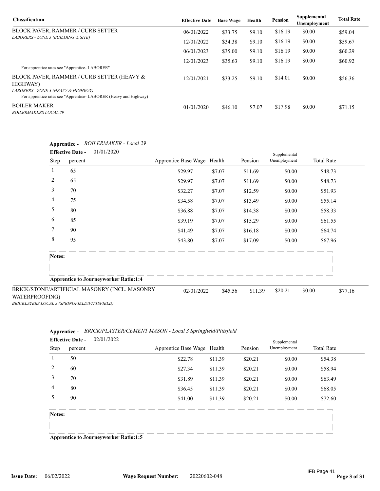| <b>Classification</b>                                                                                   | <b>Effective Date</b> | <b>Base Wage</b> | Health | <b>Pension</b> | Supplemental<br>Unemployment | <b>Total Rate</b> |
|---------------------------------------------------------------------------------------------------------|-----------------------|------------------|--------|----------------|------------------------------|-------------------|
| <b>BLOCK PAVER, RAMMER / CURB SETTER</b>                                                                | 06/01/2022            | \$33.75          | \$9.10 | \$16.19        | \$0.00                       | \$59.04           |
| LABORERS - ZONE 3 (BUILDING & SITE)                                                                     | 12/01/2022            | \$34.38          | \$9.10 | \$16.19        | \$0.00                       | \$59.67           |
|                                                                                                         | 06/01/2023            | \$35.00          | \$9.10 | \$16.19        | \$0.00                       | \$60.29           |
| For apprentice rates see "Apprentice-LABORER"                                                           | 12/01/2023            | \$35.63          | \$9.10 | \$16.19        | \$0.00                       | \$60.92           |
| BLOCK PAVER, RAMMER / CURB SETTER (HEAVY &<br><b>HIGHWAY</b> )                                          | 12/01/2021            | \$33.25          | \$9.10 | \$14.01        | \$0.00                       | \$56.36           |
| LABORERS - ZONE 3 (HEAVY & HIGHWAY)<br>For apprentice rates see "Apprentice-LABORER (Heavy and Highway) |                       |                  |        |                |                              |                   |
| <b>BOILER MAKER</b><br><b>BOILERMAKERS LOCAL 29</b>                                                     | 01/01/2020            | \$46.10          | \$7.07 | \$17.98        | \$0.00                       | \$71.15           |

|                | <b>Effective Date -</b> | 01/01/2020                                    |                             |         |         | Supplemental |                   |         |
|----------------|-------------------------|-----------------------------------------------|-----------------------------|---------|---------|--------------|-------------------|---------|
|                | Step<br>percent         |                                               | Apprentice Base Wage Health |         | Pension | Unemployment | <b>Total Rate</b> |         |
| 1              | 65                      |                                               | \$29.97                     | \$7.07  | \$11.69 | \$0.00       | \$48.73           |         |
| 2              | 65                      |                                               | \$29.97                     | \$7.07  | \$11.69 | \$0.00       | \$48.73           |         |
| 3              | 70                      |                                               | \$32.27                     | \$7.07  | \$12.59 | \$0.00       | \$51.93           |         |
| 4              | 75                      |                                               | \$34.58                     | \$7.07  | \$13.49 | \$0.00       | \$55.14           |         |
| 5              | 80                      |                                               | \$36.88                     | \$7.07  | \$14.38 | \$0.00       | \$58.33           |         |
| 6              | 85                      |                                               | \$39.19                     | \$7.07  | \$15.29 | \$0.00       | \$61.55           |         |
| 7              | 90                      |                                               | \$41.49                     | \$7.07  | \$16.18 | \$0.00       | \$64.74           |         |
| 8              | 95                      |                                               | \$43.80                     | \$7.07  | \$17.09 | \$0.00       | \$67.96           |         |
|                | Notes:                  |                                               |                             |         |         |              |                   |         |
|                |                         | <b>Apprentice to Journeyworker Ratio:1:4</b>  |                             |         |         |              |                   |         |
| WATERPROOFING) |                         | BRICK/STONE/ARTIFICIAL MASONRY (INCL. MASONRY | 02/01/2022                  | \$45.56 | \$11.39 | \$20.21      | \$0.00            | \$77.16 |

#### **Apprentice -** *BOILERMAKER - Local 29*

WATERPROOJ *BRICKLAYERS LOCAL 3 (SPRINGFIELD/PITTSFIELD)*

#### **Apprentice -** *BRICK/PLASTER/CEMENT MASON - Local 3 Springfield/Pittsfield* 02/01/2022 **Effective Date -**

|        | <b>Effective Date -</b><br>02/01/2022  |                             |         |         | Supplemental |                   |
|--------|----------------------------------------|-----------------------------|---------|---------|--------------|-------------------|
| Step   | percent                                | Apprentice Base Wage Health |         | Pension | Unemployment | <b>Total Rate</b> |
| 1      | 50                                     | \$22.78                     | \$11.39 | \$20.21 | \$0.00       | \$54.38           |
| 2      | 60                                     | \$27.34                     | \$11.39 | \$20.21 | \$0.00       | \$58.94           |
| 3      | 70                                     | \$31.89                     | \$11.39 | \$20.21 | \$0.00       | \$63.49           |
| 4      | 80                                     | \$36.45                     | \$11.39 | \$20.21 | \$0.00       | \$68.05           |
| 5      | 90                                     | \$41.00                     | \$11.39 | \$20.21 | \$0.00       | \$72.60           |
| Notes: |                                        |                             |         |         |              |                   |
|        | Annuantias to Journal worker Datio 1.5 |                             |         |         |              |                   |

**Apprentice to Journeyworker Ratio:1:5**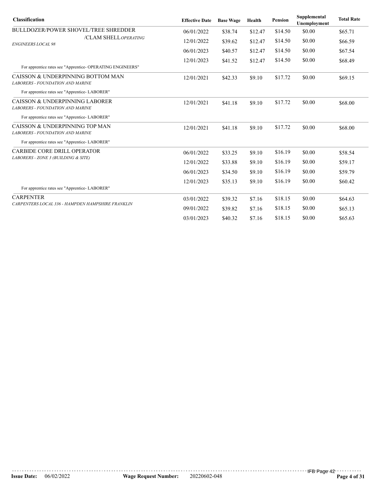| <b>Classification</b>                                                        | <b>Effective Date</b> | <b>Base Wage</b> | Health  | <b>Pension</b> | Supplemental<br>Unemployment | <b>Total Rate</b> |
|------------------------------------------------------------------------------|-----------------------|------------------|---------|----------------|------------------------------|-------------------|
| <b>BULLDOZER/POWER SHOVEL/TREE SHREDDER</b>                                  | 06/01/2022            | \$38.74          | \$12.47 | \$14.50        | \$0.00                       | \$65.71           |
| /CLAM SHELLOPERATING<br><b>ENGINEERS LOCAL 98</b>                            | 12/01/2022            | \$39.62          | \$12.47 | \$14.50        | \$0.00                       | \$66.59           |
|                                                                              | 06/01/2023            | \$40.57          | \$12.47 | \$14.50        | \$0.00                       | \$67.54           |
| For apprentice rates see "Apprentice- OPERATING ENGINEERS"                   | 12/01/2023            | \$41.52          | \$12.47 | \$14.50        | \$0.00                       | \$68.49           |
| CAISSON & UNDERPINNING BOTTOM MAN<br><b>LABORERS - FOUNDATION AND MARINE</b> | 12/01/2021            | \$42.33          | \$9.10  | \$17.72        | \$0.00                       | \$69.15           |
| For apprentice rates see "Apprentice-LABORER"                                |                       |                  |         |                |                              |                   |
| CAISSON & UNDERPINNING LABORER<br>LABORERS - FOUNDATION AND MARINE           | 12/01/2021            | \$41.18          | \$9.10  | \$17.72        | \$0.00                       | \$68.00           |
| For apprentice rates see "Apprentice-LABORER"                                |                       |                  |         |                |                              |                   |
| CAISSON & UNDERPINNING TOP MAN<br><b>LABORERS - FOUNDATION AND MARINE</b>    | 12/01/2021            | \$41.18          | \$9.10  | \$17.72        | \$0.00                       | \$68.00           |
| For apprentice rates see "Apprentice-LABORER"                                |                       |                  |         |                |                              |                   |
| <b>CARBIDE CORE DRILL OPERATOR</b>                                           | 06/01/2022            | \$33.25          | \$9.10  | \$16.19        | \$0.00                       | \$58.54           |
| LABORERS - ZONE 3 (BUILDING & SITE)                                          | 12/01/2022            | \$33.88          | \$9.10  | \$16.19        | \$0.00                       | \$59.17           |
|                                                                              | 06/01/2023            | \$34.50          | \$9.10  | \$16.19        | \$0.00                       | \$59.79           |
| For apprentice rates see "Apprentice-LABORER"                                | 12/01/2023            | \$35.13          | \$9.10  | \$16.19        | \$0.00                       | \$60.42           |
| <b>CARPENTER</b>                                                             | 03/01/2022            | \$39.32          | \$7.16  | \$18.15        | \$0.00                       | \$64.63           |
| CARPENTERS LOCAL 336 - HAMPDEN HAMPSHIRE FRANKLIN                            | 09/01/2022            | \$39.82          | \$7.16  | \$18.15        | \$0.00                       | \$65.13           |
|                                                                              | 03/01/2023            | \$40.32          | \$7.16  | \$18.15        | \$0.00                       | \$65.63           |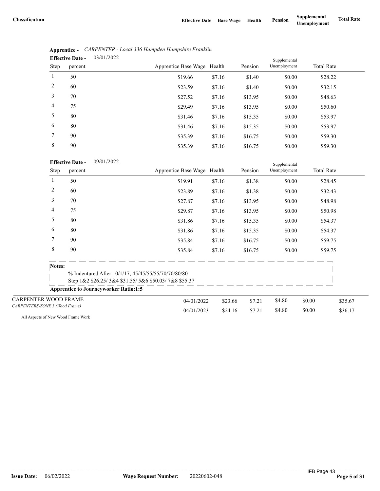|                | 03/01/2022<br><b>Effective Date -</b> |                             |        |         | Supplemental |                   |
|----------------|---------------------------------------|-----------------------------|--------|---------|--------------|-------------------|
| Step           | percent                               | Apprentice Base Wage Health |        | Pension | Unemployment | <b>Total Rate</b> |
| 1              | 50                                    | \$19.66                     | \$7.16 | \$1.40  | \$0.00       | \$28.22           |
| 2              | 60                                    | \$23.59                     | \$7.16 | \$1.40  | \$0.00       | \$32.15           |
| 3              | 70                                    | \$27.52                     | \$7.16 | \$13.95 | \$0.00       | \$48.63           |
| $\overline{4}$ | 75                                    | \$29.49                     | \$7.16 | \$13.95 | \$0.00       | \$50.60           |
| 5              | 80                                    | \$31.46                     | \$7.16 | \$15.35 | \$0.00       | \$53.97           |
| 6              | 80                                    | \$31.46                     | \$7.16 | \$15.35 | \$0.00       | \$53.97           |
| 7              | 90                                    | \$35.39                     | \$7.16 | \$16.75 | \$0.00       | \$59.30           |
| 8              | 90                                    | \$35.39                     | \$7.16 | \$16.75 | \$0.00       | \$59.30           |

|                                            |  | Apprentice - CARPENTER - Local 336 Hampden Hampshire Franklin |
|--------------------------------------------|--|---------------------------------------------------------------|
| $\mathbf{Fff}_0$ ctive Date $= 03/01/2022$ |  |                                                               |

09/01/2022 **Effective Date -**

|                                |        | <b>Effective Date -</b><br>09/01/2022        |                                                      |         |         | Supplemental |        |                   |  |
|--------------------------------|--------|----------------------------------------------|------------------------------------------------------|---------|---------|--------------|--------|-------------------|--|
|                                | Step   | percent                                      | Apprentice Base Wage Health                          |         | Pension | Unemployment |        | <b>Total Rate</b> |  |
|                                | 1      | 50                                           | \$19.91                                              | \$7.16  | \$1.38  | \$0.00       |        | \$28.45           |  |
|                                | 2      | 60                                           | \$23.89                                              | \$7.16  | \$1.38  | \$0.00       |        | \$32.43           |  |
|                                | 3      | 70                                           | \$27.87                                              | \$7.16  | \$13.95 | \$0.00       |        | \$48.98           |  |
|                                | 4      | 75                                           | \$29.87                                              | \$7.16  | \$13.95 | \$0.00       |        | \$50.98           |  |
|                                | 5      | 80                                           | \$31.86                                              | \$7.16  | \$15.35 | \$0.00       |        | \$54.37           |  |
|                                | 6      | 80                                           | \$31.86                                              | \$7.16  | \$15.35 | \$0.00       |        | \$54.37           |  |
|                                | 7      | 90                                           | \$35.84                                              | \$7.16  | \$16.75 | \$0.00       |        | \$59.75           |  |
|                                | 8      | 90                                           | \$35.84                                              | \$7.16  | \$16.75 | \$0.00       |        | \$59.75           |  |
|                                | Notes: |                                              |                                                      |         |         |              |        |                   |  |
|                                |        |                                              | % Indentured After 10/1/17; 45/45/55/55/70/70/80/80  |         |         |              |        |                   |  |
|                                |        |                                              | Step 1&2 \$26.25/3&4 \$31.55/5&6 \$50.03/7&8 \$55.37 |         |         |              |        |                   |  |
|                                |        | <b>Apprentice to Journeyworker Ratio:1:5</b> |                                                      |         |         |              |        |                   |  |
| <b>CARPENTER WOOD FRAME</b>    |        |                                              | 04/01/2022                                           | \$23.66 | \$7.21  | \$4.80       | \$0.00 | \$35.67           |  |
| CARPENTERS-ZONE 3 (Wood Frame) |        |                                              | 04/01/2023                                           | \$24.16 | \$7.21  | \$4.80       | \$0.00 | \$36.17           |  |

All Aspects of New Wood Frame Work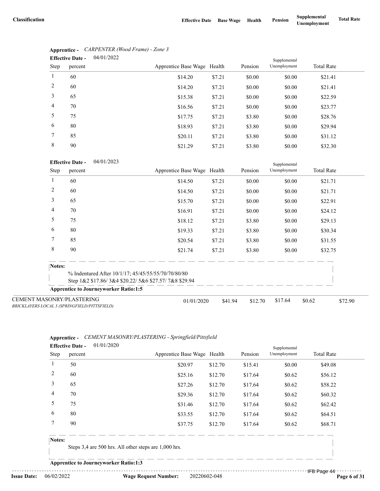|              | 04/01/2022<br><b>Effective Date -</b> |                             |        |         | Supplemental |                   |
|--------------|---------------------------------------|-----------------------------|--------|---------|--------------|-------------------|
| Step         | percent                               | Apprentice Base Wage Health |        | Pension | Unemployment | <b>Total Rate</b> |
| $\mathbf{1}$ | 60                                    | \$14.20                     | \$7.21 | \$0.00  | \$0.00       | \$21.41           |
| 2            | 60                                    | \$14.20                     | \$7.21 | \$0.00  | \$0.00       | \$21.41           |
| 3            | 65                                    | \$15.38                     | \$7.21 | \$0.00  | \$0.00       | \$22.59           |
| 4            | 70                                    | \$16.56                     | \$7.21 | \$0.00  | \$0.00       | \$23.77           |
| 5            | 75                                    | \$17.75                     | \$7.21 | \$3.80  | \$0.00       | \$28.76           |
| 6            | 80                                    | \$18.93                     | \$7.21 | \$3.80  | \$0.00       | \$29.94           |
| 7            | 85                                    | \$20.11                     | \$7.21 | \$3.80  | \$0.00       | \$31.12           |
| 8            | 90                                    | \$21.29                     | \$7.21 | \$3.80  | \$0.00       | \$32.30           |

#### **Apprentice -** *CARPENTER (Wood Frame) - Zone 3*  $04/01/2022$

#### 04/01/2023 **Effective Date -**

|                                                                                  | <b>Effective Date -</b><br>04/01/2023        |                                                      |         |         | Supplemental |                   |         |
|----------------------------------------------------------------------------------|----------------------------------------------|------------------------------------------------------|---------|---------|--------------|-------------------|---------|
| Step                                                                             | percent                                      | Apprentice Base Wage Health                          |         | Pension | Unemployment | <b>Total Rate</b> |         |
|                                                                                  | 60                                           | \$14.50                                              | \$7.21  | \$0.00  | \$0.00       | \$21.71           |         |
| 2                                                                                | 60                                           | \$14.50                                              | \$7.21  | \$0.00  | \$0.00       | \$21.71           |         |
| 3                                                                                | 65                                           | \$15.70                                              | \$7.21  | \$0.00  | \$0.00       | \$22.91           |         |
| 4                                                                                | 70                                           | \$16.91                                              | \$7.21  | \$0.00  | \$0.00       | \$24.12           |         |
| 5                                                                                | 75                                           | \$18.12                                              | \$7.21  | \$3.80  | \$0.00       | \$29.13           |         |
| 6                                                                                | 80                                           | \$19.33                                              | \$7.21  | \$3.80  | \$0.00       | \$30.34           |         |
| 7                                                                                | 85                                           | \$20.54                                              | \$7.21  | \$3.80  | \$0.00       | \$31.55           |         |
| 8                                                                                | 90                                           | \$21.74                                              | \$7.21  | \$3.80  | \$0.00       | \$32.75           |         |
| Notes:                                                                           |                                              |                                                      |         |         |              |                   |         |
|                                                                                  |                                              | % Indentured After 10/1/17; 45/45/55/55/70/70/80/80  |         |         |              |                   |         |
|                                                                                  |                                              | Step 1&2 \$17.86/3&4 \$20.22/5&6 \$27.57/7&8 \$29.94 |         |         |              |                   |         |
|                                                                                  | <b>Apprentice to Journeyworker Ratio:1:5</b> |                                                      |         |         |              |                   |         |
| <b>CEMENT MASONRY/PLASTERING</b><br>BRICKLAYERS LOCAL 3 (SPRINGFIELD/PITTSFIELD) |                                              | 01/01/2020                                           | \$41.94 | \$12.70 | \$17.64      | \$0.62            | \$72.90 |

#### **Apprentice -** *CEMENT MASONRY/PLASTERING - Springfield/Pittsfield* **Effective** Date --

| <b>Effective Date -</b> |         | 01/01/2020 | Apprentice Base Wage Health |         | Pension | Supplemental<br>Unemployment | <b>Total Rate</b> |
|-------------------------|---------|------------|-----------------------------|---------|---------|------------------------------|-------------------|
| Step                    | percent |            |                             |         |         |                              |                   |
|                         | 50      |            | \$20.97                     | \$12.70 | \$15.41 | \$0.00                       | \$49.08           |
| 2                       | 60      |            | \$25.16                     | \$12.70 | \$17.64 | \$0.62                       | \$56.12           |
| 3                       | 65      |            | \$27.26                     | \$12.70 | \$17.64 | \$0.62                       | \$58.22           |
| 4                       | 70      |            | \$29.36                     | \$12.70 | \$17.64 | \$0.62                       | \$60.32           |
| 5                       | 75      |            | \$31.46                     | \$12.70 | \$17.64 | \$0.62                       | \$62.42           |
| 6                       | 80      |            | \$33.55                     | \$12.70 | \$17.64 | \$0.62                       | \$64.51           |
|                         | 90      |            | \$37.75                     | \$12.70 | \$17.64 | \$0.62                       | \$68.71           |

#### **Notes:**

Steps 3,4 are 500 hrs. All other steps are 1,000 hrs.

**Apprentice to Journeyworker Ratio:1:3**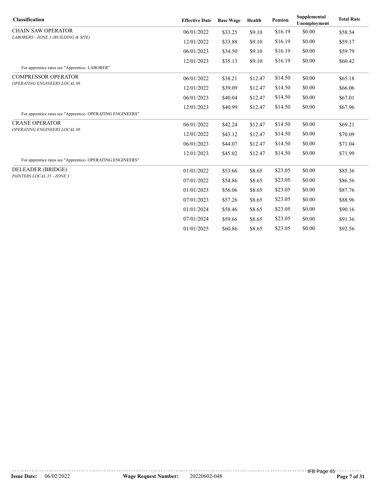| <b>Classification</b>                                      | <b>Effective Date</b> | <b>Base Wage</b> | Health  | <b>Pension</b> | Supplemental<br>Unemployment | <b>Total Rate</b> |
|------------------------------------------------------------|-----------------------|------------------|---------|----------------|------------------------------|-------------------|
| <b>CHAIN SAW OPERATOR</b>                                  | 06/01/2022            | \$33.25          | \$9.10  | \$16.19        | \$0.00                       | \$58.54           |
| LABORERS - ZONE 3 (BUILDING & SITE)                        | 12/01/2022            | \$33.88          | \$9.10  | \$16.19        | \$0.00                       | \$59.17           |
|                                                            | 06/01/2023            | \$34.50          | \$9.10  | \$16.19        | \$0.00                       | \$59.79           |
|                                                            | 12/01/2023            | \$35.13          | \$9.10  | \$16.19        | \$0.00                       | \$60.42           |
| For apprentice rates see "Apprentice-LABORER"              |                       |                  |         |                |                              |                   |
| <b>COMPRESSOR OPERATOR</b><br>OPERATING ENGINEERS LOCAL 98 | 06/01/2022            | \$38.21          | \$12.47 | \$14.50        | \$0.00                       | \$65.18           |
|                                                            | 12/01/2022            | \$39.09          | \$12.47 | \$14.50        | \$0.00                       | \$66.06           |
|                                                            | 06/01/2023            | \$40.04          | \$12.47 | \$14.50        | \$0.00                       | \$67.01           |
|                                                            | 12/01/2023            | \$40.99          | \$12.47 | \$14.50        | \$0.00                       | \$67.96           |
| For apprentice rates see "Apprentice- OPERATING ENGINEERS" |                       |                  |         |                |                              |                   |
| <b>CRANE OPERATOR</b>                                      | 06/01/2022            | \$42.24          | \$12.47 | \$14.50        | \$0.00                       | \$69.21           |
| OPERATING ENGINEERS LOCAL 98                               | 12/01/2022            | \$43.12          | \$12.47 | \$14.50        | \$0.00                       | \$70.09           |
|                                                            | 06/01/2023            | \$44.07          | \$12.47 | \$14.50        | \$0.00                       | \$71.04           |
|                                                            | 12/01/2023            | \$45.02          | \$12.47 | \$14.50        | \$0.00                       | \$71.99           |
| For apprentice rates see "Apprentice- OPERATING ENGINEERS" |                       |                  |         |                |                              |                   |
| DELEADER (BRIDGE)                                          | 01/01/2022            | \$53.66          | \$8.65  | \$23.05        | \$0.00                       | \$85.36           |
| PAINTERS LOCAL 35 - ZONE 3                                 | 07/01/2022            | \$54.86          | \$8.65  | \$23.05        | \$0.00                       | \$86.56           |
|                                                            | 01/01/2023            | \$56.06          | \$8.65  | \$23.05        | \$0.00                       | \$87.76           |
|                                                            | 07/01/2023            | \$57.26          | \$8.65  | \$23.05        | \$0.00                       | \$88.96           |
|                                                            | 01/01/2024            | \$58.46          | \$8.65  | \$23.05        | \$0.00                       | \$90.16           |
|                                                            | 07/01/2024            | \$59.66          | \$8.65  | \$23.05        | \$0.00                       | \$91.36           |
|                                                            | 01/01/2025            | \$60.86          | \$8.65  | \$23.05        | \$0.00                       | \$92.56           |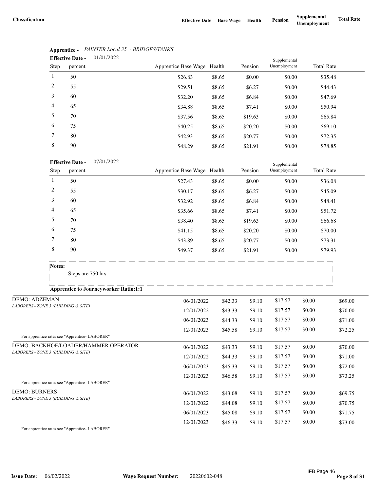|                | 01/01/2022<br><b>Effective Date -</b> |                             |        |         | Supplemental |                   |
|----------------|---------------------------------------|-----------------------------|--------|---------|--------------|-------------------|
| Step           | percent                               | Apprentice Base Wage Health |        | Pension | Unemployment | <b>Total Rate</b> |
| 1              | 50                                    | \$26.83                     | \$8.65 | \$0.00  | \$0.00       | \$35.48           |
| 2              | 55                                    | \$29.51                     | \$8.65 | \$6.27  | \$0.00       | \$44.43           |
| 3              | 60                                    | \$32.20                     | \$8.65 | \$6.84  | \$0.00       | \$47.69           |
| $\overline{4}$ | 65                                    | \$34.88                     | \$8.65 | \$7.41  | \$0.00       | \$50.94           |
| 5              | 70                                    | \$37.56                     | \$8.65 | \$19.63 | \$0.00       | \$65.84           |
| 6              | 75                                    | \$40.25                     | \$8.65 | \$20.20 | \$0.00       | \$69.10           |
| 7              | 80                                    | \$42.93                     | \$8.65 | \$20.77 | \$0.00       | \$72.35           |
| 8              | 90                                    | \$48.29                     | \$8.65 | \$21.91 | \$0.00       | \$78.85           |

## **Apprentice -** *PAINTER Local 35 - BRIDGES/TANKS*

#### 07/01/2022 **Effective Date -**

|      | <b>Effective Date -</b> | U//UI/2022 |                             |        |         | Supplemental |                   |
|------|-------------------------|------------|-----------------------------|--------|---------|--------------|-------------------|
| Step | percent                 |            | Apprentice Base Wage Health |        | Pension | Unemployment | <b>Total Rate</b> |
|      | 50                      |            | \$27.43                     | \$8.65 | \$0.00  | \$0.00       | \$36.08           |
| 2    | 55                      |            | \$30.17                     | \$8.65 | \$6.27  | \$0.00       | \$45.09           |
| 3    | 60                      |            | \$32.92                     | \$8.65 | \$6.84  | \$0.00       | \$48.41           |
| 4    | 65                      |            | \$35.66                     | \$8.65 | \$7.41  | \$0.00       | \$51.72           |
| 5    | 70                      |            | \$38.40                     | \$8.65 | \$19.63 | \$0.00       | \$66.68           |
| 6    | 75                      |            | \$41.15                     | \$8.65 | \$20.20 | \$0.00       | \$70.00           |
| 7    | 80                      |            | \$43.89                     | \$8.65 | \$20.77 | \$0.00       | \$73.31           |
| 8    | 90                      |            | \$49.37                     | \$8.65 | \$21.91 | \$0.00       | \$79.93           |

| <b>Apprentice to Journeyworker Ratio:1:1</b>   |            |         |        |         |        |         |
|------------------------------------------------|------------|---------|--------|---------|--------|---------|
| <b>DEMO: ADZEMAN</b>                           | 06/01/2022 | \$42.33 | \$9.10 | \$17.57 | \$0.00 | \$69.00 |
| LABORERS - ZONE 3 (BUILDING & SITE)            | 12/01/2022 | \$43.33 | \$9.10 | \$17.57 | \$0.00 | \$70.00 |
|                                                | 06/01/2023 | \$44.33 | \$9.10 | \$17.57 | \$0.00 | \$71.00 |
|                                                | 12/01/2023 | \$45.58 | \$9.10 | \$17.57 | \$0.00 | \$72.25 |
| For apprentice rates see "Apprentice- LABORER" |            |         |        |         |        |         |
| DEMO: BACKHOE/LOADER/HAMMER OPERATOR           | 06/01/2022 | \$43.33 | \$9.10 | \$17.57 | \$0.00 | \$70.00 |
| LABORERS - ZONE 3 (BUILDING & SITE)            | 12/01/2022 | \$44.33 | \$9.10 | \$17.57 | \$0.00 | \$71.00 |
|                                                | 06/01/2023 | \$45.33 | \$9.10 | \$17.57 | \$0.00 | \$72.00 |
|                                                | 12/01/2023 | \$46.58 | \$9.10 | \$17.57 | \$0.00 | \$73.25 |
| For apprentice rates see "Apprentice-LABORER"  |            |         |        |         |        |         |
| <b>DEMO: BURNERS</b>                           | 06/01/2022 | \$43.08 | \$9.10 | \$17.57 | \$0.00 | \$69.75 |
| LABORERS - ZONE 3 (BUILDING & SITE)            | 12/01/2022 | \$44.08 | \$9.10 | \$17.57 | \$0.00 | \$70.75 |
|                                                | 06/01/2023 | \$45.08 | \$9.10 | \$17.57 | \$0.00 | \$71.75 |
|                                                | 12/01/2023 | \$46.33 | \$9.10 | \$17.57 | \$0.00 | \$73.00 |

For apprentice rates see "Apprentice- LABORER"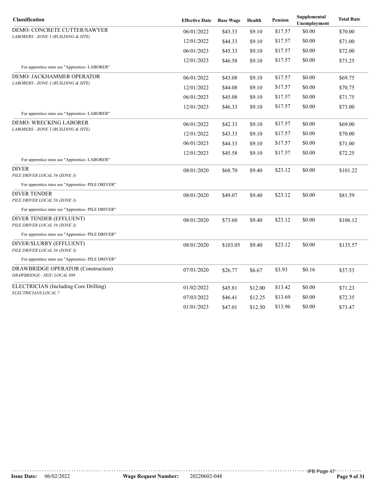| <b>Classification</b>                                             | <b>Effective Date</b> | <b>Base Wage</b> | Health  | <b>Pension</b> | Supplemental<br>Unemployment | <b>Total Rate</b> |
|-------------------------------------------------------------------|-----------------------|------------------|---------|----------------|------------------------------|-------------------|
| DEMO: CONCRETE CUTTER/SAWYER                                      | 06/01/2022            | \$43.33          | \$9.10  | \$17.57        | \$0.00                       | \$70.00           |
| LABORERS - ZONE 3 (BUILDING & SITE)                               | 12/01/2022            | \$44.33          | \$9.10  | \$17.57        | \$0.00                       | \$71.00           |
|                                                                   | 06/01/2023            | \$45.33          | \$9.10  | \$17.57        | \$0.00                       | \$72.00           |
|                                                                   | 12/01/2023            | \$46.58          | \$9.10  | \$17.57        | \$0.00                       | \$73.25           |
| For apprentice rates see "Apprentice- LABORER"                    |                       |                  |         |                |                              |                   |
| DEMO: JACKHAMMER OPERATOR<br>LABORERS - ZONE 3 (BUILDING & SITE)  | 06/01/2022            | \$43.08          | \$9.10  | \$17.57        | \$0.00                       | \$69.75           |
|                                                                   | 12/01/2022            | \$44.08          | \$9.10  | \$17.57        | \$0.00                       | \$70.75           |
|                                                                   | 06/01/2023            | \$45.08          | \$9.10  | \$17.57        | \$0.00                       | \$71.75           |
| For apprentice rates see "Apprentice-LABORER"                     | 12/01/2023            | \$46.33          | \$9.10  | \$17.57        | \$0.00                       | \$73.00           |
| <b>DEMO: WRECKING LABORER</b>                                     | 06/01/2022            | \$42.33          | \$9.10  | \$17.57        | \$0.00                       | \$69.00           |
| LABORERS - ZONE 3 (BUILDING & SITE)                               | 12/01/2022            | \$43.33          | \$9.10  | \$17.57        | \$0.00                       | \$70.00           |
|                                                                   | 06/01/2023            | \$44.33          | \$9.10  | \$17.57        | \$0.00                       | \$71.00           |
|                                                                   | 12/01/2023            | \$45.58          | \$9.10  | \$17.57        | \$0.00                       | \$72.25           |
| For apprentice rates see "Apprentice- LABORER"                    |                       |                  |         |                |                              |                   |
| <b>DIVER</b><br>PILE DRIVER LOCAL 56 (ZONE 3)                     | 08/01/2020            | \$68.70          | \$9.40  | \$23.12        | \$0.00                       | \$101.22          |
| For apprentice rates see "Apprentice- PILE DRIVER"                |                       |                  |         |                |                              |                   |
| <b>DIVER TENDER</b><br>PILE DRIVER LOCAL 56 (ZONE 3)              | 08/01/2020            | \$49.07          | \$9.40  | \$23.12        | \$0.00                       | \$81.59           |
| For apprentice rates see "Apprentice- PILE DRIVER"                |                       |                  |         |                |                              |                   |
| DIVER TENDER (EFFLUENT)<br>PILE DRIVER LOCAL 56 (ZONE 3)          | 08/01/2020            | \$73.60          | \$9.40  | \$23.12        | \$0.00                       | \$106.12          |
| For apprentice rates see "Apprentice- PILE DRIVER"                |                       |                  |         |                |                              |                   |
| DIVER/SLURRY (EFFLUENT)<br>PILE DRIVER LOCAL 56 (ZONE 3)          | 08/01/2020            | \$103.05         | \$9.40  | \$23.12        | \$0.00                       | \$135.57          |
| For apprentice rates see "Apprentice- PILE DRIVER"                |                       |                  |         |                |                              |                   |
| DRAWBRIDGE OPERATOR (Construction)<br>DRAWBRIDGE - SEIU LOCAL 888 | 07/01/2020            | \$26.77          | \$6.67  | \$3.93         | \$0.16                       | \$37.53           |
| ELECTRICIAN (Including Core Drilling)                             | 01/02/2022            | \$45.81          | \$12.00 | \$13.42        | \$0.00                       | \$71.23           |
| ELECTRICIANS LOCAL 7                                              | 07/03/2022            | \$46.41          | \$12.25 | \$13.69        | \$0.00                       | \$72.35           |
|                                                                   | 01/01/2023            | \$47.01          | \$12.50 | \$13.96        | \$0.00                       | \$73.47           |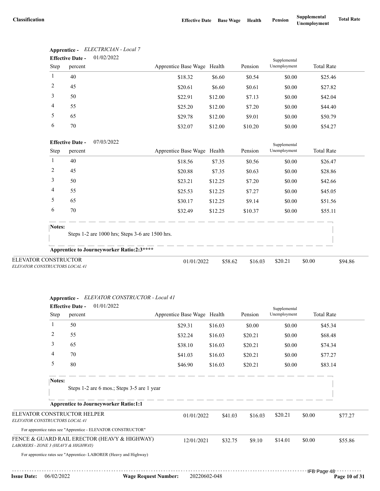|                                                        |                | <b>Effective Date -</b> | 01/02/2022                                      |                             |         |         | Supplemental |                   |         |
|--------------------------------------------------------|----------------|-------------------------|-------------------------------------------------|-----------------------------|---------|---------|--------------|-------------------|---------|
|                                                        | Step           | percent                 |                                                 | Apprentice Base Wage Health |         | Pension | Unemployment | <b>Total Rate</b> |         |
|                                                        | $\mathbf{1}$   | 40                      |                                                 | \$18.32                     | \$6.60  | \$0.54  | \$0.00       | \$25.46           |         |
|                                                        | 2              | 45                      |                                                 | \$20.61                     | \$6.60  | \$0.61  | \$0.00       | \$27.82           |         |
|                                                        | 3              | 50                      |                                                 | \$22.91                     | \$12.00 | \$7.13  | \$0.00       | \$42.04           |         |
|                                                        | 4              | 55                      |                                                 | \$25.20                     | \$12.00 | \$7.20  | \$0.00       | \$44.40           |         |
|                                                        | 5              | 65                      |                                                 | \$29.78                     | \$12.00 | \$9.01  | \$0.00       | \$50.79           |         |
|                                                        | 6              | 70                      |                                                 | \$32.07                     | \$12.00 | \$10.20 | \$0.00       | \$54.27           |         |
|                                                        |                | <b>Effective Date -</b> | 07/03/2022                                      |                             |         |         | Supplemental |                   |         |
|                                                        | Step           | percent                 |                                                 | Apprentice Base Wage Health |         | Pension | Unemployment | <b>Total Rate</b> |         |
|                                                        | 1              | 40                      |                                                 | \$18.56                     | \$7.35  | \$0.56  | \$0.00       | \$26.47           |         |
|                                                        | $\overline{c}$ | 45                      |                                                 | \$20.88                     | \$7.35  | \$0.63  | \$0.00       | \$28.86           |         |
|                                                        | 3              | 50                      |                                                 | \$23.21                     | \$12.25 | \$7.20  | \$0.00       | \$42.66           |         |
|                                                        | 4              | 55                      |                                                 | \$25.53                     | \$12.25 | \$7.27  | \$0.00       | \$45.05           |         |
|                                                        | 5              | 65                      |                                                 | \$30.17                     | \$12.25 | \$9.14  | \$0.00       | \$51.56           |         |
|                                                        | 6              | 70                      |                                                 | \$32.49                     | \$12.25 | \$10.37 | \$0.00       | \$55.11           |         |
|                                                        | Notes:         |                         |                                                 |                             |         |         |              |                   |         |
|                                                        |                |                         | Steps 1-2 are 1000 hrs; Steps 3-6 are 1500 hrs. |                             |         |         |              |                   |         |
|                                                        |                |                         | Apprentice to Journeyworker Ratio:2:3****       |                             |         |         |              |                   |         |
| ELEVATOR CONSTRUCTOR<br>ELEVATOR CONSTRUCTORS LOCAL 41 |                |                         |                                                 | 01/01/2022                  | \$58.62 | \$16.03 | \$20.21      | \$0.00            | \$94.86 |

**Apprentice -** *ELECTRICIAN - Local 7* 01/02/2022 **Effective Date -**

**Apprentice -** *ELEVATOR CONSTRUCTOR - Local 41*

|                                                               | <b>Effective Date -</b> | 01/01/2022                                                       |                             |         |         | Supplemental |                   |         |
|---------------------------------------------------------------|-------------------------|------------------------------------------------------------------|-----------------------------|---------|---------|--------------|-------------------|---------|
|                                                               | <b>Step</b>             | percent                                                          | Apprentice Base Wage Health |         | Pension | Unemployment | <b>Total Rate</b> |         |
| 1                                                             |                         | 50                                                               | \$29.31                     | \$16.03 | \$0.00  | \$0.00       |                   | \$45.34 |
| 2                                                             |                         | 55                                                               | \$32.24                     | \$16.03 | \$20.21 | \$0.00       |                   | \$68.48 |
| 3                                                             | 65                      |                                                                  | \$38.10                     | \$16.03 | \$20.21 | \$0.00       |                   | \$74.34 |
| 4                                                             |                         | 70                                                               | \$41.03                     | \$16.03 | \$20.21 | \$0.00       |                   | \$77.27 |
| 5                                                             |                         | 80                                                               | \$46.90                     | \$16.03 | \$20.21 | \$0.00       |                   | \$83.14 |
|                                                               | Notes:                  | Steps 1-2 are 6 mos.; Steps 3-5 are 1 year                       |                             |         |         |              |                   |         |
|                                                               |                         | <b>Apprentice to Journeyworker Ratio:1:1</b>                     |                             |         |         |              |                   |         |
| ELEVATOR CONSTRUCTOR HELPER<br>ELEVATOR CONSTRUCTORS LOCAL 41 |                         |                                                                  | 01/01/2022                  | \$41.03 | \$16.03 | \$20.21      | \$0.00            | \$77.27 |
|                                                               |                         | For apprentice rates see "Apprentice - ELEVATOR CONSTRUCTOR"     |                             |         |         |              |                   |         |
| LABORERS - ZONE 3 (HEAVY & HIGHWAY)                           |                         | FENCE & GUARD RAIL ERECTOR (HEAVY & HIGHWAY)                     | 12/01/2021                  | \$32.75 | \$9.10  | \$14.01      | \$0.00            | \$55.86 |
|                                                               |                         | For apprentice rates see "Apprentice-LABORER (Heavy and Highway) |                             |         |         |              |                   |         |
|                                                               |                         |                                                                  |                             |         |         |              |                   |         |

 $1.11111111111$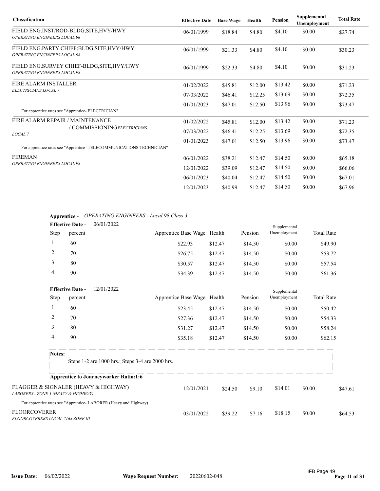| <b>Classification</b>                                                             | <b>Effective Date</b> | <b>Base Wage</b> | Health  | <b>Pension</b> | Supplemental<br>Unemployment | <b>Total Rate</b> |
|-----------------------------------------------------------------------------------|-----------------------|------------------|---------|----------------|------------------------------|-------------------|
| FIELD ENG.INST/ROD-BLDG, SITE, HVY/HWY<br><b>OPERATING ENGINEERS LOCAL 98</b>     | 06/01/1999            | \$18.84          | \$4.80  | \$4.10         | \$0.00                       | \$27.74           |
| FIELD ENG.PARTY CHIEF:BLDG, SITE, HVY/HWY<br><b>OPERATING ENGINEERS LOCAL 98</b>  | 06/01/1999            | \$21.33          | \$4.80  | \$4.10         | \$0.00                       | \$30.23           |
| FIELD ENG.SURVEY CHIEF-BLDG, SITE, HVY/HWY<br><b>OPERATING ENGINEERS LOCAL 98</b> | 06/01/1999            | \$22.33          | \$4.80  | \$4.10         | \$0.00                       | \$31.23           |
| <b>FIRE ALARM INSTALLER</b>                                                       | 01/02/2022            | \$45.81          | \$12.00 | \$13.42        | \$0.00                       | \$71.23           |
| ELECTRICIANS LOCAL 7                                                              | 07/03/2022            | \$46.41          | \$12.25 | \$13.69        | \$0.00                       | \$72.35           |
| For apprentice rates see "Apprentice- ELECTRICIAN"                                | 01/01/2023            | \$47.01          | \$12.50 | \$13.96        | \$0.00                       | \$73.47           |
| FIRE ALARM REPAIR / MAINTENANCE                                                   | 01/02/2022            | \$45.81          | \$12.00 | \$13.42        | \$0.00                       | \$71.23           |
| / COMMISSIONINGELECTRICIANS<br>LOCAL <sub>7</sub>                                 | 07/03/2022            | \$46.41          | \$12.25 | \$13.69        | \$0.00                       | \$72.35           |
| For apprentice rates see "Apprentice- TELECOMMUNICATIONS TECHNICIAN"              | 01/01/2023            | \$47.01          | \$12.50 | \$13.96        | \$0.00                       | \$73.47           |
| <b>FIREMAN</b>                                                                    | 06/01/2022            | \$38.21          | \$12.47 | \$14.50        | \$0.00                       | \$65.18           |
| <b>OPERATING ENGINEERS LOCAL 98</b>                                               | 12/01/2022            | \$39.09          | \$12.47 | \$14.50        | \$0.00                       | \$66.06           |
|                                                                                   | 06/01/2023            | \$40.04          | \$12.47 | \$14.50        | \$0.00                       | \$67.01           |
|                                                                                   | 12/01/2023            | \$40.99          | \$12.47 | \$14.50        | \$0.00                       | \$67.96           |

## **Apprentice -** *OPERATING ENGINEERS - Local 98 Class 3*

| <b>Effective Date -</b> |         | 06/01/2022 |                             |         |         | Supplemental |                   |  |
|-------------------------|---------|------------|-----------------------------|---------|---------|--------------|-------------------|--|
| <b>Step</b>             | percent |            | Apprentice Base Wage Health |         | Pension | Unemployment | <b>Total Rate</b> |  |
|                         | 60      |            | \$22.93                     | \$12.47 | \$14.50 | \$0.00       | \$49.90           |  |
|                         | 70      |            | \$26.75                     | \$12.47 | \$14.50 | \$0.00       | \$53.72           |  |
|                         | 80      |            | \$30.57                     | \$12.47 | \$14.50 | \$0.00       | \$57.54           |  |
|                         | 90      |            | \$34.39                     | \$12.47 | \$14.50 | \$0.00       | \$61.36           |  |

|                                                                             | <b>Effective Date -</b> | 12/01/2022                                                        |                             |         |         | Supplemental |                   |         |
|-----------------------------------------------------------------------------|-------------------------|-------------------------------------------------------------------|-----------------------------|---------|---------|--------------|-------------------|---------|
| Step                                                                        | percent                 |                                                                   | Apprentice Base Wage Health |         | Pension | Unemployment | <b>Total Rate</b> |         |
|                                                                             | 60                      |                                                                   | \$23.45                     | \$12.47 | \$14.50 | \$0.00       | \$50.42           |         |
| 2                                                                           | 70                      |                                                                   | \$27.36                     | \$12.47 | \$14.50 | \$0.00       | \$54.33           |         |
| 3                                                                           | 80                      |                                                                   | \$31.27                     | \$12.47 | \$14.50 | \$0.00       | \$58.24           |         |
| 4                                                                           | 90                      |                                                                   | \$35.18                     | \$12.47 | \$14.50 | \$0.00       | \$62.15           |         |
| Notes:                                                                      |                         | Steps 1-2 are 1000 hrs.; Steps 3-4 are 2000 hrs.                  |                             |         |         |              |                   |         |
|                                                                             |                         | <b>Apprentice to Journeyworker Ratio:1:6</b>                      |                             |         |         |              |                   |         |
| FLAGGER & SIGNALER (HEAVY & HIGHWAY)<br>LABORERS - ZONE 3 (HEAVY & HIGHWAY) |                         | 12/01/2021                                                        | \$24.50                     | \$9.10  | \$14.01 | \$0.00       | \$47.61           |         |
|                                                                             |                         | For apprentice rates see "Apprentice- LABORER (Heavy and Highway) |                             |         |         |              |                   |         |
| <b>FLOORCOVERER</b><br>FLOORCOVERERS LOCAL 2168 ZONE III                    |                         |                                                                   | 03/01/2022                  | \$39.22 | \$7.16  | \$18.15      | \$0.00            | \$64.53 |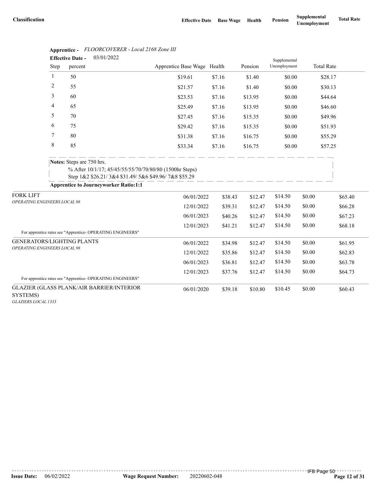|                                                  |             | 03/01/2022<br><b>Effective Date -</b>                      |                                                                                                                 |                             |         |         | Supplemental |                   |         |
|--------------------------------------------------|-------------|------------------------------------------------------------|-----------------------------------------------------------------------------------------------------------------|-----------------------------|---------|---------|--------------|-------------------|---------|
|                                                  | Step        | percent                                                    |                                                                                                                 | Apprentice Base Wage Health |         | Pension | Unemployment | <b>Total Rate</b> |         |
|                                                  | 1           | 50                                                         |                                                                                                                 | \$19.61                     | \$7.16  | \$1.40  | \$0.00       | \$28.17           |         |
|                                                  | 2           | 55                                                         |                                                                                                                 | \$21.57                     | \$7.16  | \$1.40  | \$0.00       | \$30.13           |         |
|                                                  | 3           | 60                                                         |                                                                                                                 | \$23.53<br>\$7.16           |         | \$13.95 | \$0.00       | \$44.64           |         |
|                                                  | 4           | 65                                                         |                                                                                                                 | \$25.49                     | \$7.16  | \$13.95 | \$0.00       | \$46.60           |         |
|                                                  | 5           | 70                                                         |                                                                                                                 | \$27.45                     | \$7.16  | \$15.35 | \$0.00       | \$49.96           |         |
|                                                  | 6           | 75                                                         |                                                                                                                 | \$29.42                     | \$7.16  | \$15.35 | \$0.00       | \$51.93           |         |
|                                                  | 7           | 80                                                         |                                                                                                                 | \$31.38                     | \$7.16  | \$16.75 | \$0.00       | \$55.29           |         |
|                                                  | $\,$ 8 $\,$ | 85                                                         |                                                                                                                 | \$33.34                     | \$7.16  | \$16.75 | \$0.00       | \$57.25           |         |
|                                                  |             | Notes: Steps are 750 hrs.                                  | % After 10/1/17; 45/45/55/55/70/70/80/80 (1500hr Steps)<br>Step 1&2 \$26.21/3&4 \$31.49/5&6 \$49.96/7&8 \$55.29 |                             |         |         |              |                   |         |
|                                                  |             | <b>Apprentice to Journeyworker Ratio:1:1</b>               |                                                                                                                 |                             |         |         |              |                   |         |
| <b>FORK LIFT</b><br>OPERATING ENGINEERS LOCAL 98 |             |                                                            |                                                                                                                 | 06/01/2022                  | \$38.43 | \$12.47 | \$14.50      | \$0.00            | \$65.40 |
|                                                  |             |                                                            |                                                                                                                 | 12/01/2022                  | \$39.31 | \$12.47 | \$14.50      | \$0.00            | \$66.28 |
|                                                  |             |                                                            |                                                                                                                 | 06/01/2023                  | \$40.26 | \$12.47 | \$14.50      | \$0.00            | \$67.23 |
|                                                  |             | For apprentice rates see "Apprentice- OPERATING ENGINEERS" |                                                                                                                 | 12/01/2023                  | \$41.21 | \$12.47 | \$14.50      | \$0.00            | \$68.18 |
| GENERATORS/LIGHTING PLANTS                       |             |                                                            |                                                                                                                 | 06/01/2022                  | \$34.98 | \$12.47 | \$14.50      | \$0.00            | \$61.95 |
| OPERATING ENGINEERS LOCAL 98                     |             |                                                            |                                                                                                                 | 12/01/2022                  | \$35.86 | \$12.47 | \$14.50      | \$0.00            | \$62.83 |
|                                                  |             |                                                            |                                                                                                                 | 06/01/2023                  | \$36.81 | \$12.47 | \$14.50      | \$0.00            | \$63.78 |
|                                                  |             |                                                            |                                                                                                                 | 12/01/2023                  | \$37.76 | \$12.47 | \$14.50      | \$0.00            | \$64.73 |
|                                                  |             | For apprentice rates see "Apprentice- OPERATING ENGINEERS" |                                                                                                                 |                             |         |         |              |                   |         |
| SYSTEMS)                                         |             | GLAZIER (GLASS PLANK/AIR BARRIER/INTERIOR                  |                                                                                                                 | 06/01/2020                  | \$39.18 | \$10.80 | \$10.45      | \$0.00            | \$60.43 |
| GLAZIERS LOCAL 1333                              |             |                                                            |                                                                                                                 |                             |         |         |              |                   |         |

## **Apprentice -** *FLOORCOVERER - Local 2168 Zone III*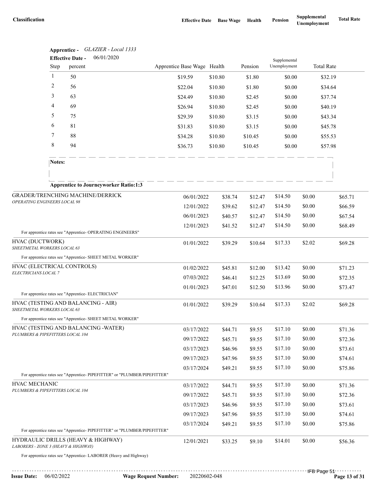|                                                   |                      | Apprentice - GLAZIER - Local 1333                                        |                             |                    |                    |                              |                   |                    |
|---------------------------------------------------|----------------------|--------------------------------------------------------------------------|-----------------------------|--------------------|--------------------|------------------------------|-------------------|--------------------|
|                                                   |                      | 06/01/2020<br><b>Effective Date -</b>                                    | Apprentice Base Wage Health |                    | Pension            | Supplemental<br>Unemployment | <b>Total Rate</b> |                    |
|                                                   | Step<br>$\mathbf{1}$ | percent<br>50                                                            |                             |                    |                    |                              |                   |                    |
|                                                   | 2                    | 56                                                                       | \$19.59                     | \$10.80            | \$1.80             | \$0.00                       |                   | \$32.19            |
|                                                   | 3                    | 63                                                                       | \$22.04                     | \$10.80            | \$1.80             | \$0.00                       |                   | \$34.64            |
|                                                   | 4                    | 69                                                                       | \$24.49                     | \$10.80            | \$2.45             | \$0.00                       |                   | \$37.74            |
|                                                   | 5                    | 75                                                                       | \$26.94                     | \$10.80            | \$2.45             | \$0.00                       |                   | \$40.19            |
|                                                   | 6                    | 81                                                                       | \$29.39                     | \$10.80            | \$3.15             | \$0.00                       |                   | \$43.34            |
|                                                   | 7                    | 88                                                                       | \$31.83                     | \$10.80            | \$3.15             | \$0.00                       |                   | \$45.78            |
|                                                   | 8                    | 94                                                                       | \$34.28<br>\$36.73          | \$10.80<br>\$10.80 | \$10.45<br>\$10.45 | \$0.00<br>\$0.00             |                   | \$55.53<br>\$57.98 |
|                                                   |                      |                                                                          |                             |                    |                    |                              |                   |                    |
|                                                   | Notes:               |                                                                          |                             |                    |                    |                              |                   |                    |
|                                                   |                      |                                                                          |                             |                    |                    |                              |                   |                    |
|                                                   |                      | <b>Apprentice to Journeyworker Ratio:1:3</b>                             |                             |                    |                    |                              |                   |                    |
| OPERATING ENGINEERS LOCAL 98                      |                      | GRADER/TRENCHING MACHINE/DERRICK                                         | 06/01/2022                  | \$38.74            | \$12.47            | \$14.50                      | \$0.00            | \$65.71            |
|                                                   |                      |                                                                          | 12/01/2022                  | \$39.62            | \$12.47            | \$14.50                      | \$0.00            | \$66.59            |
|                                                   |                      |                                                                          | 06/01/2023                  | \$40.57            | \$12.47            | \$14.50                      | \$0.00            | \$67.54            |
|                                                   |                      |                                                                          | 12/01/2023                  | \$41.52            | \$12.47            | \$14.50                      | \$0.00            | \$68.49            |
|                                                   |                      | For apprentice rates see "Apprentice- OPERATING ENGINEERS"               |                             |                    |                    |                              |                   |                    |
| HVAC (DUCTWORK)<br>SHEETMETAL WORKERS LOCAL 63    |                      | 01/01/2022                                                               | \$39.29                     | \$10.64            | \$17.33            | \$2.02                       | \$69.28           |                    |
|                                                   |                      | For apprentice rates see "Apprentice- SHEET METAL WORKER"                |                             |                    |                    |                              |                   |                    |
| HVAC (ELECTRICAL CONTROLS)                        |                      | 01/02/2022                                                               | \$45.81                     | \$12.00            | \$13.42            | \$0.00                       | \$71.23           |                    |
| ELECTRICIANS LOCAL 7                              |                      |                                                                          | 07/03/2022                  | \$46.41            | \$12.25            | \$13.69                      | \$0.00            | \$72.35            |
|                                                   |                      |                                                                          | 01/01/2023                  | \$47.01            | \$12.50            | \$13.96                      | \$0.00            | \$73.47            |
|                                                   |                      | For apprentice rates see "Apprentice- ELECTRICIAN"                       |                             |                    |                    |                              |                   |                    |
| SHEETMETAL WORKERS LOCAL 63                       |                      | HVAC (TESTING AND BALANCING - AIR)                                       | 01/01/2022                  | \$39.29            | \$10.64            | \$17.33                      | \$2.02            | \$69.28            |
|                                                   |                      | For apprentice rates see "Apprentice- SHEET METAL WORKER"                |                             |                    |                    |                              |                   |                    |
|                                                   |                      | HVAC (TESTING AND BALANCING - WATER)                                     | 03/17/2022                  | \$44.71            | \$9.55             | \$17.10                      | \$0.00            | \$71.36            |
| PLUMBERS & PIPEFITTERS LOCAL 104                  |                      |                                                                          | 09/17/2022                  | \$45.71            | \$9.55             | \$17.10                      | \$0.00            | \$72.36            |
|                                                   |                      |                                                                          | 03/17/2023                  | \$46.96            | \$9.55             | \$17.10                      | \$0.00            | \$73.61            |
|                                                   |                      |                                                                          | 09/17/2023                  | \$47.96            | \$9.55             | \$17.10                      | \$0.00            | \$74.61            |
|                                                   |                      |                                                                          | 03/17/2024                  | \$49.21            | \$9.55             | \$17.10                      | \$0.00            | \$75.86            |
|                                                   |                      | For apprentice rates see "Apprentice-PIPEFITTER" or "PLUMBER/PIPEFITTER" |                             |                    |                    |                              |                   |                    |
| HVAC MECHANIC<br>PLUMBERS & PIPEFITTERS LOCAL 104 |                      |                                                                          | 03/17/2022                  | \$44.71            | \$9.55             | \$17.10                      | \$0.00            | \$71.36            |
|                                                   |                      |                                                                          | 09/17/2022                  | \$45.71            | \$9.55             | \$17.10                      | \$0.00            | \$72.36            |
|                                                   |                      |                                                                          | 03/17/2023                  | \$46.96            | \$9.55             | \$17.10                      | \$0.00            | \$73.61            |
|                                                   |                      |                                                                          | 09/17/2023                  | \$47.96            | \$9.55             | \$17.10                      | \$0.00            | \$74.61            |
|                                                   |                      | For apprentice rates see "Apprentice-PIPEFITTER" or "PLUMBER/PIPEFITTER" | 03/17/2024                  | \$49.21            | \$9.55             | \$17.10                      | \$0.00            | \$75.86            |
|                                                   |                      | HYDRAULIC DRILLS (HEAVY & HIGHWAY)                                       | 12/01/2021                  | \$33.25            | \$9.10             | \$14.01                      | \$0.00            | \$56.36            |
| LABORERS - ZONE 3 (HEAVY & HIGHWAY)               |                      | For appropriate rates son "Appropriate. J. ADODED (Heavy and Highway)    |                             |                    |                    |                              |                   |                    |

| pprentice -     | GLAZIER - Local 133 |
|-----------------|---------------------|
| ffective Date - | 06/01/2020          |

For apprentice rates see "Apprentice- LABORER (Heavy and Highway)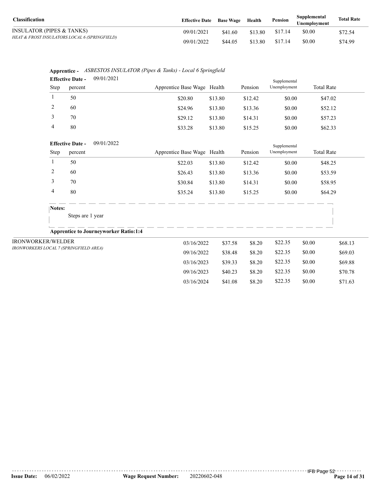| <b>Classification</b>                         | <b>Effective Date</b> Base Wage |         | Health  | Pension | Supplemental<br><b>Unemployment</b> | <b>Total Rate</b> |
|-----------------------------------------------|---------------------------------|---------|---------|---------|-------------------------------------|-------------------|
| INSULATOR (PIPES & TANKS)                     | 09/01/2021                      | \$41.60 | \$13.80 | \$17.14 | \$0.00                              | \$72.54           |
| HEAT & FROST INSULATORS LOCAL 6 (SPRINGFIELD) | 09/01/2022                      | \$44.05 | \$13.80 | \$17.14 | \$0.00                              | \$74.99           |

|                       | Apprentice - ASBESTOS INSULATOR (Pipes & Tanks) - Local 6 Springfield |
|-----------------------|-----------------------------------------------------------------------|
| <b>Effective Date</b> | 0.01/2021                                                             |

|                          | $U$ / $U$ $1/ZU$ $L$ |                                                                                                                                                                                       |         |                                                                                                                                  | Supplemental |                   |         |
|--------------------------|----------------------|---------------------------------------------------------------------------------------------------------------------------------------------------------------------------------------|---------|----------------------------------------------------------------------------------------------------------------------------------|--------------|-------------------|---------|
| Step                     |                      |                                                                                                                                                                                       |         | Pension                                                                                                                          | Unemployment | <b>Total Rate</b> |         |
| 50                       |                      | \$20.80                                                                                                                                                                               | \$13.80 | \$12.42                                                                                                                          | \$0.00       | \$47.02           |         |
| 60                       |                      | \$24.96                                                                                                                                                                               | \$13.80 | \$13.36                                                                                                                          | \$0.00       | \$52.12           |         |
| 70                       |                      | \$29.12                                                                                                                                                                               | \$13.80 | \$14.31                                                                                                                          | \$0.00       | \$57.23           |         |
| 80                       |                      | \$33.28                                                                                                                                                                               | \$13.80 | \$15.25                                                                                                                          | \$0.00       | \$62.33           |         |
|                          | 09/01/2022           |                                                                                                                                                                                       |         |                                                                                                                                  | Supplemental |                   |         |
| Step                     |                      |                                                                                                                                                                                       |         | Pension                                                                                                                          | Unemployment | <b>Total Rate</b> |         |
| 50                       |                      | \$22.03                                                                                                                                                                               | \$13.80 | \$12.42                                                                                                                          | \$0.00       | \$48.25           |         |
| 60                       |                      | \$26.43                                                                                                                                                                               | \$13.80 | \$13.36                                                                                                                          | \$0.00       | \$53.59           |         |
| 70                       |                      | \$30.84                                                                                                                                                                               | \$13.80 | \$14.31                                                                                                                          | \$0.00       | \$58.95           |         |
| 80                       |                      | \$35.24                                                                                                                                                                               | \$13.80 | \$15.25                                                                                                                          | \$0.00       | \$64.29           |         |
| Notes:                   |                      |                                                                                                                                                                                       |         |                                                                                                                                  |              |                   |         |
|                          |                      |                                                                                                                                                                                       |         |                                                                                                                                  |              |                   |         |
|                          |                      |                                                                                                                                                                                       |         |                                                                                                                                  |              |                   |         |
| <b>IRONWORKER/WELDER</b> |                      |                                                                                                                                                                                       | \$37.58 | \$8.20                                                                                                                           | \$22.35      | \$0.00            | \$68.13 |
|                          |                      |                                                                                                                                                                                       | \$38.48 | \$8.20                                                                                                                           | \$22.35      | \$0.00            | \$69.03 |
|                          |                      |                                                                                                                                                                                       | \$39.33 | \$8.20                                                                                                                           | \$22.35      | \$0.00            | \$69.88 |
|                          |                      |                                                                                                                                                                                       | \$40.23 | \$8.20                                                                                                                           | \$22.35      | \$0.00            | \$70.78 |
|                          |                      |                                                                                                                                                                                       | \$41.08 | \$8.20                                                                                                                           | \$22.35      | \$0.00            | \$71.63 |
|                          |                      | <b>LIIECUVE DATE -</b><br>percent<br><b>Effective Date -</b><br>percent<br>Steps are 1 year<br><b>Apprentice to Journeyworker Ratio:1:4</b><br>IRONWORKERS LOCAL 7 (SPRINGFIELD AREA) |         | Apprentice Base Wage Health<br>Apprentice Base Wage Health<br>03/16/2022<br>09/16/2022<br>03/16/2023<br>09/16/2023<br>03/16/2024 |              |                   |         |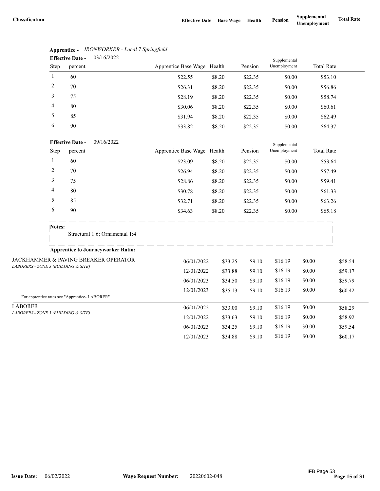|                                                       | Step           | Eliecuve Date -<br>0.011012022<br>percent     | Apprentice Base Wage Health |         | Pension | Supplemental<br>Unemployment | <b>Total Rate</b> |         |
|-------------------------------------------------------|----------------|-----------------------------------------------|-----------------------------|---------|---------|------------------------------|-------------------|---------|
|                                                       | $\mathbf{1}$   | 60                                            | \$22.55                     | \$8.20  | \$22.35 | \$0.00                       | \$53.10           |         |
|                                                       | $\overline{c}$ | 70                                            | \$26.31                     | \$8.20  | \$22.35 | \$0.00                       | \$56.86           |         |
|                                                       | 3              | 75                                            | \$28.19                     | \$8.20  | \$22.35 | \$0.00                       | \$58.74           |         |
|                                                       | 4              | 80                                            | \$30.06                     | \$8.20  | \$22.35 | \$0.00                       | \$60.61           |         |
|                                                       | 5              | 85                                            | \$31.94                     | \$8.20  | \$22.35 | \$0.00                       | \$62.49           |         |
|                                                       | 6              | 90                                            | \$33.82                     | \$8.20  | \$22.35 | \$0.00                       | \$64.37           |         |
|                                                       |                | 09/16/2022<br><b>Effective Date -</b>         |                             |         |         | Supplemental                 |                   |         |
|                                                       | Step           | percent                                       | Apprentice Base Wage Health |         | Pension | Unemployment                 | <b>Total Rate</b> |         |
|                                                       | $\mathbf{1}$   | 60                                            | \$23.09                     | \$8.20  | \$22.35 | \$0.00                       | \$53.64           |         |
|                                                       | 2              | 70                                            | \$26.94                     | \$8.20  | \$22.35 | \$0.00                       | \$57.49           |         |
|                                                       | 3              | 75                                            | \$28.86                     | \$8.20  | \$22.35 | \$0.00                       | \$59.41           |         |
|                                                       | 4              | 80                                            | \$30.78                     | \$8.20  | \$22.35 | \$0.00                       | \$61.33           |         |
|                                                       | 5              | 85                                            | \$32.71                     | \$8.20  | \$22.35 | \$0.00                       | \$63.26           |         |
|                                                       | 6              | 90                                            | \$34.63                     | \$8.20  | \$22.35 | \$0.00                       | \$65.18           |         |
|                                                       | Notes:         |                                               |                             |         |         |                              |                   |         |
|                                                       |                | Structural 1:6; Ornamental 1:4                |                             |         |         |                              |                   |         |
|                                                       |                | <b>Apprentice to Journeyworker Ratio:</b>     |                             |         |         |                              |                   |         |
|                                                       |                | JACKHAMMER & PAVING BREAKER OPERATOR          | 06/01/2022                  | \$33.25 | \$9.10  | \$16.19                      | \$0.00            | \$58.54 |
| LABORERS - ZONE 3 (BUILDING & SITE)                   |                |                                               | 12/01/2022                  | \$33.88 | \$9.10  | \$16.19                      | \$0.00            | \$59.17 |
|                                                       |                |                                               | 06/01/2023                  | \$34.50 | \$9.10  | \$16.19                      | \$0.00            | \$59.79 |
|                                                       |                |                                               | 12/01/2023                  | \$35.13 | \$9.10  | \$16.19                      | \$0.00            | \$60.42 |
|                                                       |                | For apprentice rates see "Apprentice-LABORER" |                             |         |         |                              |                   |         |
| <b>LABORER</b><br>LABORERS - ZONE 3 (BUILDING & SITE) |                |                                               | 06/01/2022                  | \$33.00 | \$9.10  | \$16.19                      | \$0.00            | \$58.29 |
|                                                       |                |                                               | 12/01/2022                  | \$33.63 | \$9.10  | \$16.19                      | \$0.00            | \$58.92 |
|                                                       |                |                                               | 06/01/2023                  | \$34.25 | \$9.10  | \$16.19                      | \$0.00            | \$59.54 |
|                                                       |                |                                               | 12/01/2023                  | \$34.88 | \$9.10  | \$16.19                      | \$0.00            | \$60.17 |

#### **Apprentice -** *IRONWORKER - Local 7 Springfield* 03/16/2022 **Effective Date -**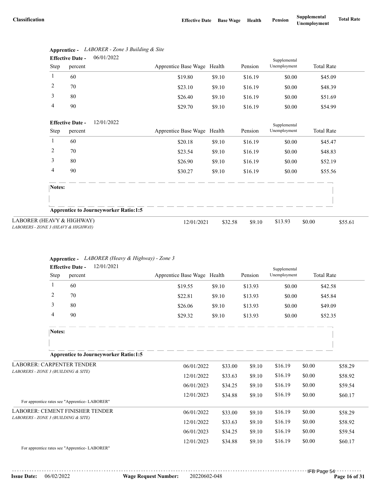|                                                                  | <b>Effective Date -</b> | <b>UO/UI/2UZZ</b>                            |                             |         | Supplemental |              |                   |         |
|------------------------------------------------------------------|-------------------------|----------------------------------------------|-----------------------------|---------|--------------|--------------|-------------------|---------|
| <b>Step</b>                                                      | percent                 |                                              | Apprentice Base Wage Health |         | Pension      | Unemployment | <b>Total Rate</b> |         |
| 1                                                                | 60                      |                                              | \$19.80                     | \$9.10  | \$16.19      | \$0.00       | \$45.09           |         |
| 2                                                                | 70                      |                                              | \$23.10                     | \$9.10  | \$16.19      | \$0.00       | \$48.39           |         |
| 3                                                                | 80                      |                                              | \$26.40                     | \$9.10  | \$16.19      | \$0.00       | \$51.69           |         |
| 4                                                                | 90                      |                                              | \$29.70                     | \$9.10  | \$16.19      | \$0.00       | \$54.99           |         |
|                                                                  | <b>Effective Date -</b> | 12/01/2022                                   |                             |         |              | Supplemental |                   |         |
| Step                                                             | percent                 |                                              | Apprentice Base Wage Health |         | Pension      | Unemployment | <b>Total Rate</b> |         |
| 1                                                                | 60                      |                                              | \$20.18                     | \$9.10  | \$16.19      | \$0.00       | \$45.47           |         |
| $\overline{c}$                                                   | 70                      |                                              | \$23.54                     | \$9.10  | \$16.19      | \$0.00       | \$48.83           |         |
| 3                                                                | 80                      |                                              | \$26.90                     | \$9.10  | \$16.19      | \$0.00       | \$52.19           |         |
| 4                                                                | 90                      |                                              | \$30.27                     | \$9.10  | \$16.19      | \$0.00       | \$55.56           |         |
| Notes:                                                           |                         |                                              |                             |         |              |              |                   |         |
|                                                                  |                         |                                              |                             |         |              |              |                   |         |
|                                                                  |                         | <b>Apprentice to Journeyworker Ratio:1:5</b> |                             |         |              |              |                   |         |
| LABORER (HEAVY & HIGHWAY)<br>LABORERS - ZONE 3 (HEAVY & HIGHWAY) |                         |                                              | 12/01/2021                  | \$32.58 | \$9.10       | \$13.93      | \$0.00            | \$55.61 |

#### **Apprentice -** *LABORER - Zone 3 Building & Site* 06/01/2022 **Effective Date -**

#### **Apprentice -** *LABORER (Heavy & Highway) - Zone 3*

| <b>Total Rate</b><br>Apprentice Base Wage Health<br>Unemployment<br>Pension<br>Step<br>percent<br>1<br>60<br>\$19.55<br>\$9.10<br>\$13.93<br>\$0.00<br>\$42.58<br>2<br>70<br>\$22.81<br>\$9.10<br>\$13.93<br>\$45.84<br>\$0.00<br>3<br>80<br>\$26.06<br>\$9.10<br>\$13.93<br>\$49.09<br>\$0.00<br>4<br>90<br>\$29.32<br>\$9.10<br>\$13.93<br>\$52.35<br>\$0.00<br>Notes:<br><b>Apprentice to Journeyworker Ratio:1:5</b><br><b>LABORER: CARPENTER TENDER</b><br>\$16.19<br>\$0.00<br>06/01/2022<br>\$33.00<br>\$9.10<br>\$58.29<br>LABORERS - ZONE 3 (BUILDING & SITE)<br>\$16.19<br>\$0.00<br>12/01/2022<br>\$33.63<br>\$9.10<br>\$58.92<br>\$16.19<br>\$0.00<br>06/01/2023<br>\$9.10<br>\$59.54<br>\$34.25<br>\$16.19<br>\$0.00<br>12/01/2023<br>\$9.10<br>\$60.17<br>\$34.88<br>For apprentice rates see "Apprentice-LABORER" |  |  | 12/01/2021<br><b>Effective Date -</b> |  | Supplemental |  |
|----------------------------------------------------------------------------------------------------------------------------------------------------------------------------------------------------------------------------------------------------------------------------------------------------------------------------------------------------------------------------------------------------------------------------------------------------------------------------------------------------------------------------------------------------------------------------------------------------------------------------------------------------------------------------------------------------------------------------------------------------------------------------------------------------------------------------------|--|--|---------------------------------------|--|--------------|--|
|                                                                                                                                                                                                                                                                                                                                                                                                                                                                                                                                                                                                                                                                                                                                                                                                                                  |  |  |                                       |  |              |  |
|                                                                                                                                                                                                                                                                                                                                                                                                                                                                                                                                                                                                                                                                                                                                                                                                                                  |  |  |                                       |  |              |  |
|                                                                                                                                                                                                                                                                                                                                                                                                                                                                                                                                                                                                                                                                                                                                                                                                                                  |  |  |                                       |  |              |  |
|                                                                                                                                                                                                                                                                                                                                                                                                                                                                                                                                                                                                                                                                                                                                                                                                                                  |  |  |                                       |  |              |  |
|                                                                                                                                                                                                                                                                                                                                                                                                                                                                                                                                                                                                                                                                                                                                                                                                                                  |  |  |                                       |  |              |  |
|                                                                                                                                                                                                                                                                                                                                                                                                                                                                                                                                                                                                                                                                                                                                                                                                                                  |  |  |                                       |  |              |  |
|                                                                                                                                                                                                                                                                                                                                                                                                                                                                                                                                                                                                                                                                                                                                                                                                                                  |  |  |                                       |  |              |  |
|                                                                                                                                                                                                                                                                                                                                                                                                                                                                                                                                                                                                                                                                                                                                                                                                                                  |  |  |                                       |  |              |  |
|                                                                                                                                                                                                                                                                                                                                                                                                                                                                                                                                                                                                                                                                                                                                                                                                                                  |  |  |                                       |  |              |  |
|                                                                                                                                                                                                                                                                                                                                                                                                                                                                                                                                                                                                                                                                                                                                                                                                                                  |  |  |                                       |  |              |  |
|                                                                                                                                                                                                                                                                                                                                                                                                                                                                                                                                                                                                                                                                                                                                                                                                                                  |  |  |                                       |  |              |  |
| <b>LABORER: CEMENT FINISHER TENDER</b><br>\$0.00<br>\$16.19<br>06/01/2022<br>\$9.10<br>\$33.00<br>\$58.29                                                                                                                                                                                                                                                                                                                                                                                                                                                                                                                                                                                                                                                                                                                        |  |  |                                       |  |              |  |
| LABORERS - ZONE 3 (BUILDING & SITE)<br>\$16.19<br>\$0.00<br>12/01/2022<br>\$33.63<br>\$9.10<br>\$58.92                                                                                                                                                                                                                                                                                                                                                                                                                                                                                                                                                                                                                                                                                                                           |  |  |                                       |  |              |  |
| \$0.00<br>06/01/2023<br>\$16.19<br>\$59.54<br>\$34.25<br>\$9.10                                                                                                                                                                                                                                                                                                                                                                                                                                                                                                                                                                                                                                                                                                                                                                  |  |  |                                       |  |              |  |
| \$0.00<br>\$16.19<br>\$60.17<br>12/01/2023<br>\$34.88<br>\$9.10<br>For apprentice rates see "Apprentice-LABORER"                                                                                                                                                                                                                                                                                                                                                                                                                                                                                                                                                                                                                                                                                                                 |  |  |                                       |  |              |  |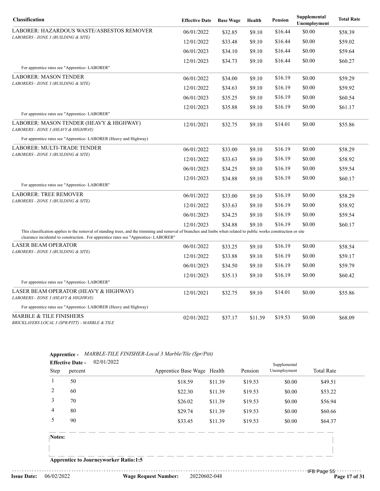| Classification                                                                                                                                                                                                                                              | <b>Effective Date</b> | <b>Base Wage</b> | Health  | Pension | Supplemental<br>Unemployment | <b>Total Rate</b> |
|-------------------------------------------------------------------------------------------------------------------------------------------------------------------------------------------------------------------------------------------------------------|-----------------------|------------------|---------|---------|------------------------------|-------------------|
| LABORER: HAZARDOUS WASTE/ASBESTOS REMOVER                                                                                                                                                                                                                   | 06/01/2022            | \$32.85          | \$9.10  | \$16.44 | \$0.00                       | \$58.39           |
| LABORERS - ZONE 3 (BUILDING & SITE)                                                                                                                                                                                                                         | 12/01/2022            | \$33.48          | \$9.10  | \$16.44 | \$0.00                       | \$59.02           |
|                                                                                                                                                                                                                                                             | 06/01/2023            | \$34.10          | \$9.10  | \$16.44 | \$0.00                       | \$59.64           |
|                                                                                                                                                                                                                                                             | 12/01/2023            | \$34.73          | \$9.10  | \$16.44 | \$0.00                       | \$60.27           |
| For apprentice rates see "Apprentice-LABORER"                                                                                                                                                                                                               |                       |                  |         |         |                              |                   |
| <b>LABORER: MASON TENDER</b>                                                                                                                                                                                                                                | 06/01/2022            | \$34.00          | \$9.10  | \$16.19 | \$0.00                       | \$59.29           |
| LABORERS - ZONE 3 (BUILDING & SITE)                                                                                                                                                                                                                         | 12/01/2022            | \$34.63          | \$9.10  | \$16.19 | \$0.00                       | \$59.92           |
|                                                                                                                                                                                                                                                             | 06/01/2023            | \$35.25          | \$9.10  | \$16.19 | \$0.00                       | \$60.54           |
|                                                                                                                                                                                                                                                             | 12/01/2023            | \$35.88          | \$9.10  | \$16.19 | \$0.00                       | \$61.17           |
| For apprentice rates see "Apprentice-LABORER"                                                                                                                                                                                                               |                       |                  |         |         |                              |                   |
| LABORER: MASON TENDER (HEAVY & HIGHWAY)<br>LABORERS - ZONE 3 (HEAVY & HIGHWAY)                                                                                                                                                                              | 12/01/2021            | \$32.75          | \$9.10  | \$14.01 | \$0.00                       | \$55.86           |
| For apprentice rates see "Apprentice- LABORER (Heavy and Highway)                                                                                                                                                                                           |                       |                  |         |         |                              |                   |
| LABORER: MULTI-TRADE TENDER                                                                                                                                                                                                                                 | 06/01/2022            | \$33.00          | \$9.10  | \$16.19 | \$0.00                       | \$58.29           |
| LABORERS - ZONE 3 (BUILDING & SITE)                                                                                                                                                                                                                         | 12/01/2022            | \$33.63          | \$9.10  | \$16.19 | \$0.00                       | \$58.92           |
|                                                                                                                                                                                                                                                             | 06/01/2023            | \$34.25          | \$9.10  | \$16.19 | \$0.00                       | \$59.54           |
|                                                                                                                                                                                                                                                             | 12/01/2023            | \$34.88          | \$9.10  | \$16.19 | \$0.00                       | \$60.17           |
| For apprentice rates see "Apprentice- LABORER"                                                                                                                                                                                                              |                       |                  |         |         |                              |                   |
| <b>LABORER: TREE REMOVER</b>                                                                                                                                                                                                                                | 06/01/2022            | \$33.00          | \$9.10  | \$16.19 | \$0.00                       | \$58.29           |
| LABORERS - ZONE 3 (BUILDING & SITE)                                                                                                                                                                                                                         | 12/01/2022            | \$33.63          | \$9.10  | \$16.19 | \$0.00                       | \$58.92           |
|                                                                                                                                                                                                                                                             | 06/01/2023            | \$34.25          | \$9.10  | \$16.19 | \$0.00                       | \$59.54           |
|                                                                                                                                                                                                                                                             | 12/01/2023            | \$34.88          | \$9.10  | \$16.19 | \$0.00                       | \$60.17           |
| This classification applies to the removal of standing trees, and the trimming and removal of branches and limbs when related to public works construction or site<br>clearance incidental to construction . For apprentice rates see "Apprentice- LABORER" |                       |                  |         |         |                              |                   |
| <b>LASER BEAM OPERATOR</b>                                                                                                                                                                                                                                  | 06/01/2022            | \$33.25          | \$9.10  | \$16.19 | \$0.00                       | \$58.54           |
| LABORERS - ZONE 3 (BUILDING & SITE)                                                                                                                                                                                                                         | 12/01/2022            | \$33.88          | \$9.10  | \$16.19 | \$0.00                       | \$59.17           |
|                                                                                                                                                                                                                                                             | 06/01/2023            | \$34.50          | \$9.10  | \$16.19 | \$0.00                       | \$59.79           |
|                                                                                                                                                                                                                                                             | 12/01/2023            | \$35.13          | \$9.10  | \$16.19 | \$0.00                       | \$60.42           |
| For apprentice rates see "Apprentice-LABORER"                                                                                                                                                                                                               |                       |                  |         |         |                              |                   |
| LASER BEAM OPERATOR (HEAVY & HIGHWAY)<br>LABORERS - ZONE 3 (HEAVY & HIGHWAY)                                                                                                                                                                                | 12/01/2021            | \$32.75          | \$9.10  | \$14.01 | \$0.00                       | \$55.86           |
| For apprentice rates see "Apprentice-LABORER (Heavy and Highway)                                                                                                                                                                                            |                       |                  |         |         |                              |                   |
| <b>MARBLE &amp; TILE FINISHERS</b><br>BRICKLAYERS LOCAL 3 (SPR/PITT) - MARBLE & TILE                                                                                                                                                                        | 02/01/2022            | \$37.17          | \$11.39 | \$19.53 | \$0.00                       | \$68.09           |

### **Apprentice -** *MARBLE-TILE FINISHER-Local 3 Marble/Tile (Spr/Pitt)*

|        | <b>Effective Date -</b> | 02/01/2022                                   |                             |         |         | Supplemental |                   |
|--------|-------------------------|----------------------------------------------|-----------------------------|---------|---------|--------------|-------------------|
| Step   | percent                 |                                              | Apprentice Base Wage Health |         | Pension | Unemployment | <b>Total Rate</b> |
|        | 50                      |                                              | \$18.59                     | \$11.39 | \$19.53 | \$0.00       | \$49.51           |
| 2      | 60                      |                                              | \$22.30                     | \$11.39 | \$19.53 | \$0.00       | \$53.22           |
| 3      | 70                      |                                              | \$26.02                     | \$11.39 | \$19.53 | \$0.00       | \$56.94           |
| 4      | 80                      |                                              | \$29.74                     | \$11.39 | \$19.53 | \$0.00       | \$60.66           |
| 5      | 90                      |                                              | \$33.45                     | \$11.39 | \$19.53 | \$0.00       | \$64.37           |
| Notes: |                         |                                              |                             |         |         |              |                   |
|        |                         | <b>Apprentice to Journeyworker Ratio:1:5</b> |                             |         |         |              |                   |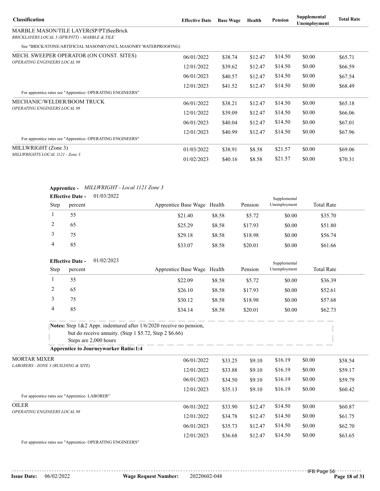| <b>Classification</b>                                                                    | <b>Effective Date</b> | <b>Base Wage</b>                                               | Health  | Pension | Supplemental<br>Unemployment                                                           | <b>Total Rate</b> |
|------------------------------------------------------------------------------------------|-----------------------|----------------------------------------------------------------|---------|---------|----------------------------------------------------------------------------------------|-------------------|
| MARBLE MASON/TILE LAYER(SP/PT)SeeBrick<br>BRICKLAYERS LOCAL 3 (SPR/PITT) - MARBLE & TILE |                       |                                                                |         |         |                                                                                        |                   |
| See "BRICK/STONE/ARTIFICIAL MASONRY(INCL.MASONRY WATERPROOFING)                          |                       |                                                                |         |         |                                                                                        |                   |
| MECH. SWEEPER OPERATOR (ON CONST. SITES)                                                 | 06/01/2022            | \$38.74                                                        | \$12.47 | \$14.50 | \$0.00                                                                                 | \$65.71           |
| <b>OPERATING ENGINEERS LOCAL 98</b>                                                      | 12/01/2022            | \$39.62                                                        | \$12.47 | \$14.50 | \$0.00<br>\$0.00<br>\$0.00<br>\$0.00<br>\$0.00<br>\$0.00<br>\$0.00<br>\$0.00<br>\$0.00 | \$66.59           |
|                                                                                          | 06/01/2023            | \$40.57                                                        | \$12.47 | \$14.50 |                                                                                        | \$67.54           |
|                                                                                          | 12/01/2023            | \$41.52                                                        | \$12.47 | \$14.50 |                                                                                        | \$68.49           |
| For apprentice rates see "Apprentice-OPERATING ENGINEERS"                                |                       |                                                                |         |         |                                                                                        |                   |
| MECHANIC/WELDER/BOOM TRUCK<br><b>OPERATING ENGINEERS LOCAL 98</b>                        | 06/01/2022            | \$38.21                                                        | \$12.47 | \$14.50 |                                                                                        | \$65.18           |
|                                                                                          | 12/01/2022            | \$14.50<br>\$39.09<br>\$12.47<br>\$14.50<br>\$12.47<br>\$40.04 | \$66.06 |         |                                                                                        |                   |
|                                                                                          | 06/01/2023            |                                                                |         |         |                                                                                        | \$67.01           |
|                                                                                          | 12/01/2023            | \$40.99                                                        | \$12.47 | \$14.50 |                                                                                        | \$67.96           |
| For apprentice rates see "Apprentice- OPERATING ENGINEERS"                               |                       |                                                                |         |         |                                                                                        |                   |
| MILLWRIGHT (Zone 3)                                                                      | 01/03/2022            | \$38.91                                                        | \$8.58  | \$21.57 |                                                                                        | \$69.06           |
| MILLWRIGHTS LOCAL 1121 - Zone 3                                                          | \$40.16<br>01/02/2023 | \$8.58                                                         | \$21.57 |         | \$70.31                                                                                |                   |

### **Apprentice -** *MILLWRIGHT - Local 1121 Zone 3*

|             | <b>Effective Date -</b> | 01/03/2022 |                             |        |         | Supplemental |                   |  |
|-------------|-------------------------|------------|-----------------------------|--------|---------|--------------|-------------------|--|
| <b>Step</b> | percent                 |            | Apprentice Base Wage Health |        | Pension | Unemployment | <b>Total Rate</b> |  |
|             | 55                      |            | \$21.40                     | \$8.58 | \$5.72  | \$0.00       | \$35.70           |  |
|             | 65                      |            | \$25.29                     | \$8.58 | \$17.93 | \$0.00       | \$51.80           |  |
|             | 75                      |            | \$29.18                     | \$8.58 | \$18.98 | \$0.00       | \$56.74           |  |
| 4           | 85                      |            | \$33.07                     | \$8.58 | \$20.01 | \$0.00       | \$61.66           |  |

|             | <b>Effective Date -</b> | 01/02/2023 |                             |        |         | Supplemental |                   |
|-------------|-------------------------|------------|-----------------------------|--------|---------|--------------|-------------------|
| <b>Step</b> | percent                 |            | Apprentice Base Wage Health |        | Pension | Unemployment | <b>Total Rate</b> |
|             | 55                      |            | \$22.09                     | \$8.58 | \$5.72  | \$0.00       | \$36.39           |
|             | 65                      |            | \$26.10                     | \$8.58 | \$17.93 | \$0.00       | \$52.61           |
|             | 75                      |            | \$30.12                     | \$8.58 | \$18.98 | \$0.00       | \$57.68           |
|             | 85                      |            | \$34.14                     | \$8.58 | \$20.01 | \$0.00       | \$62.73           |
|             |                         |            |                             |        |         |              |                   |

| <b>Notes:</b> Step $1\&2$ Appr. indentured after $1/6/2020$ receive no pension, |
|---------------------------------------------------------------------------------|
| but do receive annuity. (Step 1 \$5.72, Step 2 \$6.66)                          |
| Steps are 2,000 hours                                                           |
| <b>Apprentice to Journeyworker Ratio:1:4</b>                                    |

| <b>MORTAR MIXER</b>                           | 06/01/2022 | \$33.25 | \$9.10  | \$16.19 | \$0.00 | \$58.54 |
|-----------------------------------------------|------------|---------|---------|---------|--------|---------|
| LABORERS - ZONE 3 (BUILDING & SITE)           | 12/01/2022 | \$33.88 | \$9.10  | \$16.19 | \$0.00 | \$59.17 |
|                                               | 06/01/2023 | \$34.50 | \$9.10  | \$16.19 | \$0.00 | \$59.79 |
|                                               | 12/01/2023 | \$35.13 | \$9.10  | \$16.19 | \$0.00 | \$60.42 |
| For apprentice rates see "Apprentice-LABORER" |            |         |         |         |        |         |
| <b>OILER</b>                                  | 06/01/2022 | \$33.90 | \$12.47 | \$14.50 | \$0.00 | \$60.87 |
| <b>OPERATING ENGINEERS LOCAL 98</b>           | 12/01/2022 | \$34.78 | \$12.47 | \$14.50 | \$0.00 | \$61.75 |
|                                               | 06/01/2023 | \$35.73 | \$12.47 | \$14.50 | \$0.00 | \$62.70 |
|                                               | 12/01/2023 | \$36.68 | \$12.47 | \$14.50 | \$0.00 | \$63.65 |

For apprentice rates see "Apprentice- OPERATING ENGINEERS"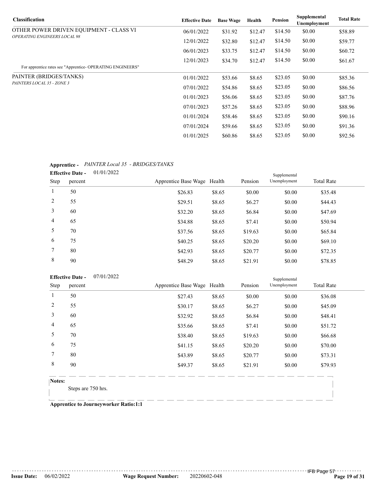| <b>Classification</b>                                      | <b>Effective Date</b> | <b>Base Wage</b> | Health  | <b>Pension</b> | Supplemental<br>Unemployment | <b>Total Rate</b> |
|------------------------------------------------------------|-----------------------|------------------|---------|----------------|------------------------------|-------------------|
| OTHER POWER DRIVEN EQUIPMENT - CLASS VI                    | 06/01/2022            | \$31.92          | \$12.47 | \$14.50        | \$0.00                       | \$58.89           |
| <b>OPERATING ENGINEERS LOCAL 98</b>                        | 12/01/2022            | \$32.80          | \$12.47 | \$14.50        | \$0.00                       | \$59.77           |
|                                                            | 06/01/2023            | \$33.75          | \$12.47 | \$14.50        | \$0.00                       | \$60.72           |
|                                                            | 12/01/2023            | \$34.70          | \$12.47 | \$14.50        | \$0.00                       | \$61.67           |
| For apprentice rates see "Apprentice- OPERATING ENGINEERS" |                       |                  |         |                |                              |                   |
| PAINTER (BRIDGES/TANKS)                                    | 01/01/2022            | \$53.66          | \$8.65  | \$23.05        | \$0.00                       | \$85.36           |
| PAINTERS LOCAL 35 - ZONE 3                                 | 07/01/2022            | \$54.86          | \$8.65  | \$23.05        | \$0.00                       | \$86.56           |
|                                                            | 01/01/2023            | \$56.06          | \$8.65  | \$23.05        | \$0.00                       | \$87.76           |
|                                                            | 07/01/2023            | \$57.26          | \$8.65  | \$23.05        | \$0.00                       | \$88.96           |
|                                                            | 01/01/2024            | \$58.46          | \$8.65  | \$23.05        | \$0.00                       | \$90.16           |
|                                                            | 07/01/2024            | \$59.66          | \$8.65  | \$23.05        | \$0.00                       | \$91.36           |
|                                                            | 01/01/2025            | \$60.86          | \$8.65  | \$23.05        | \$0.00                       | \$92.56           |

### **Apprentice -** *PAINTER Local 35 - BRIDGES/TANKS*

| . .            |                         |            |                             |        |         |              |                   |  |
|----------------|-------------------------|------------|-----------------------------|--------|---------|--------------|-------------------|--|
|                | <b>Effective Date -</b> | 01/01/2022 |                             |        |         | Supplemental |                   |  |
| Step           | percent                 |            | Apprentice Base Wage Health |        | Pension | Unemployment | <b>Total Rate</b> |  |
| 1              | 50                      |            | \$26.83                     | \$8.65 | \$0.00  | \$0.00       | \$35.48           |  |
| 2              | 55                      |            | \$29.51                     | \$8.65 | \$6.27  | \$0.00       | \$44.43           |  |
| 3              | 60                      |            | \$32.20                     | \$8.65 | \$6.84  | \$0.00       | \$47.69           |  |
| $\overline{4}$ | 65                      |            | \$34.88                     | \$8.65 | \$7.41  | \$0.00       | \$50.94           |  |
| 5              | 70                      |            | \$37.56                     | \$8.65 | \$19.63 | \$0.00       | \$65.84           |  |
| 6              | 75                      |            | \$40.25                     | \$8.65 | \$20.20 | \$0.00       | \$69.10           |  |
| 7              | 80                      |            | \$42.93                     | \$8.65 | \$20.77 | \$0.00       | \$72.35           |  |
| 8              | 90                      |            | \$48.29                     | \$8.65 | \$21.91 | \$0.00       | \$78.85           |  |
|                |                         |            |                             |        |         |              |                   |  |

| <b>Effective Date -</b> |         | 07/01/2022 |                             |        |         | Supplemental |                   |
|-------------------------|---------|------------|-----------------------------|--------|---------|--------------|-------------------|
| Step                    | percent |            | Apprentice Base Wage Health |        | Pension | Unemployment | <b>Total Rate</b> |
|                         | 50      |            | \$27.43                     | \$8.65 | \$0.00  | \$0.00       | \$36.08           |
| 2                       | 55      |            | \$30.17                     | \$8.65 | \$6.27  | \$0.00       | \$45.09           |
| 3                       | 60      |            | \$32.92                     | \$8.65 | \$6.84  | \$0.00       | \$48.41           |
| $\overline{4}$          | 65      |            | \$35.66                     | \$8.65 | \$7.41  | \$0.00       | \$51.72           |
| 5                       | 70      |            | \$38.40                     | \$8.65 | \$19.63 | \$0.00       | \$66.68           |
| 6                       | 75      |            | \$41.15                     | \$8.65 | \$20.20 | \$0.00       | \$70.00           |
| 7                       | 80      |            | \$43.89                     | \$8.65 | \$20.77 | \$0.00       | \$73.31           |
| 8                       | 90      |            | \$49.37                     | \$8.65 | \$21.91 | \$0.00       | \$79.93           |
|                         |         |            |                             |        |         |              |                   |

**Notes:**

Steps are 750 hrs.

**Apprentice to Journeyworker Ratio:1:1**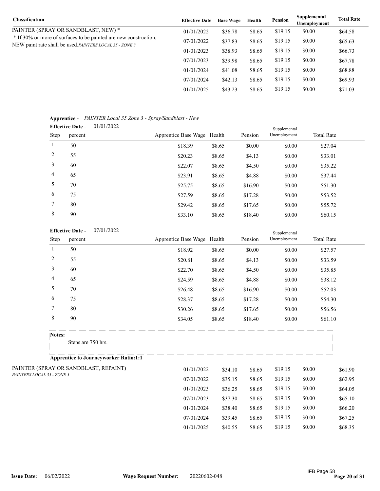| <b>Classification</b>                                                                                                               | <b>Effective Date</b> | <b>Base Wage</b> | Health | Pension | Supplemental<br>Unemployment | <b>Total Rate</b> |
|-------------------------------------------------------------------------------------------------------------------------------------|-----------------------|------------------|--------|---------|------------------------------|-------------------|
| PAINTER (SPRAY OR SANDBLAST, NEW) *                                                                                                 | 01/01/2022            | \$36.78          | \$8.65 | \$19.15 | \$0.00                       | \$64.58           |
| * If 30% or more of surfaces to be painted are new construction,<br>NEW paint rate shall be used. <i>PAINTERS LOCAL</i> 35 - ZONE 3 | 07/01/2022            | \$37.83          | \$8.65 | \$19.15 | \$0.00                       | \$65.63           |
|                                                                                                                                     | 01/01/2023            | \$38.93          | \$8.65 | \$19.15 | \$0.00                       | \$66.73           |
|                                                                                                                                     | 07/01/2023            | \$39.98          | \$8.65 | \$19.15 | \$0.00                       | \$67.78           |
|                                                                                                                                     | 01/01/2024            | \$41.08          | \$8.65 | \$19.15 | \$0.00                       | \$68.88           |
|                                                                                                                                     | 07/01/2024            | \$42.13          | \$8.65 | \$19.15 | \$0.00                       | \$69.93           |
|                                                                                                                                     | 01/01/2025            | \$43.23          | \$8.65 | \$19.15 | \$0.00                       | \$71.03           |

#### **Apprentice -** *PAINTER Local 35 Zone 3 - Spray/Sandblast - New*

|                | 01/01/2022<br><b>Effective Date -</b> |                             |        |         | Supplemental |                   |  |
|----------------|---------------------------------------|-----------------------------|--------|---------|--------------|-------------------|--|
| Step           | percent                               | Apprentice Base Wage Health |        | Pension | Unemployment | <b>Total Rate</b> |  |
| -1             | 50                                    | \$18.39                     | \$8.65 | \$0.00  | \$0.00       | \$27.04           |  |
| 2              | 55                                    | \$20.23                     | \$8.65 | \$4.13  | \$0.00       | \$33.01           |  |
| 3              | 60                                    | \$22.07                     | \$8.65 | \$4.50  | \$0.00       | \$35.22           |  |
| $\overline{4}$ | 65                                    | \$23.91                     | \$8.65 | \$4.88  | \$0.00       | \$37.44           |  |
| 5              | 70                                    | \$25.75                     | \$8.65 | \$16.90 | \$0.00       | \$51.30           |  |
| 6              | 75                                    | \$27.59                     | \$8.65 | \$17.28 | \$0.00       | \$53.52           |  |
| 7              | 80                                    | \$29.42                     | \$8.65 | \$17.65 | \$0.00       | \$55.72           |  |
| 8              | 90                                    | \$33.10                     | \$8.65 | \$18.40 | \$0.00       | \$60.15           |  |

#### 07/01/2022 **Effective Date -**

|                            | 07/01/2022<br><b>Effective Date -</b> |                                              |                             | Supplemental |         |              |        |                   |
|----------------------------|---------------------------------------|----------------------------------------------|-----------------------------|--------------|---------|--------------|--------|-------------------|
|                            | Step                                  | percent                                      | Apprentice Base Wage Health |              | Pension | Unemployment |        | <b>Total Rate</b> |
|                            | $\mathbf{1}$                          | 50                                           | \$18.92                     | \$8.65       | \$0.00  | \$0.00       |        | \$27.57           |
|                            | $\overline{c}$                        | 55                                           | \$20.81                     | \$8.65       | \$4.13  | \$0.00       |        | \$33.59           |
|                            | 3                                     | 60                                           | \$22.70                     | \$8.65       | \$4.50  | \$0.00       |        | \$35.85           |
|                            | 4                                     | 65                                           | \$24.59                     | \$8.65       | \$4.88  | \$0.00       |        | \$38.12           |
|                            | 5                                     | 70                                           | \$26.48                     | \$8.65       | \$16.90 | \$0.00       |        | \$52.03           |
|                            | 6                                     | 75                                           | \$28.37                     | \$8.65       | \$17.28 | \$0.00       |        | \$54.30           |
|                            | $\overline{7}$                        | 80                                           | \$30.26                     | \$8.65       | \$17.65 | \$0.00       |        | \$56.56           |
|                            | $\,8\,$                               | 90                                           | \$34.05                     | \$8.65       | \$18.40 | \$0.00       |        | \$61.10           |
|                            | Notes:                                |                                              |                             |              |         |              |        |                   |
|                            |                                       | Steps are 750 hrs.                           |                             |              |         |              |        |                   |
|                            |                                       | <b>Apprentice to Journeyworker Ratio:1:1</b> |                             |              |         |              |        |                   |
|                            |                                       | PAINTER (SPRAY OR SANDBLAST, REPAINT)        | 01/01/2022                  | \$34.10      | \$8.65  | \$19.15      | \$0.00 | \$61.90           |
| PAINTERS LOCAL 35 - ZONE 3 |                                       |                                              | 07/01/2022                  | \$35.15      | \$8.65  | \$19.15      | \$0.00 | \$62.95           |
|                            |                                       |                                              | 01/01/2023                  | \$36.25      | \$8.65  | \$19.15      | \$0.00 | \$64.05           |
|                            |                                       |                                              | 07/01/2023                  | \$37.30      | \$8.65  | \$19.15      | \$0.00 | \$65.10           |
|                            |                                       |                                              | 01/01/2024                  | \$38.40      | \$8.65  | \$19.15      | \$0.00 | \$66.20           |
|                            |                                       |                                              | 07/01/2024                  | \$39.45      | \$8.65  | \$19.15      | \$0.00 | \$67.25           |

01/01/2025 \$40.55 \$8.65 \$19.15 \$0.00 \$68.35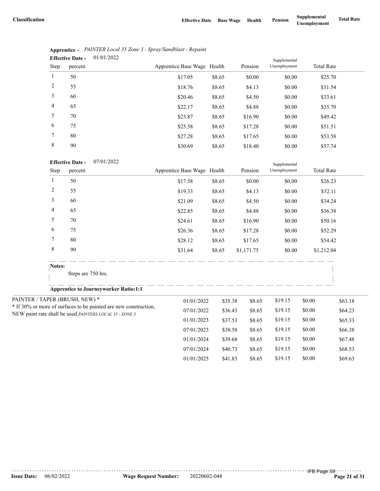|                | 01/01/2022<br><b>Effective Date -</b> |                             |        |         | Supplemental |                   |  |  |
|----------------|---------------------------------------|-----------------------------|--------|---------|--------------|-------------------|--|--|
| Step           | percent                               | Apprentice Base Wage Health |        | Pension | Unemployment | <b>Total Rate</b> |  |  |
| 1              | 50                                    | \$17.05                     | \$8.65 | \$0.00  | \$0.00       | \$25.70           |  |  |
| 2              | 55                                    | \$18.76                     | \$8.65 | \$4.13  | \$0.00       | \$31.54           |  |  |
| 3              | 60                                    | \$20.46                     | \$8.65 | \$4.50  | \$0.00       | \$33.61           |  |  |
| $\overline{4}$ | 65                                    | \$22.17                     | \$8.65 | \$4.88  | \$0.00       | \$35.70           |  |  |
| 5              | 70                                    | \$23.87                     | \$8.65 | \$16.90 | \$0.00       | \$49.42           |  |  |
| 6              | 75                                    | \$25.58                     | \$8.65 | \$17.28 | \$0.00       | \$51.51           |  |  |
| 7              | 80                                    | \$27.28                     | \$8.65 | \$17.65 | \$0.00       | \$53.58           |  |  |
| 8              | 90                                    | \$30.69                     | \$8.65 | \$18.40 | \$0.00       | \$57.74           |  |  |

|                               | Apprentice - PAINTER Local 35 Zone 3 - Spray/Sandblast - Repaint |
|-------------------------------|------------------------------------------------------------------|
| Effective Date $-$ 01/01/2022 |                                                                  |

07/01/2022 **Effective Date -**

|                | <b>Effective Date -</b><br>07/01/2022                            |                             |         |                   | Supplemental |                   |         |  |
|----------------|------------------------------------------------------------------|-----------------------------|---------|-------------------|--------------|-------------------|---------|--|
| Step           | percent                                                          | Apprentice Base Wage Health |         | Pension           | Unemployment | <b>Total Rate</b> |         |  |
| 1              | 50                                                               | \$17.58                     | \$8.65  | \$0.00            | \$0.00       |                   | \$26.23 |  |
| $\overline{c}$ | 55                                                               | \$19.33                     | \$8.65  | \$4.13            | \$0.00       |                   | \$32.11 |  |
| 3              | 60                                                               | \$21.09                     | \$8.65  | \$4.50            | \$0.00       |                   | \$34.24 |  |
| 4              | 65                                                               | \$22.85                     | \$8.65  | \$4.88            | \$0.00       |                   | \$36.38 |  |
| 5              | 70                                                               | \$24.61                     | \$8.65  | \$16.90           | \$0.00       |                   | \$50.16 |  |
| 6              | 75                                                               | \$26.36                     | \$8.65  | \$17.28           | \$0.00       |                   | \$52.29 |  |
| 7              | 80                                                               | \$28.12                     | \$8.65  | \$17.65           | \$0.00       |                   | \$54.42 |  |
| $\,8\,$        | 90                                                               | \$31.64                     | \$8.65  | \$1,171.75        | \$0.00       | \$1,212.04        |         |  |
| Notes:         |                                                                  |                             |         |                   |              |                   |         |  |
|                | Steps are 750 hrs.                                               |                             |         |                   |              |                   |         |  |
|                | <b>Apprentice to Journeyworker Ratio:1:1</b>                     |                             |         |                   |              |                   |         |  |
|                | PAINTER / TAPER (BRUSH, NEW) *                                   | 01/01/2022                  |         | \$35.38<br>\$8.65 | \$19.15      | \$0.00            | \$63.18 |  |
|                | * If 30% or more of surfaces to be painted are new construction, | 07/01/2022                  | \$36.43 | \$8.65            | \$19.15      | \$0.00            | \$64.23 |  |
|                | NEW paint rate shall be used.PAINTERS LOCAL 35 - ZONE 3          | 01/01/2023                  | \$37.53 | \$8.65            | \$19.15      | \$0.00            | \$65.33 |  |
|                |                                                                  | 07/01/2023                  | \$38.58 | \$8.65            | \$19.15      | \$0.00            | \$66.38 |  |
|                |                                                                  | 01/01/2024                  |         | \$8.65<br>\$39.68 | \$19.15      | \$0.00            | \$67.48 |  |
|                |                                                                  | 07/01/2024                  | \$40.73 | \$8.65            | \$19.15      | \$0.00            | \$68.53 |  |
|                |                                                                  | 01/01/2025                  | \$41.83 | \$8.65            | \$19.15      | \$0.00            | \$69.63 |  |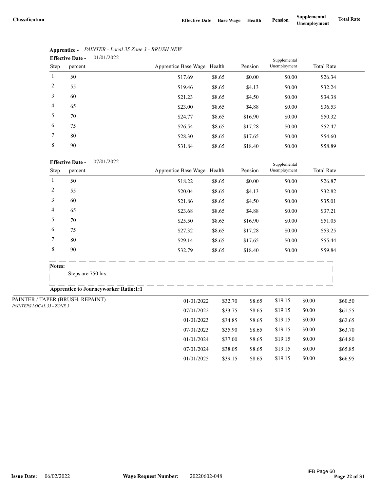07/01/2024 \$38.05 \$8.65 \$19.15 \$0.00 \$65.85 01/01/2025 \$39.15 \$8.65 \$19.15 \$0.00 \$66.95

|                | 01/01/2022<br><b>Effective Date -</b> |                             | Supplemental |         |              |                   |
|----------------|---------------------------------------|-----------------------------|--------------|---------|--------------|-------------------|
| Step           | percent                               | Apprentice Base Wage Health |              | Pension | Unemployment | <b>Total Rate</b> |
|                | 50                                    | \$17.69                     | \$8.65       | \$0.00  | \$0.00       | \$26.34           |
| 2              | 55                                    | \$19.46                     | \$8.65       | \$4.13  | \$0.00       | \$32.24           |
| 3              | 60                                    | \$21.23                     | \$8.65       | \$4.50  | \$0.00       | \$34.38           |
| $\overline{4}$ | 65                                    | \$23.00                     | \$8.65       | \$4.88  | \$0.00       | \$36.53           |
| 5              | 70                                    | \$24.77                     | \$8.65       | \$16.90 | \$0.00       | \$50.32           |
| 6              | 75                                    | \$26.54                     | \$8.65       | \$17.28 | \$0.00       | \$52.47           |
| 7              | 80                                    | \$28.30                     | \$8.65       | \$17.65 | \$0.00       | \$54.60           |
| 8              | 90                                    | \$31.84                     | \$8.65       | \$18.40 | \$0.00       | \$58.89           |

## **Apprentice -** *PAINTER - Local 35 Zone 3 - BRUSH NEW*

#### 07/01/2022 **Effective Date -**

|                            | <b>Effective Date -</b><br>07/01/2022        |                             |                       | Supplemental |              |        |                   |
|----------------------------|----------------------------------------------|-----------------------------|-----------------------|--------------|--------------|--------|-------------------|
| Step                       | percent                                      | Apprentice Base Wage Health |                       | Pension      | Unemployment |        | <b>Total Rate</b> |
| 1                          | 50                                           | \$18.22                     | \$8.65                | \$0.00       | \$0.00       |        | \$26.87           |
| $\overline{c}$             | 55                                           | \$20.04                     | \$8.65                | \$4.13       | \$0.00       |        | \$32.82           |
| 3                          | 60                                           | \$21.86                     | \$8.65                | \$4.50       | \$0.00       |        | \$35.01           |
| 4                          | 65                                           | \$23.68                     | \$8.65                | \$4.88       | \$0.00       |        | \$37.21           |
| 5                          | 70                                           | \$25.50                     | \$8.65                | \$16.90      | \$0.00       |        | \$51.05           |
| 6                          | 75                                           | \$27.32                     | \$8.65                | \$17.28      | \$0.00       |        | \$53.25           |
| 7                          | 80                                           | \$29.14                     | \$8.65                | \$17.65      | \$0.00       |        | \$55.44           |
| $\,$ 8 $\,$                | 90                                           | \$32.79                     | \$8.65                | \$18.40      | \$0.00       |        | \$59.84           |
| Notes:                     |                                              |                             |                       |              |              |        |                   |
|                            | Steps are 750 hrs.                           |                             |                       |              |              |        |                   |
|                            | <b>Apprentice to Journeyworker Ratio:1:1</b> |                             |                       |              |              |        |                   |
|                            | PAINTER / TAPER (BRUSH, REPAINT)             |                             | 01/01/2022<br>\$32.70 | \$8.65       | \$19.15      | \$0.00 | \$60.50           |
| PAINTERS LOCAL 35 - ZONE 3 |                                              | 07/01/2022                  | \$33.75               | \$8.65       | \$19.15      | \$0.00 | \$61.55           |
|                            |                                              | 01/01/2023                  | \$34.85               | \$8.65       | \$19.15      | \$0.00 | \$62.65           |
|                            |                                              | 07/01/2023                  | \$35.90               | \$8.65       | \$19.15      | \$0.00 | \$63.70           |
|                            |                                              | 01/01/2024                  | \$37.00               | \$8.65       | \$19.15      | \$0.00 | \$64.80           |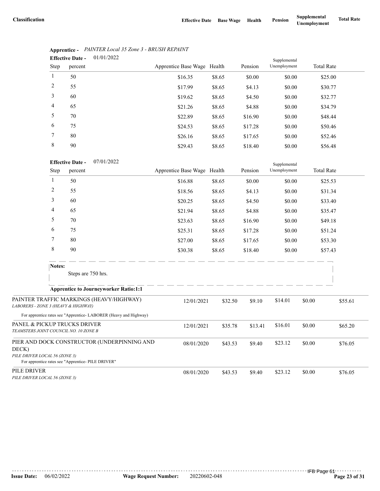|                | 01/01/2022<br><b>Effective Date -</b> |                             |        |         | Supplemental |                   |
|----------------|---------------------------------------|-----------------------------|--------|---------|--------------|-------------------|
| Step           | percent                               | Apprentice Base Wage Health |        | Pension | Unemployment | <b>Total Rate</b> |
| $\mathbf{1}$   | 50                                    | \$16.35                     | \$8.65 | \$0.00  | \$0.00       | \$25.00           |
| 2              | 55                                    | \$17.99                     | \$8.65 | \$4.13  | \$0.00       | \$30.77           |
| 3              | 60                                    | \$19.62                     | \$8.65 | \$4.50  | \$0.00       | \$32.77           |
| $\overline{4}$ | 65                                    | \$21.26                     | \$8.65 | \$4.88  | \$0.00       | \$34.79           |
| 5              | 70                                    | \$22.89                     | \$8.65 | \$16.90 | \$0.00       | \$48.44           |
| 6              | 75                                    | \$24.53                     | \$8.65 | \$17.28 | \$0.00       | \$50.46           |
| 7              | 80                                    | \$26.16                     | \$8.65 | \$17.65 | \$0.00       | \$52.46           |
| 8              | 90                                    | \$29.43                     | \$8.65 | \$18.40 | \$0.00       | \$56.48           |

## **Apprentice -** *PAINTER Local 35 Zone 3 - BRUSH REPAINT*

| <b>Effective Date -</b> | 07/01/2022 |
|-------------------------|------------|
|                         |            |

|                                                                       | <b>Effective Date -</b><br>07/01/2022                            |                             |         |         | Supplemental |        |                   |  |
|-----------------------------------------------------------------------|------------------------------------------------------------------|-----------------------------|---------|---------|--------------|--------|-------------------|--|
| Step                                                                  | percent                                                          | Apprentice Base Wage Health |         | Pension | Unemployment |        | <b>Total Rate</b> |  |
| 1                                                                     | 50                                                               | \$16.88                     | \$8.65  | \$0.00  | \$0.00       |        | \$25.53           |  |
| 2                                                                     | 55                                                               | \$18.56                     | \$8.65  | \$4.13  | \$0.00       |        | \$31.34           |  |
| 3                                                                     | 60                                                               | \$20.25                     | \$8.65  | \$4.50  | \$0.00       |        | \$33.40           |  |
| 4                                                                     | 65                                                               | \$21.94                     | \$8.65  | \$4.88  | \$0.00       |        | \$35.47           |  |
| 5                                                                     | 70                                                               | \$23.63                     | \$8.65  | \$16.90 | \$0.00       |        | \$49.18           |  |
| 6                                                                     | 75                                                               | \$25.31                     | \$8.65  | \$17.28 | \$0.00       |        | \$51.24           |  |
| 7                                                                     | 80                                                               | \$27.00                     | \$8.65  | \$17.65 | \$0.00       |        | \$53.30           |  |
| 8                                                                     | 90                                                               | \$30.38                     | \$8.65  | \$18.40 | \$0.00       |        | \$57.43           |  |
| Notes:                                                                |                                                                  |                             |         |         |              |        |                   |  |
|                                                                       | Steps are 750 hrs.                                               |                             |         |         |              |        |                   |  |
|                                                                       | <b>Apprentice to Journeyworker Ratio:1:1</b>                     |                             |         |         |              |        |                   |  |
| LABORERS - ZONE 3 (HEAVY & HIGHWAY)                                   | PAINTER TRAFFIC MARKINGS (HEAVY/HIGHWAY)                         | 12/01/2021                  | \$32.50 | \$9.10  | \$14.01      | \$0.00 | \$55.61           |  |
|                                                                       | For apprentice rates see "Apprentice-LABORER (Heavy and Highway) |                             |         |         |              |        |                   |  |
| PANEL & PICKUP TRUCKS DRIVER<br>TEAMSTERS JOINT COUNCIL NO. 10 ZONE B |                                                                  | 12/01/2021                  | \$35.78 | \$13.41 | \$16.01      | \$0.00 | \$65.20           |  |
| DECK)                                                                 | PIER AND DOCK CONSTRUCTOR (UNDERPINNING AND                      | 08/01/2020                  | \$43.53 | \$9.40  | \$23.12      | \$0.00 | \$76.05           |  |
| PILE DRIVER LOCAL 56 (ZONE 3)                                         | For apprentice rates see "Apprentice- PILE DRIVER"               |                             |         |         |              |        |                   |  |
| PILE DRIVER<br>PILE DRIVER LOCAL 56 (ZONE 3)                          |                                                                  | 08/01/2020                  | \$43.53 | \$9.40  | \$23.12      | \$0.00 | \$76.05           |  |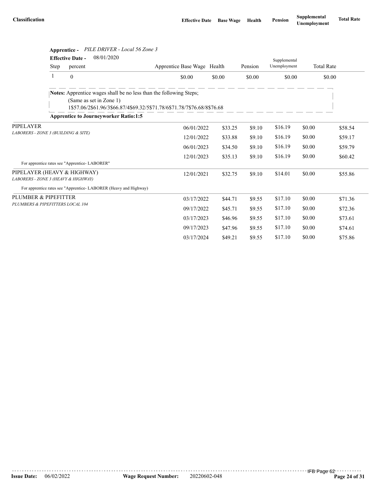|                                                                    |             |                                    | Apprentice - PILE DRIVER - Local 56 Zone 3                                                    |                                                                         |         |         |                              |        |                   |
|--------------------------------------------------------------------|-------------|------------------------------------|-----------------------------------------------------------------------------------------------|-------------------------------------------------------------------------|---------|---------|------------------------------|--------|-------------------|
|                                                                    | <b>Step</b> | <b>Effective Date -</b><br>percent | 08/01/2020                                                                                    | Apprentice Base Wage Health                                             |         | Pension | Supplemental<br>Unemployment |        | <b>Total Rate</b> |
|                                                                    | 1           | $\Omega$                           |                                                                                               | \$0.00                                                                  | \$0.00  | \$0.00  | \$0.00                       |        | \$0.00            |
|                                                                    |             |                                    | Notes: Apprentice wages shall be no less than the following Steps;<br>(Same as set in Zone 1) | 1\$57.06/2\$61.96/3\$66.87/4\$69.32/5\$71.78/6\$71.78/7\$76.68/8\$76.68 |         |         |                              |        |                   |
| <b>PIPELAYER</b>                                                   |             |                                    | <b>Apprentice to Journeyworker Ratio:1:5</b>                                                  |                                                                         |         |         |                              |        |                   |
| LABORERS - ZONE 3 (BUILDING & SITE)                                |             | 06/01/2022                         | \$33.25                                                                                       | \$9.10                                                                  | \$16.19 | \$0.00  | \$58.54                      |        |                   |
|                                                                    |             |                                    |                                                                                               | 12/01/2022                                                              | \$33.88 | \$9.10  | \$16.19                      | \$0.00 | \$59.17           |
|                                                                    |             |                                    |                                                                                               | 06/01/2023                                                              | \$34.50 | \$9.10  | \$16.19                      | \$0.00 | \$59.79           |
|                                                                    |             |                                    |                                                                                               | 12/01/2023                                                              | \$35.13 | \$9.10  | \$16.19                      | \$0.00 | \$60.42           |
| For apprentice rates see "Apprentice-LABORER"                      |             |                                    |                                                                                               |                                                                         |         |         |                              |        |                   |
| PIPELAYER (HEAVY & HIGHWAY)<br>LABORERS - ZONE 3 (HEAVY & HIGHWAY) |             |                                    |                                                                                               | 12/01/2021                                                              | \$32.75 | \$9.10  | \$14.01                      | \$0.00 | \$55.86           |
|                                                                    |             |                                    | For apprentice rates see "Apprentice-LABORER (Heavy and Highway)                              |                                                                         |         |         |                              |        |                   |
| PLUMBER & PIPEFITTER                                               |             |                                    |                                                                                               | 03/17/2022                                                              | \$44.71 | \$9.55  | \$17.10                      | \$0.00 | \$71.36           |
| PLUMBERS & PIPEFITTERS LOCAL 104                                   |             |                                    |                                                                                               | 09/17/2022                                                              | \$45.71 | \$9.55  | \$17.10                      | \$0.00 | \$72.36           |
|                                                                    |             |                                    |                                                                                               | 03/17/2023                                                              | \$46.96 | \$9.55  | \$17.10                      | \$0.00 | \$73.61           |
|                                                                    |             |                                    |                                                                                               | 09/17/2023                                                              | \$47.96 | \$9.55  | \$17.10                      | \$0.00 | \$74.61           |
|                                                                    |             |                                    |                                                                                               | 03/17/2024                                                              | \$49.21 | \$9.55  | \$17.10                      | \$0.00 | \$75.86           |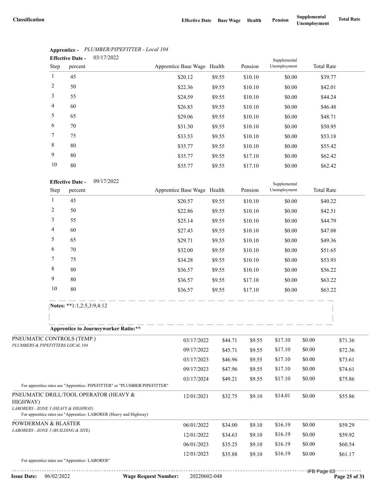|                | <b>Effective Date -</b> | 03/17/2022 | Supplemental                |        |         |              |                   |  |
|----------------|-------------------------|------------|-----------------------------|--------|---------|--------------|-------------------|--|
| Step           | percent                 |            | Apprentice Base Wage Health |        | Pension | Unemployment | <b>Total Rate</b> |  |
| 1              | 45                      |            | \$20.12                     | \$9.55 | \$10.10 | \$0.00       | \$39.77           |  |
| 2              | 50                      |            | \$22.36                     | \$9.55 | \$10.10 | \$0.00       | \$42.01           |  |
| 3              | 55                      |            | \$24.59                     | \$9.55 | \$10.10 | \$0.00       | \$44.24           |  |
| $\overline{4}$ | 60                      |            | \$26.83                     | \$9.55 | \$10.10 | \$0.00       | \$46.48           |  |
| 5              | 65                      |            | \$29.06                     | \$9.55 | \$10.10 | \$0.00       | \$48.71           |  |
| 6              | 70                      |            | \$31.30                     | \$9.55 | \$10.10 | \$0.00       | \$50.95           |  |
| 7              | 75                      |            | \$33.53                     | \$9.55 | \$10.10 | \$0.00       | \$53.18           |  |
| 8              | 80                      |            | \$35.77                     | \$9.55 | \$10.10 | \$0.00       | \$55.42           |  |
| 9              | 80                      |            | \$35.77                     | \$9.55 | \$17.10 | \$0.00       | \$62.42           |  |
| 10             | 80                      |            | \$35.77                     | \$9.55 | \$17.10 | \$0.00       | \$62.42           |  |

## **Apprentice -** *PLUMBER/PIPEFITTER - Local 104*

|                                                 | 10                       | 80                        |                                                                           |                             | \$35.77      | \$9.55  | \$17.10 | \$0.00       |             | \$62.42           |
|-------------------------------------------------|--------------------------|---------------------------|---------------------------------------------------------------------------|-----------------------------|--------------|---------|---------|--------------|-------------|-------------------|
|                                                 |                          | <b>Effective Date -</b>   | 09/17/2022                                                                |                             |              |         |         | Supplemental |             |                   |
|                                                 | Step                     | percent                   |                                                                           | Apprentice Base Wage Health |              |         | Pension | Unemployment |             | <b>Total Rate</b> |
|                                                 | $\mathbf{1}$             | 45                        |                                                                           |                             | \$20.57      | \$9.55  | \$10.10 | \$0.00       |             | \$40.22           |
|                                                 | $\overline{c}$           | 50                        |                                                                           |                             | \$22.86      | \$9.55  | \$10.10 | \$0.00       |             | \$42.51           |
|                                                 | 3                        | 55                        |                                                                           |                             | \$25.14      | \$9.55  | \$10.10 | \$0.00       |             | \$44.79           |
|                                                 | $\overline{\mathcal{A}}$ | 60                        |                                                                           |                             | \$27.43      | \$9.55  | \$10.10 | \$0.00       |             | \$47.08           |
|                                                 | 5                        | 65                        |                                                                           |                             | \$29.71      | \$9.55  | \$10.10 | \$0.00       |             | \$49.36           |
|                                                 | 6                        | 70                        |                                                                           |                             | \$32.00      | \$9.55  | \$10.10 | \$0.00       |             | \$51.65           |
|                                                 | 7                        | 75                        |                                                                           |                             | \$34.28      | \$9.55  | \$10.10 | \$0.00       |             | \$53.93           |
|                                                 | 8                        | 80                        |                                                                           |                             | \$36.57      | \$9.55  | \$10.10 | \$0.00       |             | \$56.22           |
|                                                 | 9                        | 80                        |                                                                           |                             | \$36.57      | \$9.55  | \$17.10 | \$0.00       |             | \$63.22           |
|                                                 | 10                       | 80                        |                                                                           |                             | \$36.57      | \$9.55  | \$17.10 | \$0.00       |             | \$63.22           |
|                                                 |                          | Notes: **1:1,2:5,3:9,4:12 |                                                                           |                             |              |         |         |              |             |                   |
|                                                 |                          |                           |                                                                           |                             |              |         |         |              |             |                   |
|                                                 |                          |                           | <b>Apprentice to Journeyworker Ratio:**</b>                               |                             |              |         |         |              |             |                   |
| PNEUMATIC CONTROLS (TEMP.)                      |                          |                           |                                                                           |                             | 03/17/2022   | \$44.71 | \$9.55  | \$17.10      | \$0.00      | \$71.36           |
| PLUMBERS & PIPEFITTERS LOCAL 104                |                          |                           |                                                                           |                             | 09/17/2022   | \$45.71 | \$9.55  | \$17.10      | \$0.00      | \$72.36           |
|                                                 |                          |                           |                                                                           |                             | 03/17/2023   | \$46.96 | \$9.55  | \$17.10      | \$0.00      | \$73.61           |
|                                                 |                          |                           |                                                                           |                             | 09/17/2023   | \$47.96 | \$9.55  | \$17.10      | \$0.00      | \$74.61           |
|                                                 |                          |                           |                                                                           |                             | 03/17/2024   | \$49.21 | \$9.55  | \$17.10      | \$0.00      | \$75.86           |
|                                                 |                          |                           | For apprentice rates see "Apprentice- PIPEFITTER" or "PLUMBER/PIPEFITTER" |                             |              |         |         |              |             |                   |
| HIGHWAY)<br>LABORERS - ZONE 3 (HEAVY & HIGHWAY) |                          |                           | PNEUMATIC DRILL/TOOL OPERATOR (HEAVY &                                    |                             | 12/01/2021   | \$32.75 | \$9.10  | \$14.01      | \$0.00      | \$55.86           |
|                                                 |                          |                           | For apprentice rates see "Apprentice-LABORER (Heavy and Highway)          |                             |              |         |         |              |             |                   |
| POWDERMAN & BLASTER                             |                          |                           |                                                                           |                             | 06/01/2022   | \$34.00 | \$9.10  | \$16.19      | \$0.00      | \$59.29           |
| LABORERS - ZONE 3 (BUILDING & SITE)             |                          |                           |                                                                           |                             | 12/01/2022   | \$34.63 | \$9.10  | \$16.19      | \$0.00      | \$59.92           |
|                                                 |                          |                           |                                                                           |                             | 06/01/2023   | \$35.25 | \$9.10  | \$16.19      | \$0.00      | \$60.54           |
|                                                 |                          |                           |                                                                           |                             | 12/01/2023   | \$35.88 | \$9.10  | \$16.19      | \$0.00      | \$61.17           |
| For apprentice rates see "Apprentice-LABORER"   |                          |                           |                                                                           |                             |              |         |         |              |             |                   |
| <b>Issue Date:</b>                              | 06/02/2022               |                           | <b>Wage Request Number:</b>                                               |                             | 20220602-048 |         |         |              | IFB Page 63 | Page 25 of 31     |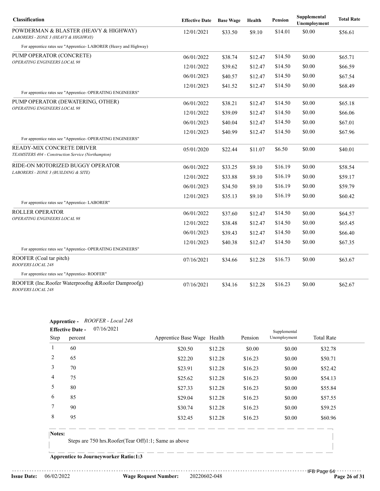| Classification                                                                  | <b>Effective Date</b> | <b>Base Wage</b> | Health  | Pension | Supplemental<br>Unemployment | <b>Total Rate</b> |
|---------------------------------------------------------------------------------|-----------------------|------------------|---------|---------|------------------------------|-------------------|
| POWDERMAN & BLASTER (HEAVY & HIGHWAY)<br>LABORERS - ZONE 3 (HEAVY & HIGHWAY)    | 12/01/2021            | \$33.50          | \$9.10  | \$14.01 | \$0.00                       | \$56.61           |
| For apprentice rates see "Apprentice-LABORER (Heavy and Highway)                |                       |                  |         |         |                              |                   |
| PUMP OPERATOR (CONCRETE)                                                        | 06/01/2022            | \$38.74          | \$12.47 | \$14.50 | \$0.00                       | \$65.71           |
| OPERATING ENGINEERS LOCAL 98                                                    | 12/01/2022            | \$39.62          | \$12.47 | \$14.50 | \$0.00                       | \$66.59           |
|                                                                                 | 06/01/2023            | \$40.57          | \$12.47 | \$14.50 | \$0.00                       | \$67.54           |
|                                                                                 | 12/01/2023            | \$41.52          | \$12.47 | \$14.50 | \$0.00                       | \$68.49           |
| For apprentice rates see "Apprentice- OPERATING ENGINEERS"                      |                       |                  |         |         |                              |                   |
| PUMP OPERATOR (DEWATERING, OTHER)<br><b>OPERATING ENGINEERS LOCAL 98</b>        | 06/01/2022            | \$38.21          | \$12.47 | \$14.50 | \$0.00                       | \$65.18           |
|                                                                                 | 12/01/2022            | \$39.09          | \$12.47 | \$14.50 | \$0.00                       | \$66.06           |
|                                                                                 | 06/01/2023            | \$40.04          | \$12.47 | \$14.50 | \$0.00                       | \$67.01           |
| For apprentice rates see "Apprentice- OPERATING ENGINEERS"                      | 12/01/2023            | \$40.99          | \$12.47 | \$14.50 | \$0.00                       | \$67.96           |
| READY-MIX CONCRETE DRIVER<br>TEAMSTERS 404 - Construction Service (Northampton) | 05/01/2020            | \$22.44          | \$11.07 | \$6.50  | \$0.00                       | \$40.01           |
| RIDE-ON MOTORIZED BUGGY OPERATOR                                                | 06/01/2022            | \$33.25          | \$9.10  | \$16.19 | \$0.00                       | \$58.54           |
| LABORERS - ZONE 3 (BUILDING & SITE)                                             | 12/01/2022            | \$33.88          | \$9.10  | \$16.19 | \$0.00                       | \$59.17           |
|                                                                                 | 06/01/2023            | \$34.50          | \$9.10  | \$16.19 | \$0.00                       | \$59.79           |
| For apprentice rates see "Apprentice- LABORER"                                  | 12/01/2023            | \$35.13          | \$9.10  | \$16.19 | \$0.00                       | \$60.42           |
| ROLLER OPERATOR                                                                 | 06/01/2022            | \$37.60          | \$12.47 | \$14.50 | \$0.00                       | \$64.57           |
| OPERATING ENGINEERS LOCAL 98                                                    | 12/01/2022            | \$38.48          | \$12.47 | \$14.50 | \$0.00                       | \$65.45           |
|                                                                                 | 06/01/2023            | \$39.43          | \$12.47 | \$14.50 | \$0.00                       | \$66.40           |
| For apprentice rates see "Apprentice- OPERATING ENGINEERS"                      | 12/01/2023            | \$40.38          | \$12.47 | \$14.50 | \$0.00                       | \$67.35           |
| ROOFER (Coal tar pitch)<br>ROOFERS LOCAL 248                                    | 07/16/2021            | \$34.66          | \$12.28 | \$16.73 | \$0.00                       | \$63.67           |
| For apprentice rates see "Apprentice-ROOFER"                                    |                       |                  |         |         |                              |                   |
| ROOFER (Inc.Roofer Waterproofng & Roofer Damproofg)<br>ROOFERS LOCAL 248        | 07/16/2021            | \$34.16          | \$12.28 | \$16.23 | \$0.00                       | \$62.67           |

#### **Apprentice -** *ROOFER - Local 248*

|        | <b>Effective Date -</b> | 07/16/2021                                                                                                                                                                                                                                                                                                                                                      |                             |         |         | Supplemental |                   |
|--------|-------------------------|-----------------------------------------------------------------------------------------------------------------------------------------------------------------------------------------------------------------------------------------------------------------------------------------------------------------------------------------------------------------|-----------------------------|---------|---------|--------------|-------------------|
| Step   | percent                 |                                                                                                                                                                                                                                                                                                                                                                 | Apprentice Base Wage Health |         | Pension | Unemployment | <b>Total Rate</b> |
|        | 60                      |                                                                                                                                                                                                                                                                                                                                                                 | \$20.50                     | \$12.28 | \$0.00  | \$0.00       | \$32.78           |
| 2      | 65                      |                                                                                                                                                                                                                                                                                                                                                                 | \$22.20                     | \$12.28 | \$16.23 | \$0.00       | \$50.71           |
| 3      | 70                      |                                                                                                                                                                                                                                                                                                                                                                 | \$23.91                     | \$12.28 | \$16.23 | \$0.00       | \$52.42           |
| 4      | 75                      |                                                                                                                                                                                                                                                                                                                                                                 | \$25.62                     | \$12.28 | \$16.23 | \$0.00       | \$54.13           |
| 5      | 80                      |                                                                                                                                                                                                                                                                                                                                                                 | \$27.33                     | \$12.28 | \$16.23 | \$0.00       | \$55.84           |
| 6      | 85                      |                                                                                                                                                                                                                                                                                                                                                                 | \$29.04                     | \$12.28 | \$16.23 | \$0.00       | \$57.55           |
| 7      | 90                      |                                                                                                                                                                                                                                                                                                                                                                 | \$30.74                     | \$12.28 | \$16.23 | \$0.00       | \$59.25           |
| 8      | 95                      |                                                                                                                                                                                                                                                                                                                                                                 | \$32.45                     | \$12.28 | \$16.23 | \$0.00       | \$60.96           |
| Notes: | $\sim$                  | $\pi$ $\approx$ $\pi$ $\approx$ $\pi$ $\approx$ $\pi$ $\approx$ $\pi$ $\approx$ $\pi$ $\approx$ $\pi$ $\approx$ $\pi$ $\approx$ $\pi$ $\approx$ $\pi$ $\approx$ $\pi$ $\approx$ $\pi$ $\approx$ $\pi$ $\approx$ $\pi$ $\approx$ $\pi$ $\approx$ $\pi$ $\approx$ $\pi$ $\approx$ $\pi$ $\approx$ $\pi$ $\approx$ $\pi$ $\approx$ $\pi$ $\approx$ $\pi$ $\approx$ |                             |         |         |              |                   |

Steps are 750 hrs.Roofer(Tear Off)1:1; Same as above

**Apprentice to Journeyworker Ratio:1:3**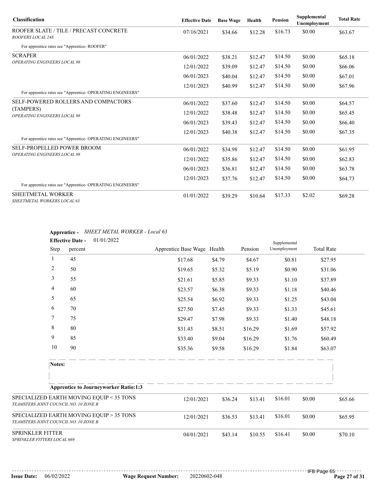| <b>Classification</b>                                       | <b>Effective Date</b> | <b>Base Wage</b> | Health  | <b>Pension</b> | Supplemental<br>Unemployment | <b>Total Rate</b> |
|-------------------------------------------------------------|-----------------------|------------------|---------|----------------|------------------------------|-------------------|
| ROOFER SLATE / TILE / PRECAST CONCRETE<br>ROOFERS LOCAL 248 | 07/16/2021            | \$34.66          | \$12.28 | \$16.73        | \$0.00                       | \$63.67           |
| For apprentice rates see "Apprentice-ROOFER"                |                       |                  |         |                |                              |                   |
| <b>SCRAPER</b>                                              | 06/01/2022            | \$38.21          | \$12.47 | \$14.50        | \$0.00                       | \$65.18           |
| OPERATING ENGINEERS LOCAL 98                                | 12/01/2022            | \$39.09          | \$12.47 | \$14.50        | \$0.00                       | \$66.06           |
|                                                             | 06/01/2023            | \$40.04          | \$12.47 | \$14.50        | \$0.00                       | \$67.01           |
|                                                             | 12/01/2023            | \$40.99          | \$12.47 | \$14.50        | \$0.00                       | \$67.96           |
| For apprentice rates see "Apprentice- OPERATING ENGINEERS"  |                       |                  |         |                |                              |                   |
| <b>SELF-POWERED ROLLERS AND COMPACTORS</b>                  | 06/01/2022            | \$37.60          | \$12.47 | \$14.50        | \$0.00                       | \$64.57           |
| (TAMPERS)<br>OPERATING ENGINEERS LOCAL 98                   | 12/01/2022            | \$38.48          | \$12.47 | \$14.50        | \$0.00                       | \$65.45           |
|                                                             | 06/01/2023            | \$39.43          | \$12.47 | \$14.50        | \$0.00                       | \$66.40           |
|                                                             | 12/01/2023            | \$40.38          | \$12.47 | \$14.50        | \$0.00                       | \$67.35           |
| For apprentice rates see "Apprentice- OPERATING ENGINEERS"  |                       |                  |         |                |                              |                   |
| <b>SELF-PROPELLED POWER BROOM</b>                           | 06/01/2022            | \$34.98          | \$12.47 | \$14.50        | \$0.00                       | \$61.95           |
| <b>OPERATING ENGINEERS LOCAL 98</b>                         | 12/01/2022            | \$35.86          | \$12.47 | \$14.50        | \$0.00                       | \$62.83           |
|                                                             | 06/01/2023            | \$36.81          | \$12.47 | \$14.50        | \$0.00                       | \$63.78           |
|                                                             | 12/01/2023            | \$37.76          | \$12.47 | \$14.50        | \$0.00                       | \$64.73           |
| For apprentice rates see "Apprentice- OPERATING ENGINEERS"  |                       |                  |         |                |                              |                   |
| SHEETMETAL WORKER<br>SHEETMETAL WORKERS LOCAL 63            | 01/01/2022            | \$39.29          | \$10.64 | \$17.33        | \$2.02                       | \$69.28           |

## **Apprentice -** *SHEET METAL WORKER - Local 63*

|                                                                                   | <b>Effective Date -</b>     | 01/01/2022                                   |                             |                       | Supplemental |              |        |                   |
|-----------------------------------------------------------------------------------|-----------------------------|----------------------------------------------|-----------------------------|-----------------------|--------------|--------------|--------|-------------------|
| Step                                                                              | percent                     |                                              | Apprentice Base Wage Health |                       | Pension      | Unemployment |        | <b>Total Rate</b> |
| $\mathbf{1}$                                                                      | 45                          |                                              | \$17.68                     | \$4.79                | \$4.67       | \$0.81       |        | \$27.95           |
| 2                                                                                 | 50                          |                                              | \$19.65                     | \$5.32                | \$5.19       | \$0.90       |        | \$31.06           |
| 3                                                                                 | 55                          |                                              | \$21.61                     | \$5.85                | \$9.33       | \$1.10       |        | \$37.89           |
| 4                                                                                 | 60                          |                                              | \$23.57                     | \$6.38                | \$9.33       | \$1.18       |        | \$40.46           |
| 5                                                                                 | 65                          |                                              | \$25.54                     | \$6.92                | \$9.33       | \$1.25       |        | \$43.04           |
| 6                                                                                 | 70                          |                                              | \$27.50                     | \$7.45                | \$9.33       | \$1.33       |        | \$45.61           |
| 7                                                                                 | 75                          |                                              | \$29.47                     | \$7.98                | \$9.33       | \$1.40       |        | \$48.18           |
| 8                                                                                 | 80                          |                                              | \$31.43                     | \$8.51                | \$16.29      | \$1.69       |        | \$57.92           |
| 9                                                                                 | 85                          |                                              | \$33.40                     | \$9.04                | \$16.29      | \$1.76       |        | \$60.49           |
| 10                                                                                | 90                          |                                              | \$35.36                     | \$9.58                | \$16.29      | \$1.84       |        | \$63.07           |
| Notes:                                                                            |                             |                                              |                             |                       |              |              |        |                   |
|                                                                                   |                             |                                              |                             |                       |              |              |        |                   |
|                                                                                   |                             | <b>Apprentice to Journeyworker Ratio:1:3</b> |                             |                       |              |              |        |                   |
| SPECIALIZED EARTH MOVING EQUIP < 35 TONS<br>TEAMSTERS JOINT COUNCIL NO. 10 ZONE B |                             |                                              | 12/01/2021                  | \$36.24               | \$13.41      | \$16.01      | \$0.00 | \$65.66           |
| SPECIALIZED EARTH MOVING EQUIP > 35 TONS<br>TEAMSTERS JOINT COUNCIL NO. 10 ZONE B |                             |                                              | 12/01/2021                  | \$36.53               | \$13.41      | \$16.01      | \$0.00 | \$65.95           |
| <b>SPRINKLER FITTER</b>                                                           | SPRINKLER FITTERS LOCAL 669 |                                              |                             | 04/01/2021<br>\$43.14 | \$10.55      | \$16.41      | \$0.00 | \$70.10           |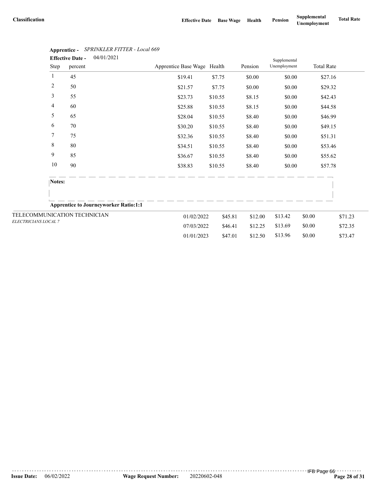|                              |                | <b>Effective Date -</b> | 04/01/2021                                   |                             |         |         | Supplemental |        |                   |         |
|------------------------------|----------------|-------------------------|----------------------------------------------|-----------------------------|---------|---------|--------------|--------|-------------------|---------|
|                              | Step           | percent                 |                                              | Apprentice Base Wage Health |         | Pension | Unemployment |        | <b>Total Rate</b> |         |
|                              | $\mathbf{1}$   | 45                      |                                              | \$19.41                     | \$7.75  | \$0.00  | \$0.00       |        | \$27.16           |         |
|                              | $\overline{c}$ | 50                      |                                              | \$21.57                     | \$7.75  | \$0.00  | \$0.00       |        | \$29.32           |         |
|                              | 3              | 55                      |                                              | \$23.73                     | \$10.55 | \$8.15  | \$0.00       |        | \$42.43           |         |
|                              | 4              | 60                      |                                              | \$25.88                     | \$10.55 | \$8.15  | \$0.00       |        | \$44.58           |         |
|                              | 5              | 65                      |                                              | \$28.04                     | \$10.55 | \$8.40  | \$0.00       |        | \$46.99           |         |
|                              | 6              | 70                      |                                              | \$30.20                     | \$10.55 | \$8.40  | \$0.00       |        | \$49.15           |         |
|                              | 7              | 75                      |                                              | \$32.36                     | \$10.55 | \$8.40  | \$0.00       |        | \$51.31           |         |
|                              | 8              | 80                      |                                              | \$34.51                     | \$10.55 | \$8.40  | \$0.00       |        | \$53.46           |         |
|                              | 9              | 85                      |                                              | \$36.67                     | \$10.55 | \$8.40  | \$0.00       |        | \$55.62           |         |
|                              | 10             | 90                      |                                              | \$38.83                     | \$10.55 | \$8.40  | \$0.00       |        | \$57.78           |         |
|                              | Notes:         |                         |                                              |                             |         |         |              |        |                   |         |
|                              |                |                         | <b>Apprentice to Journeyworker Ratio:1:1</b> |                             |         |         |              |        |                   |         |
| TELECOMMUNICATION TECHNICIAN |                |                         |                                              | 01/02/2022                  | \$45.81 | \$12.00 | \$13.42      | \$0.00 |                   | \$71.23 |
| ELECTRICIANS LOCAL 7         |                |                         |                                              | 07/03/2022                  | \$46.41 | \$12.25 | \$13.69      | \$0.00 |                   | \$72.35 |
|                              |                |                         |                                              | 01/01/2023                  | \$47.01 | \$12.50 | \$13.96      | \$0.00 |                   | \$73.47 |

# **Apprentice -** *SPRINKLER FITTER - Local 669*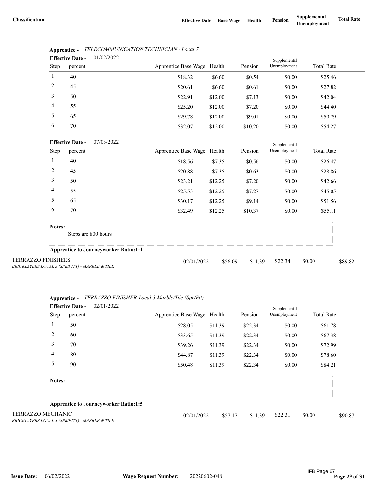|                           | <b>Effective Date -</b> | 01/02/2022                                   |                             |         |                    | Supplemental |                   |         |
|---------------------------|-------------------------|----------------------------------------------|-----------------------------|---------|--------------------|--------------|-------------------|---------|
| Step                      | percent                 |                                              | Apprentice Base Wage Health |         | Pension            | Unemployment | <b>Total Rate</b> |         |
| 1                         | 40                      |                                              | \$18.32                     | \$6.60  | \$0.54             | \$0.00       | \$25.46           |         |
| $\overline{2}$            | 45                      |                                              | \$20.61                     | \$6.60  | \$0.61             | \$0.00       | \$27.82           |         |
| 3                         | 50                      |                                              | \$22.91                     | \$12.00 | \$7.13             | \$0.00       | \$42.04           |         |
| 4                         | 55                      |                                              | \$25.20                     | \$12.00 | \$7.20             | \$0.00       | \$44.40           |         |
| 5                         | 65                      |                                              | \$29.78                     | \$12.00 | \$9.01             | \$0.00       | \$50.79           |         |
| 6                         | 70                      |                                              | \$32.07                     | \$12.00 | \$10.20            | \$0.00       | \$54.27           |         |
|                           | <b>Effective Date -</b> | 07/03/2022                                   |                             |         |                    | Supplemental |                   |         |
| Step                      | percent                 |                                              | Apprentice Base Wage Health |         | Pension            | Unemployment | <b>Total Rate</b> |         |
| 1                         | 40                      |                                              | \$18.56                     | \$7.35  | \$0.56             | \$0.00       | \$26.47           |         |
| $\overline{c}$            | 45                      |                                              | \$20.88                     | \$7.35  | \$0.63             | \$0.00       | \$28.86           |         |
| 3                         | 50                      |                                              | \$23.21                     | \$12.25 | \$7.20             | \$0.00       | \$42.66           |         |
| 4                         | 55                      |                                              | \$25.53                     | \$12.25 | \$7.27             | \$0.00       | \$45.05           |         |
| 5                         | 65                      |                                              | \$30.17                     | \$12.25 | \$9.14             | \$0.00       | \$51.56           |         |
| 6                         | 70                      |                                              | \$32.49                     | \$12.25 | \$10.37            | \$0.00       | \$55.11           |         |
| Notes:                    |                         |                                              |                             |         |                    |              |                   |         |
|                           |                         | Steps are 800 hours                          |                             |         |                    |              |                   |         |
|                           |                         | <b>Apprentice to Journeyworker Ratio:1:1</b> |                             |         |                    |              |                   |         |
| <b>TERRAZZO FINISHERS</b> |                         |                                              | 02/01/2022                  |         | \$56.09<br>\$11.39 | \$22.34      | \$0.00            | \$89.82 |

| Apprentice - | TELECOMMUNICATION TECHNICIAN - Local 7 |
|--------------|----------------------------------------|
|--------------|----------------------------------------|

*BRICKLAYERS LOCAL 3 (SPR/PITT) - MARBLE & TILE*

|       | Apprentice - TERRAZZO FINISHER-Local 3 Marble/Tile (Spr/Ptt) |
|-------|--------------------------------------------------------------|
| $  -$ | 0.210110000                                                  |

|                   | 02/01/2022<br><b>Effective Date -</b>        |                             |         |         | Supplemental |                   |         |
|-------------------|----------------------------------------------|-----------------------------|---------|---------|--------------|-------------------|---------|
| Step              | percent                                      | Apprentice Base Wage Health |         | Pension | Unemployment | <b>Total Rate</b> |         |
|                   | 50                                           | \$28.05                     | \$11.39 | \$22.34 | \$0.00       | \$61.78           |         |
| 2                 | 60                                           | \$33.65                     | \$11.39 | \$22.34 | \$0.00       | \$67.38           |         |
| 3                 | 70                                           | \$39.26                     | \$11.39 | \$22.34 | \$0.00       | \$72.99           |         |
| 4                 | 80                                           | \$44.87                     | \$11.39 | \$22.34 | \$0.00       | \$78.60           |         |
| 5                 | 90                                           | \$50.48                     | \$11.39 | \$22.34 | \$0.00       | \$84.21           |         |
| Notes:            |                                              |                             |         |         |              |                   |         |
|                   | <b>Apprentice to Journeyworker Ratio:1:5</b> |                             |         |         |              |                   |         |
| TERRAZZO MECHANIC |                                              | 02/01/2022                  | \$57.17 | \$11.39 | \$22.31      | \$0.00            | \$90.87 |

*BRICKLAYERS LOCAL 3 (SPR/PITT) - MARBLE & TILE*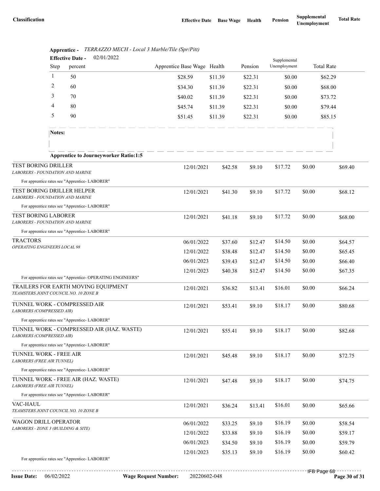| Apprentice Base Wage Health<br>Pension<br>Unemployment<br><b>Total Rate</b><br>Step<br>percent<br>$\mathbf{1}$<br>50<br>\$28.59<br>\$11.39<br>\$22.31<br>\$0.00<br>\$62.29<br>2<br>60<br>\$34.30<br>\$11.39<br>\$22.31<br>\$0.00<br>\$68.00<br>3<br>70<br>\$40.02<br>\$11.39<br>\$22.31<br>\$73.72<br>\$0.00<br>4<br>80<br>\$45.74<br>\$11.39<br>\$22.31<br>\$79.44<br>\$0.00<br>5<br>90<br>\$51.45<br>\$11.39<br>\$22.31<br>\$0.00<br>\$85.15<br>Notes:<br><b>Apprentice to Journeyworker Ratio:1:5</b><br><b>TEST BORING DRILLER</b><br>\$17.72<br>\$0.00<br>12/01/2021<br>\$69.40<br>\$42.58<br>\$9.10 |  |
|-----------------------------------------------------------------------------------------------------------------------------------------------------------------------------------------------------------------------------------------------------------------------------------------------------------------------------------------------------------------------------------------------------------------------------------------------------------------------------------------------------------------------------------------------------------------------------------------------------------|--|
|                                                                                                                                                                                                                                                                                                                                                                                                                                                                                                                                                                                                           |  |
|                                                                                                                                                                                                                                                                                                                                                                                                                                                                                                                                                                                                           |  |
|                                                                                                                                                                                                                                                                                                                                                                                                                                                                                                                                                                                                           |  |
|                                                                                                                                                                                                                                                                                                                                                                                                                                                                                                                                                                                                           |  |
|                                                                                                                                                                                                                                                                                                                                                                                                                                                                                                                                                                                                           |  |
|                                                                                                                                                                                                                                                                                                                                                                                                                                                                                                                                                                                                           |  |
|                                                                                                                                                                                                                                                                                                                                                                                                                                                                                                                                                                                                           |  |
|                                                                                                                                                                                                                                                                                                                                                                                                                                                                                                                                                                                                           |  |
|                                                                                                                                                                                                                                                                                                                                                                                                                                                                                                                                                                                                           |  |
| LABORERS - FOUNDATION AND MARINE                                                                                                                                                                                                                                                                                                                                                                                                                                                                                                                                                                          |  |
| For apprentice rates see "Apprentice-LABORER"                                                                                                                                                                                                                                                                                                                                                                                                                                                                                                                                                             |  |
| TEST BORING DRILLER HELPER<br>\$17.72<br>\$0.00<br>\$68.12<br>12/01/2021<br>\$41.30<br>\$9.10<br><b>LABORERS - FOUNDATION AND MARINE</b>                                                                                                                                                                                                                                                                                                                                                                                                                                                                  |  |
| For apprentice rates see "Apprentice-LABORER"                                                                                                                                                                                                                                                                                                                                                                                                                                                                                                                                                             |  |
| <b>TEST BORING LABORER</b><br>\$17.72<br>\$0.00<br>12/01/2021<br>\$41.18<br>\$9.10<br>\$68.00<br>LABORERS - FOUNDATION AND MARINE                                                                                                                                                                                                                                                                                                                                                                                                                                                                         |  |
| For apprentice rates see "Apprentice-LABORER"                                                                                                                                                                                                                                                                                                                                                                                                                                                                                                                                                             |  |
| <b>TRACTORS</b><br>\$14.50<br>\$0.00<br>06/01/2022<br>\$37.60<br>\$12.47<br>\$64.57<br>OPERATING ENGINEERS LOCAL 98                                                                                                                                                                                                                                                                                                                                                                                                                                                                                       |  |
| \$0.00<br>\$14.50<br>\$65.45<br>12/01/2022<br>\$38.48<br>\$12.47                                                                                                                                                                                                                                                                                                                                                                                                                                                                                                                                          |  |
| \$14.50<br>\$0.00<br>06/01/2023<br>\$39.43<br>\$66.40<br>\$12.47                                                                                                                                                                                                                                                                                                                                                                                                                                                                                                                                          |  |
| \$14.50<br>\$0.00<br>12/01/2023<br>\$40.38<br>\$12.47<br>\$67.35<br>For apprentice rates see "Apprentice- OPERATING ENGINEERS"                                                                                                                                                                                                                                                                                                                                                                                                                                                                            |  |
| TRAILERS FOR EARTH MOVING EQUIPMENT<br>\$16.01<br>\$0.00<br>\$66.24<br>12/01/2021<br>\$36.82<br>\$13.41<br>TEAMSTERS JOINT COUNCIL NO. 10 ZONE B                                                                                                                                                                                                                                                                                                                                                                                                                                                          |  |
| TUNNEL WORK - COMPRESSED AIR<br>\$18.17<br>\$0.00<br>12/01/2021<br>\$53.41<br>\$9.10<br>\$80.68<br>LABORERS (COMPRESSED AIR)                                                                                                                                                                                                                                                                                                                                                                                                                                                                              |  |
| For apprentice rates see "Apprentice-LABORER"                                                                                                                                                                                                                                                                                                                                                                                                                                                                                                                                                             |  |
| TUNNEL WORK - COMPRESSED AIR (HAZ. WASTE)<br>\$0.00<br>12/01/2021<br>\$18.17<br>\$55.41<br>\$9.10<br>\$82.68<br>LABORERS (COMPRESSED AIR)                                                                                                                                                                                                                                                                                                                                                                                                                                                                 |  |
| For apprentice rates see "Apprentice-LABORER"                                                                                                                                                                                                                                                                                                                                                                                                                                                                                                                                                             |  |
| TUNNEL WORK - FREE AIR<br>\$18.17<br>\$0.00<br>\$72.75<br>12/01/2021<br>\$45.48<br>\$9.10<br>LABORERS (FREE AIR TUNNEL)                                                                                                                                                                                                                                                                                                                                                                                                                                                                                   |  |
| For apprentice rates see "Apprentice-LABORER"                                                                                                                                                                                                                                                                                                                                                                                                                                                                                                                                                             |  |
| TUNNEL WORK - FREE AIR (HAZ. WASTE)<br>\$18.17<br>\$0.00<br>12/01/2021<br>\$47.48<br>\$9.10<br>\$74.75<br><b>LABORERS (FREE AIR TUNNEL)</b>                                                                                                                                                                                                                                                                                                                                                                                                                                                               |  |
| For apprentice rates see "Apprentice-LABORER"                                                                                                                                                                                                                                                                                                                                                                                                                                                                                                                                                             |  |
| VAC-HAUL<br>\$16.01<br>\$0.00<br>12/01/2021<br>\$36.24<br>\$13.41<br>\$65.66<br>TEAMSTERS JOINT COUNCIL NO. 10 ZONE B                                                                                                                                                                                                                                                                                                                                                                                                                                                                                     |  |
| WAGON DRILL OPERATOR<br>\$16.19<br>\$0.00<br>06/01/2022<br>\$33.25<br>\$9.10<br>\$58.54                                                                                                                                                                                                                                                                                                                                                                                                                                                                                                                   |  |
| LABORERS - ZONE 3 (BUILDING & SITE)<br>\$16.19<br>\$0.00<br>12/01/2022<br>\$33.88<br>\$9.10<br>\$59.17                                                                                                                                                                                                                                                                                                                                                                                                                                                                                                    |  |
| \$16.19<br>\$0.00<br>06/01/2023<br>\$34.50<br>\$9.10<br>\$59.79                                                                                                                                                                                                                                                                                                                                                                                                                                                                                                                                           |  |
| \$16.19<br>\$0.00<br>12/01/2023<br>\$60.42<br>\$35.13<br>\$9.10<br>For apprentice rates see "Apprentice-LABORER"                                                                                                                                                                                                                                                                                                                                                                                                                                                                                          |  |

| Apprentice - | TERRAZZO MECH - Local 3 Marble/Tile (Spr/Pitt) |  |
|--------------|------------------------------------------------|--|
|              | . . <i>.</i>                                   |  |